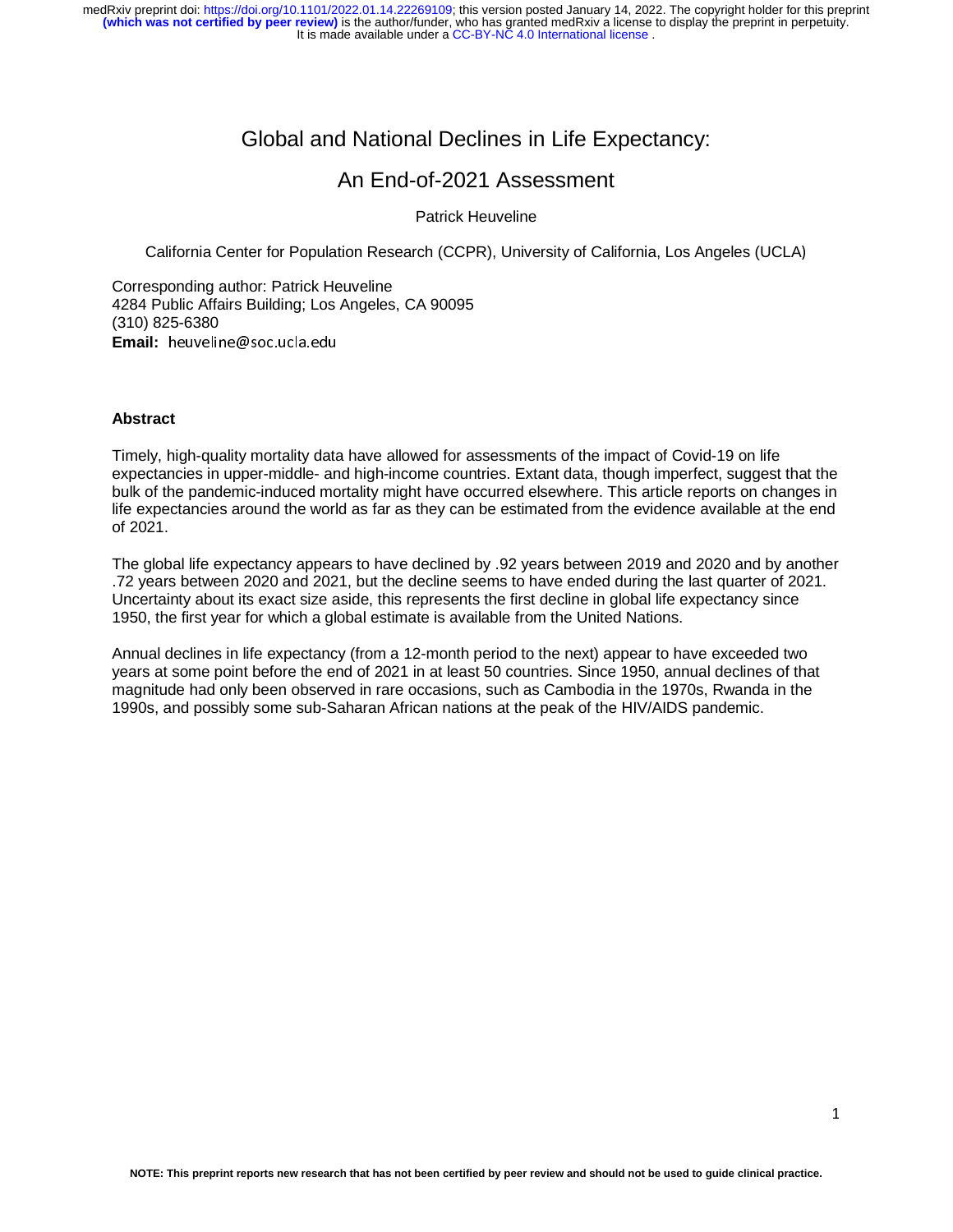# Global and National Declines in Life Expectancy:

# An End-of-2021 Assessment

Patrick Heuveline

California Center for Population Research (CCPR), University of California, Los Angeles (UCLA)

Corresponding author: Patrick Heuveline 4284 Public Affairs Building; Los Angeles, CA 90095 (310) 825-6380 **Email:** heuveline@soc.ucla.edu

#### **Abstract**

Timely, high-quality mortality data have allowed for assessments of the impact of Covid-19 on life expectancies in upper-middle- and high-income countries. Extant data, though imperfect, suggest that the bulk of the pandemic-induced mortality might have occurred elsewhere. This article reports on changes in life expectancies around the world as far as they can be estimated from the evidence available at the end of 2021.

The global life expectancy appears to have declined by .92 years between 2019 and 2020 and by another .72 years between 2020 and 2021, but the decline seems to have ended during the last quarter of 2021. Uncertainty about its exact size aside, this represents the first decline in global life expectancy since 1950, the first year for which a global estimate is available from the United Nations.

Annual declines in life expectancy (from a 12-month period to the next) appear to have exceeded two years at some point before the end of 2021 in at least 50 countries. Since 1950, annual declines of that magnitude had only been observed in rare occasions, such as Cambodia in the 1970s, Rwanda in the 1990s, and possibly some sub-Saharan African nations at the peak of the HIV/AIDS pandemic.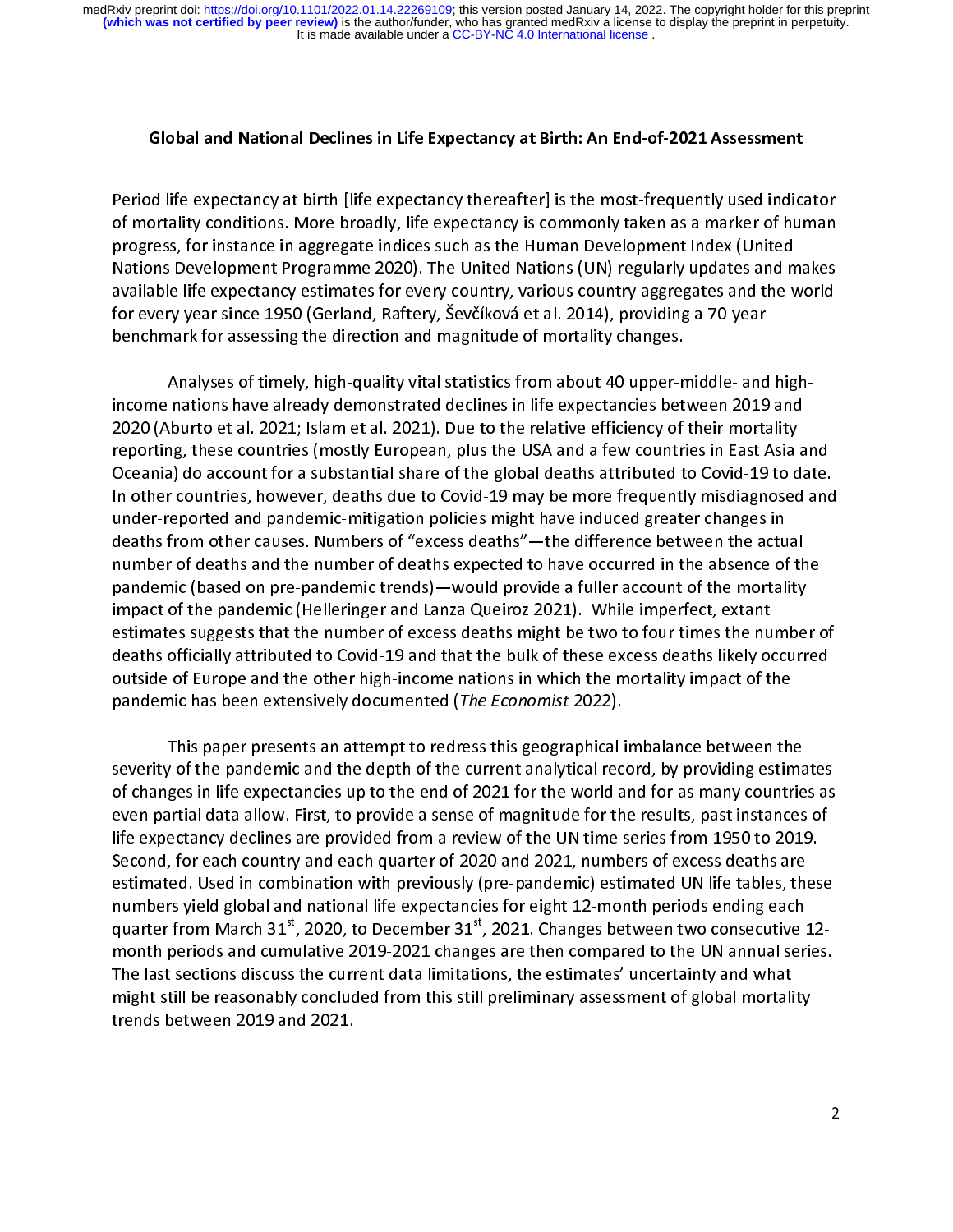#### Global and National Declines in Life Expectancy at Birth: An End-of-2021 Assessment

りく ドリ Period life expectancy at birth [life expectancy thereafter] is the most-frequently used indicator<br>of mortality conditions. More broadly, life expectancy is commonly taken as a marker of human<br>progress, for instance in agg of mortality conditions. The engage indices such as the Human Development Index (United<br>Nations Development Programme 2020). The United Nations (UN) regularly updates and makes<br>available life expectancy estimates for every progress of the United Nations (UN) regularly updates and m<br>available life expectancy estimates for every country, various country aggregates and the v<br>for every year since 1950 (Gerland, Raftery, Ševčíková et al. 2014), p Nations Development Programme 2021). The United Nations (UN) regularly updates and the world<br>available life expectancy estimates for every country, various country aggregates and the world<br>for every year since 1950 (Gerlan for every year since 1950 (Gerland, Raftery, Ševčíková et al. 2014), providing a 70-year<br>benchmark for assessing the direction and magnitude of mortality changes.<br>Analyses of timely, high-quality vital statistics from abou benchmark for assessing the direction and magnitude of mortality changes.

income nations have already demonstrated declines in life expectancies between 2019 and  $\frac{1}{2}$ Oceania) do account for a substantial share of the global deaths attributed to Covid-19 to date. 2020 (Aburto et al. 2021; Islam et al. 2021). Due to the relative efficiency of their mortality reporting, these countries (mostly European, plus the USA and a few countries in East Asia and<br>Oceania) do account for a substantial share of the global deaths attributed to Covid-19 to date.<br>In other countries, however, d Oceania) do account for a substantial share of the global deaths attributed to Covid-19 to date.<br>In other countries, however, deaths due to Covid-19 may be more frequently misdiagnosed and<br>under-reported and pandemic-mitig In other countries, however, deaths due to Covid-19 may be more frequently misdiagnosed and<br>under-reported and pandemic-mitigation policies might have induced greater changes in<br>deaths from other causes. Numbers of "excess In our commiss, in the ring and the recovid-2 may be more precising under-reported and pandemic-mitigation policies might have induced greater changes in<br>deaths from other causes. Numbers of "excess deaths"—the difference deaths from other causes. Numbers of "excess deaths"—the difference between the actual<br>number of deaths and the number of deaths expected to have occurred in the absence of th<br>pandemic (based on pre-pandemic trends)—would number of deaths and the number of deaths expected to have occurred in the absence of the<br>pandemic (based on pre-pandemic trends)—would provide a fuller account of the mortality<br>impact of the pandemic (Helleringer and Lanz number of deaths and the number of deaths and provide a fuller account of the mortality<br>impact of the pandemic (Helleringer and Lanza Queiroz 2021). While imperfect, extant<br>estimates suggests that the number of excess deat pandemic (based on pre-pandemic trends)—would provide a function of the pandemic (Helleringer and Lanza Queiroz 2021). While imperfect, extant<br>estimates suggests that the number of excess deaths might be two to four times impact of the pandemic (Helleringer and Lanza Queiroz 2021). Then imperfects, antihing<br>deaths officially attributed to Covid-19 and that the bulk of these excess deaths likely or<br>outside of Europe and the other high-income deaths officially attributed to Covid-19 and that the bulk of these excess deaths likely occurred<br>outside of Europe and the other high-income nations in which the mortality impact of the<br>pandemic has been extensively docum outside of Europe and the other high-income nations in which the mortality impact of the

This paper presents an attempt to redress this geographical imbalance between the pandemic has been extensively documented (The Economist 2022).<br>This paper presents an attempt to redress this geographical is<br>severity of the pandemic and the depth of the current analytical record changes in life expectan  $rac{5}{3}$ of the pandemic and the depth of the current analytical record, by providing estima<br>ges in life expectancies up to the end of 2021 for the world and for as many countrie<br>artial data allow. First, to provide a sense of magn of changes in life expectancies up to the end of 2021 for the world and for as many countries as<br>even partial data allow. First, to provide a sense of magnitude for the results, past instances of<br>life expectancy declines a even partial data allow. First, to provide a sense of magnitude for the results, past instances of<br>life expectancy declines are provided from a review of the UN time series from 1950 to 2019.<br>Second, for each country and e life expectancy declines are provided from a review of the UN time series from 1950 to 2019.<br>Second, for each country and each quarter of 2020 and 2021, numbers of excess deaths are<br>estimated. Used in combination with prev Second, for each country and each quarter of 2020 and 2021, numbers of excess deaths are<br>estimated. Used in combination with previously (pre-pandemic) estimated UN life tables, these<br>numbers yield global and national life estimated. Used in combination with previously (pre-pandemic) estimated UN life tables, the<br>numbers yield global and national life expectancies for eight 12-month periods ending each<br>quarter from March 31<sup>st</sup>, 2020, to Dec numbers yield global and national life expectancies for eight 12-month periods ending each<br>quarter from March 31<sup>st</sup>, 2020, to December 31<sup>st</sup>, 2021. Changes between two consecutive 12-<br>month periods and cumulative 2019-20 numbers yield global and national limits. Superintended in eight 12-month periods and cumulative 2019-2021 changes are then compared to the UN annual series for eight 12-month periods and cumulative 2019-2021 changes are t month periods and cumulative 2019-2021 changes are then compared to the UN annual series.<br>The last sections discuss the current data limitations, the estimates' uncertainty and what<br>might still be reasonably concluded from The last sections discuss the current data limitations, the estimates' uncertainty and what might still be reasonably concluded from this still preliminary assessment of global mortality might still be reasonably concluded from this still preliminary assessment of global mortality, trends between 2019 and 2021.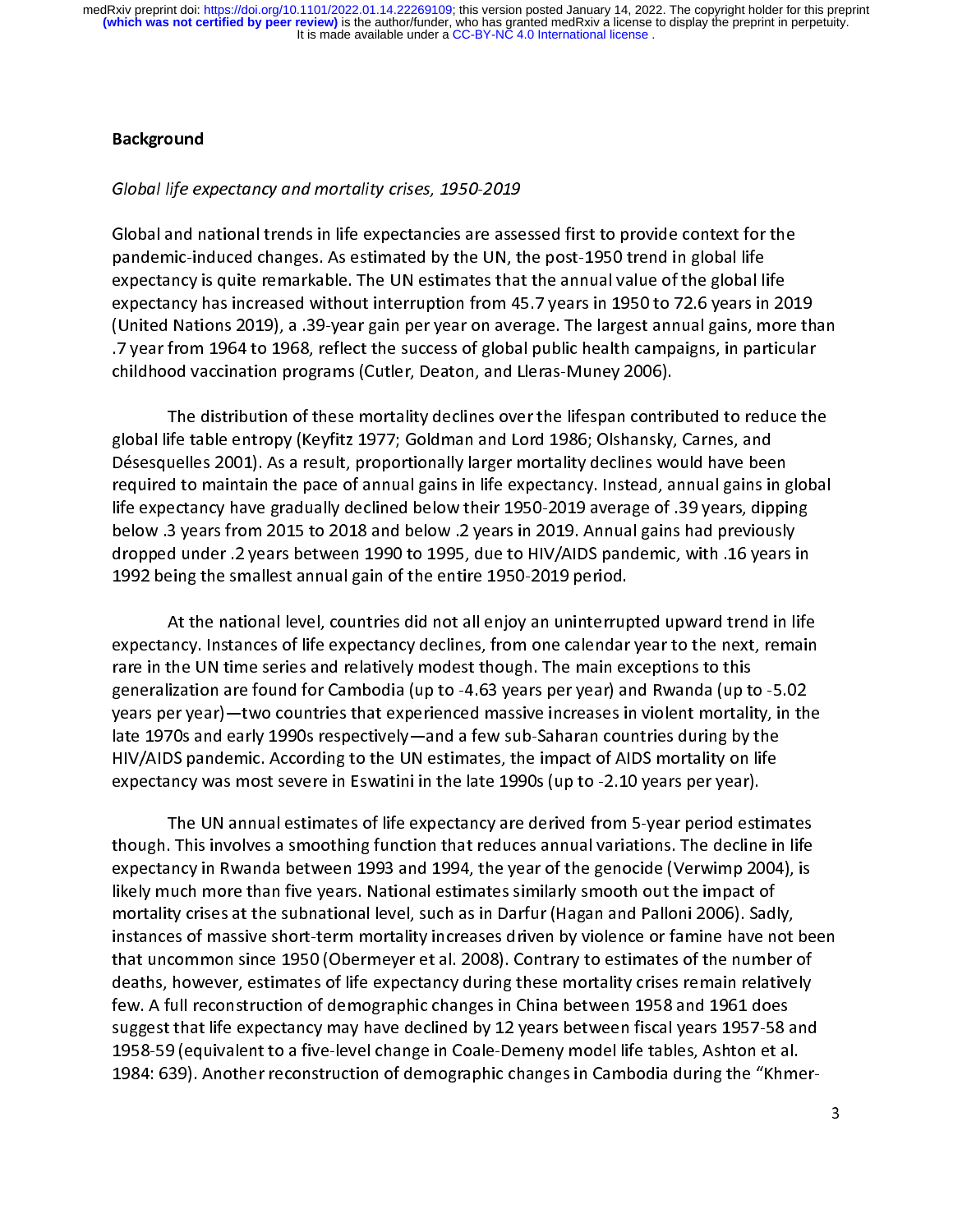#### Background

### Global life expectancy and mortality crises, 1950-2019

 $\ddot{\phantom{a}}$ C<br>F<br>C pandemic-induced changes. As estimated by the UN, the post-1950 trend in global life<br>expectancy is quite remarkable. The UN estimates that the annual value of the global life<br>expectancy has increased without interruption f pay expectancy is quite remarkable. The UN estimates that the annual value of the global life expectancy has increased without interruption from 45.7 years in 1950 to 72.6 years in (United Nations 2019), a .39-year gain pe expectancy has increased without interruption from 45.7 years in 1950 to 72.6 years in 20<br>(United Nations 2019), a .39-year gain per year on average. The largest annual gains, mor<br>.7 year from 1964 to 1968, reflect the suc expectancy of the largest annual currely of the laided with the distributed Nations 2019), a 29-year gain per year on average. The largest annual gains, more th<br>17 year from 1964 to 1968, reflect the success of global publ .7 year from 1964 to 1968, reflect the success of global public health campaigns, in particular childhood vaccination programs (Cutler, Deaton, and Lleras-Muney 2006).

The distribution of these mortality declines over the lifespan contributed to reduce the global life table entropy (Keyfitz 1977; Goldman and Lord 1986; Olshansky, Carnes, and ד<br>;<br>, required to maintain the pace of annual gains in life expectancy. Instead, annual gains in global<br>life expectancy have gradually declined below their 1950-2019 average of .39 years, dipping Désesquelles 2001). As a result, proportionally larger mortality declines would have been required to maintain the pace of annual gains in life expectancy. Instead, annual gains in g<br>Iife expectancy have gradually declined below their 1950-2019 average of .39 years, dippi<br>below .3 years from 2015 to 2018 and be required to maintain the pace of annual gains in the expectancy annual gains in gradual<br>life expectancy have gradually declined below their 1950-2019 average of .39 years, dipping<br>below .3 years from 2015 to 2018 and below discussed to 2015 to 2018 and below their areas in 2019. Annual gains had previously<br>dropped under the sears between 1990 to 1995, due to HIV/AIDS pandemic, with the years in<br>1992 being the smallest annual gain of the enti dropped under .2 years between 1990 to 1995, due to HIV/AIDS pandemic, with .16 years in 1992 being the smallest annual gain of the entire 1950-2019 period.

At the national level, countries did not all enjoy an uninterrupted upward trend in life expectancy. Instances of life expectancy declines, from one calendar year to the next, remain ノート・ドー Incy. Instances of life expectancy declines, from one calendar year to the next, remain<br>the UN time series and relatively modest though. The main exceptions to this<br>ization are found for Cambodia (up to -4.63 years per yea expectancy. Instances of the supersality products of the life experiment years of this<br>rare in the UN time series and relatively modest though. The main exceptions to this<br>generalization are found for Cambodia (up to -4.63 generalization are found for Cambodia (up to -4.63 years per year) and Rwanda (up to<br>years per year)—two countries that experienced massive increases in violent mortality<br>late 1970s and early 1990s respectively—and a few s gears per year)—two countries that experienced massive increases in violent mortality, in th<br>late 1970s and early 1990s respectively—and a few sub-Saharan countries during by the<br>HIV/AIDS pandemic. According to the UN esti years per year)—two countries that engineers interests in the experiment massive increases late 1970s and early 1990s respectively—and a few sub-Saharan countries during by the HIV/AIDS pandemic. According to the UN estima HIV/AIDS pandemic. According to the UN estimates, the impact of AIDS mortality on life<br>expectancy was most severe in Eswatini in the late 1990s (up to -2.10 years per year).<br>The UN annual estimates of life expectancy are d expectancy was most severe in Eswatini in the late  $1990s$  (up to  $-2.10$  years per year).

though. This involves a smoothing function that reduces annual variations. The decline in life This involves a smoothing function that reduces annual variations. The decline in life<br>incy in Rwanda between 1993 and 1994, the year of the genocide (Verwimp 2004), is<br>juch more than five years. National estimates similar expectancy in Rwanda between 1993 and 1994, the year of the genocide (Verwimp 2004), is<br>likely much more than five years. National estimates similarly smooth out the impact of<br>mortality crises at the subnational level, suc likely much more than five years. National estimates similarly smooth out the impact of<br>mortality crises at the subnational level, such as in Darfur (Hagan and Palloni 2006). Sadly,<br>instances of massive short-term mortalit mortality crises at the subnational level, such as in Darfur (Hagan and Palloni 2006). Sadl<br>instances of massive short-term mortality increases driven by violence or famine have no<br>that uncommon since 1950 (Obermeyer et al mortally crises at the submitted mortality increases driven by violence or famine have not<br>that uncommon since 1950 (Obermeyer et al. 2008). Contrary to estimates of the number of<br>deaths, however, estimates of life expecta that uncommon since 1950 (Obermeyer et al. 2008). Contrary to estimates of the number of<br>deaths, however, estimates of life expectancy during these mortality crises remain relatively<br>few. A full reconstruction of demograph deaths, however, estimates of life expectancy during these mortality crises remain relatively<br>few. A full reconstruction of demographic changes in China between 1958 and 1961 does<br>suggest that life expectancy may have decl suggest that life expectancy may have declined by 12 years between fiscal years 1957-58 and suggest that life expectancy may have declined by 12 years between fiscal years 1957-58 a<br>1958-59 (equivalent to a five-level change in Coale-Demeny model life tables, Ashton et al<br>1984: 639). Another reconstruction of dem suggest 1958-59 (equivalent to a five-level change in Coale-Demeny model life tables, Ashton et al.<br>1984: 639). Another reconstruction of demographic changes in Cambodia during the "Khmer-1984: 639). Another reconstruction of demographic changes in Cambodia during the "Khme"<br>1984: 639). Another reconstruction of demographic changes in Cambodia during the "Khme"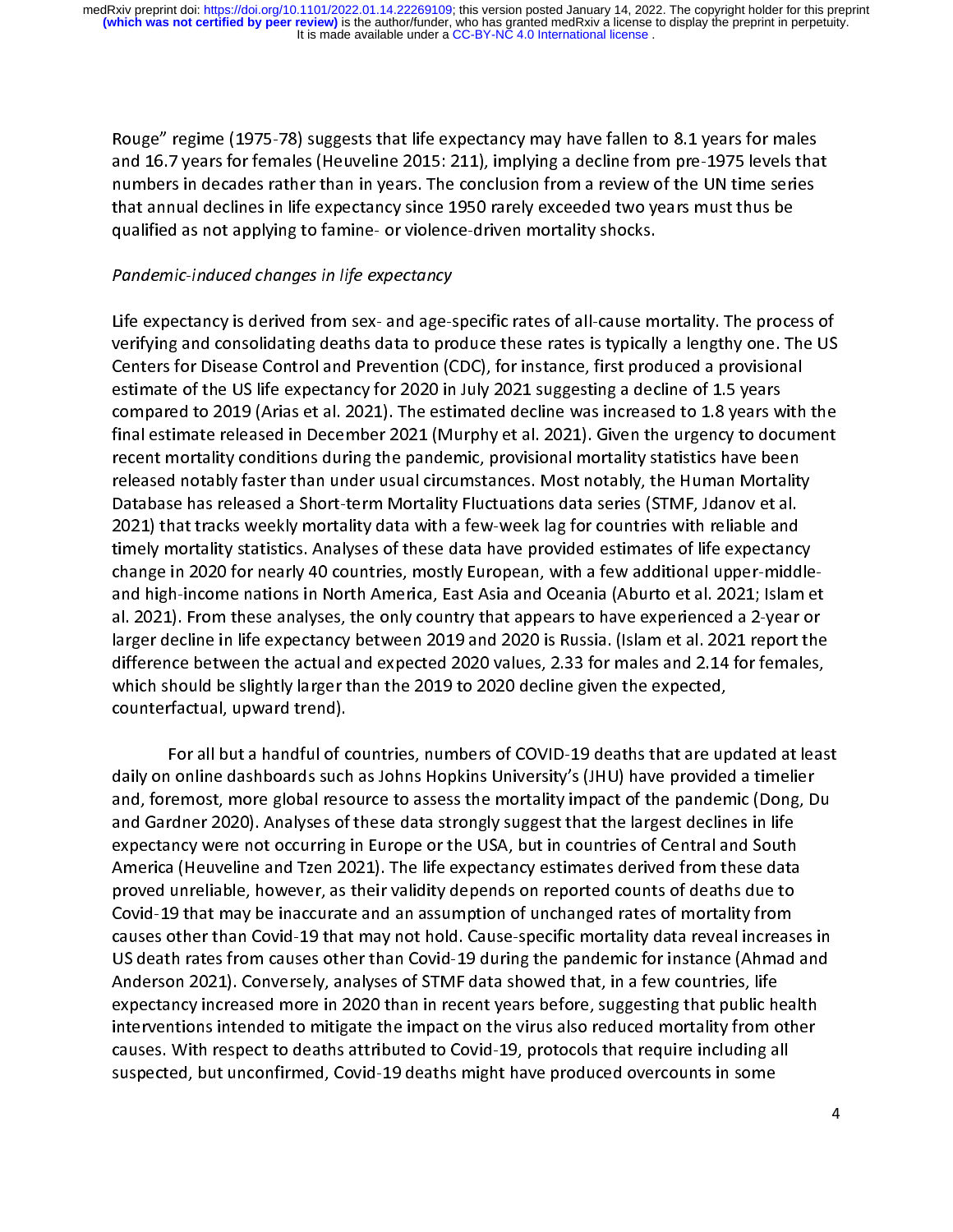and 16.7 years for females (Heuveline 2015: 211), implying a decline from pre-1975 levels that<br>numbers in decades rather than in years. The conclusion from a review of the UN time series<br>that annual declines in life expect numbers in decades rather than in years. The conclusion from a review of the UN time series<br>that annual declines in life expectancy since 1950 rarely exceeded two years must thus be<br>qualified as not applying to famine- or numbers in declines in life expectancy since 1950 rarely exceeded two years must thus be<br>qualified as not applying to famine- or violence-driven mortality shocks.<br>Pandamic induced changes in life expectancy. qualified as not applying to famine- or violence-driven mortality shocks.

### Pandemic-induced changes in life expectancy

Life expectancy is derived from sex- and age-specific rates of all-cause mortality. The process of  $\frac{1}{2}$ l<br>( verifying and consolidating deaths data to produce these rates is typically a lengthy one. The US<br>Centers for Disease Control and Prevention (CDC), for instance, first produced a provisional<br>estimate of the US life expecta Centers for Disease Control and Prevention (CDC), for instance, first produced a provisional<br>estimate of the US life expectancy for 2020 in July 2021 suggesting a decline of 1.5 years<br>compared to 2019 (Arias et al. 2021). estimate of the US life expectancy for 2020 in July 2021 suggesting a decline of 1.5 years<br>compared to 2019 (Arias et al. 2021). The estimated decline was increased to 1.8 years with<br>final estimate released in December 202 estimate of the US life experiency for 2021 in July 2021-1988 in July 2021 to 1.8 years we<br>final estimate released in December 2021 (Murphy et al. 2021). Given the urgency to doc<br>recent mortality conditions during the pand final estimate released in December 2021 (Murphy et al. 2021). Given the urgency to document<br>recent mortality conditions during the pandemic, provisional mortality statistics have been<br>released notably faster than under us final estimate released in December 2021, the period in Decepted in Decepted in December 2021, the transmitter<br>released notably faster than under usual circumstances. Most notably, the Human Mortality<br>Database has released released notably faster than under usual circumstances. Most notably, the Human Mortality<br>Database has released a Short-term Mortality Fluctuations data series (STMF, Jdanov et al.<br>2021) that tracks weekly mortality data w released a Short-term Mortality Fluctuations data series (STMF, Jdanov et al.<br>2021) that tracks weekly mortality data with a few-week lag for countries with reliable and<br>timely mortality statistics. Analyses of these data 2021) that tracks weekly mortality data with a few-week lag for countries with reliable and<br>timely mortality statistics. Analyses of these data have provided estimates of life expectancy<br>change in 2020 for nearly 40 countr 2021) From these analysis of these data have provided estimates of life expectance<br>Change in 2020 for nearly 40 countries, mostly European, with a few additional upper-midd<br>and high-income nations in North America, East As change in 2020 for nearly 40 countries, mostly European, with a few additional upper-middle-<br>and high-income nations in North America, East Asia and Oceania (Aburto et al. 2021; Islam et<br>al. 2021). From these analyses, the change in 2020 for nearly 40 countries, most and the second text in 2020 for molecular countries, model upper-<br>difference between the actual and expected-2020 values, 2, 33 for males and 2, 14 for females. al. 2021). From these analyses, the only country that appears to have experienced a 2-year or<br>larger decline in life expectancy between 2019 and 2020 is Russia. (Islam et al. 2021 report the<br>difference between the actual a larger decline in life expectancy between 2019 and 2020 is Russia. (Islam et al. 2021 report the<br>difference between the actual and expected 2020 values, 2.33 for males and 2.14 for females,<br>which should be slightly larger difference between the actual and expected 2020 values, 2.33 for males and 2.14 for females,<br>which should be slightly larger than the 2019 to 2020 decline given the expected,<br>counterfactual, upward trend). which should be slightly larger than the 2019 to 2020 decline given the expected, counterfactual, upward trend).

For all but a handful of countries, numbers of COVID-19 deaths that are updated at least daily on online dashboards such as Johns Hopkins University's (JHU) have provided a timelier  $rac{1}{2}$ and, foremost, more global resource to assess the mortality impact of the pandemic (Dong, Du<br>and Gardner 2020). Analyses of these data strongly suggest that the largest declines in life and, foremost, more global resource to assess the mortality impact of the pandemic (Dong, D<br>and Gardner 2020). Analyses of these data strongly suggest that the largest declines in life<br>expectancy were not occurring in Euro and Gardner 2020). Analyses of these data strongly suggest that the largest declines in life<br>expectancy were not occurring in Europe or the USA, but in countries of Central and South<br>America (Heuveline and Tzen 2021). The expectancy were not occurring in Europe or the USA, but in countries of Central and South<br>America (Heuveline and Tzen 2021). The life expectancy estimates derived from these data<br>proved unreliable, however, as their validi America (Heuveline and Tzen 2021). The life expectancy estimates derived from these data<br>proved unreliable, however, as their validity depends on reported counts of deaths due to<br>Covid-19 that may be inaccurate and an assu proved unreliable, however, as their validity depends on reported counts of deaths due to<br>Covid-19 that may be inaccurate and an assumption of unchanged rates of mortality from<br>causes other than Covid-19 that may not hold. proved in the that way be inaccurate and an assumption of unchanged rates of mortality from<br>causes other than Covid-19 that may not hold. Cause-specific mortality data reveal increase<br>US death rates from causes other than Couses other than Covid-19 that may not hold. Cause-specific mortality data reveal increases other than Covid-19 that may not hold. Cause-specific mortality data reveal increases US death rates from causes other than Covid US death rates from causes other than Covid-19 during the pandemic for instance (Ahmad and<br>Anderson 2021). Conversely, analyses of STMF data showed that, in a few countries, life<br>expectancy increased more in 2020 than in r expectancy increased more in 2020 than in recent years before, suggesting that public health expectancy increased more in 2020 than in recent years before, suggesting that public here<br>interventions intended to mitigate the impact on the virus also reduced mortality from o<br>causes. With respect to deaths attributed expectance more intended to mitigate the impact on the virus also reduced mortality from other<br>causes. With respect to deaths attributed to Covid-19, protocols that require including all<br>suspected, but unconfirmed, Covid-1 causes. With respect to deaths attributed to Covid-19, protocols that require including all<br>suspected, but unconfirmed, Covid-19 deaths might have produced overcounts in some suspected, but unconfirmed, Covid-19 deaths might have produced overcounts in some suspected, but unconfirmed, Covid-19 deaths might have produced overcounts in some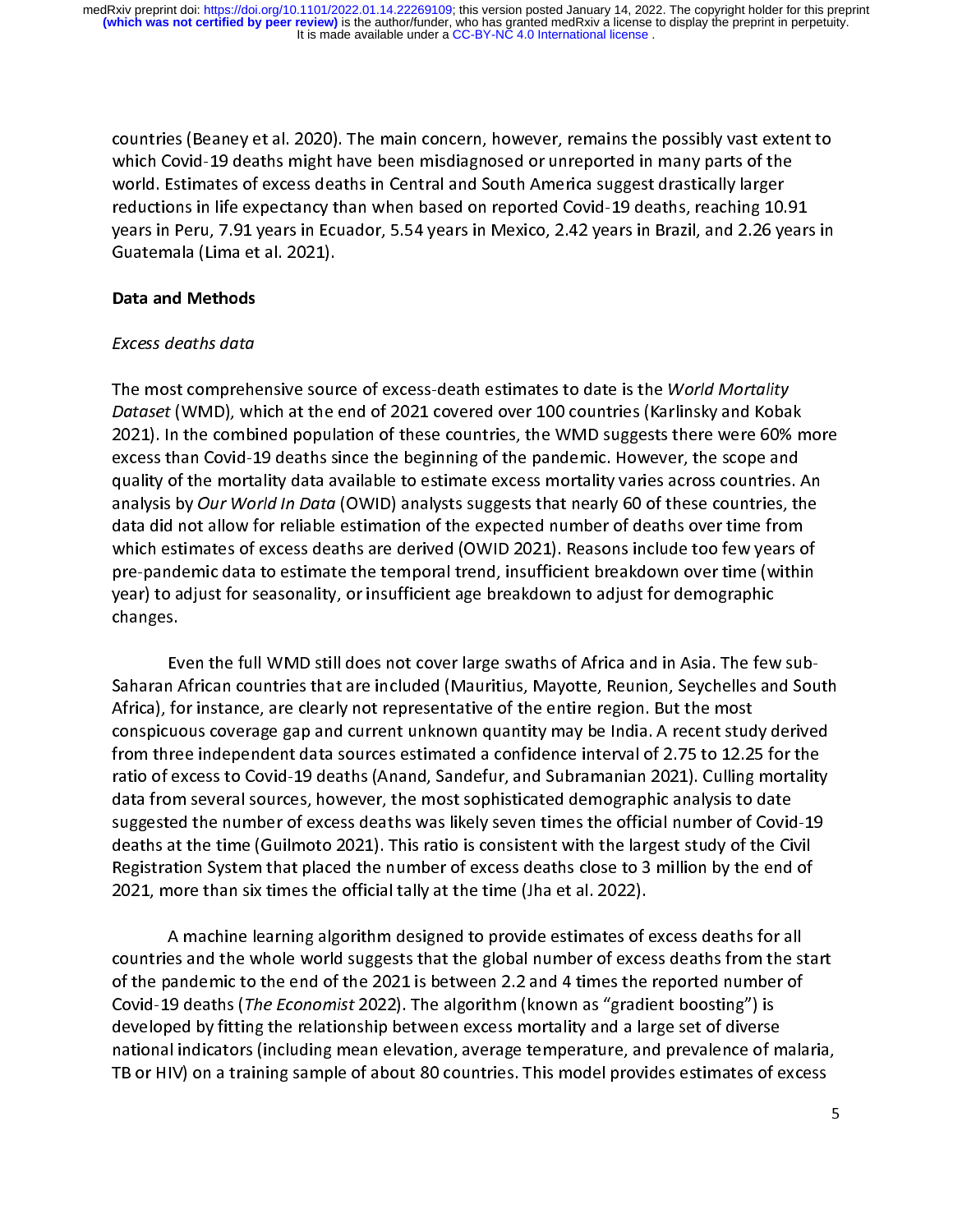countries (Beaney et al. 2020). The main concern, however, remains the possibly vast extent to<br>which Covid-19 deaths might have been misdiagnosed or unreported in many parts of the<br>world. Estimates of excess deaths in Cent world. Estimates of excess deaths in Central and South America suggest drastically larger<br>reductions in life expectancy than when based on reported Covid-19 deaths, reaching 10.9<br>years in Peru, 7.91 years in Ecuador, 5.54 world. Estimates of excess deaths in Central and South America suggest drastically larger<br>reductions in life expectancy than when based on reported Covid-19 deaths, reaching 10.<br>years in Peru, 7.91 years in Ecuador, 5.54 y years in Peru, 7.91 years in Écuador, 5.54 years in Mexico, 2.42 years in Brazil, and 2.26 years<br>Guatemala (Lima et al. 2021).<br>Data and Methods years in Peru, 7.91 years in Peru, 7.91 years in Equation 1.54 years in Mexico, 2.42 years in Brazil, and Methods in Archives in Archives in Brazil, and Methods in Brazil, and 2.42 years in Brazil, and 2.427 years in Brazi

# Guatemala (Lima et al. 2021).<br>Data and Methods<br>Excess deaths data l

# **Bata and Methods**<br>Excess deaths data<br>The mest comprehe Excess deaths data

 $\begin{array}{c} \n\frac{1}{2} \quad \text{and} \quad \frac{1}{2} \quad \text{and} \quad \frac{1}{2} \quad \text{and} \quad \frac{1}{2} \quad \text{and} \quad \frac{1}{2} \quad \text{and} \quad \frac{1}{2} \quad \text{and} \quad \frac{1}{2} \quad \text{and} \quad \frac{1}{2} \quad \text{and} \quad \frac{1}{2} \quad \text{and} \quad \frac{1}{2} \quad \text{and} \quad \frac{1}{2} \quad \text{and} \quad \frac{1}{2} \quad \text{and} \quad \frac{1}{2} \quad \text{and} \quad \frac{$  $\frac{1}{2}$ The most comprehensive source of excess-death estimates to date is the World Mortality<br>Dataset (WMD), which at the end of 2021 covered over 100 countries (Karlinsky and Koba<br>2021). In the combined population of these count Dataset (WMD), which at the end of 2021 covered over 100 countries (Karlinsky and Kobak<br>2021). In the combined population of these countries, the WMD suggests there were 60% m<br>excess than Covid-19 deaths since the beginnin excess than Covid-19 deaths since the beginning of the pandemic. However, the scope and<br>quality of the mortality data available to estimate excess mortality varies across countries. An<br>analysis by *Our World In Data* (OWID quality of the mortality data available to estimate excess mortality varies across countries. An<br>analysis by *Our World In Data* (OWID) analysts suggests that nearly 60 of these countries, the<br>data did not allow for reliab analysis by Our World In Data (OWID) analysts suggests that nearly 60 of these countries, the analysis by Our World In Dutu (OWID) analysts suggests that hearly 60 or these countries, the<br>data did not allow for reliable estimation of the expected number of deaths over time from<br>which estimates of excess deaths are which estimates of excess deaths are derived (OWID 2021). Reasons include too few years of the expected number of the temporal trend, insufficient breakdown over time (within year) to adjust for seasonality, or insufficien pre-pandemic data to estimate the temporal trend, insufficient breakdown over time (within<br>year) to adjust for seasonality, or insufficient age breakdown to adjust for demographic<br>changes. year) to adjust for seasonality, or insufficient age breakdown to adjust for demographic

Even the full WMD still does not cover large swaths of Africa and in Asia. The few sub-Saharan African countries that are included (Mauritius, Mayotte, Reunion, Seychelles and South<br>Africa), for instance, are clearly not representative of the entire region. But the most 【<br>-<br>1 from three independent data sources estimated a confidence interval of 2.75 to 12.25 for the Saharan Africa), for instance, are clearly not representative of the entire region. But the most<br>conspicuous coverage gap and current unknown quantity may be India. A recent study derived<br>from three independent data source conspicuous coverage gap and current unknown quantity may be India. A recent stud<br>from three independent data sources estimated a confidence interval of 2.75 to 12.2!<br>ratio of excess to Covid-19 deaths (Anand, Sandefur, an from three independent data sources estimated a confidence interval of 2.75 to 12.25 for the<br>ratio of excess to Covid-19 deaths (Anand, Sandefur, and Subramanian 2021). Culling mortality<br>data from several sources, however, From the emergendent data sources three is continued a continued and Subramanian 2021). Culling mortality<br>data from several sources, however, the most sophisticated demographic analysis to date<br>suggested the number of exce ratio of excess to Covid-19 deaths (Analys 2008) and Subramanian 2021). This discussed the number of excess deaths was likely seven times the official number of Covid-19 deaths at the time (Guilmoto 2021). This ratio is co suggested the number of excess deaths was likely seven times the official number of Covid<br>deaths at the time (Guilmoto 2021). This ratio is consistent with the largest study of the Cir<br>Registration System that placed the n suggested the number of exception times was presented the number of excess deaths at the time (Guilmoto 2021). This ratio is consistent with the largest study of the Civil<br>Registration System that placed the number of exce Registration System that placed the number of excess deaths close to 3 million by the end of 2021, more than six times the official tally at the time (Jha et al. 2022).

A machine learning algorithm designed to provide estimates of excess deaths for all 2022, more than six times the original tally at the time (Jha et al. 2021).<br>A machine learning algorithm designed to provide estimates of countries and the whole world suggests that the global number of exce  $\frac{1}{\epsilon}$ es and the whole world suggests that the global number of excess deaths from the standemic to the end of the 2021 is between 2.2 and 4 times the reported number of 9 deaths (*The Economist* 2022). The algorithm (known as " of the pandemic to the end of the 2021 is between 2.2 and 4 times the reported number of<br>Covid-19 deaths (*The Economist* 2022). The algorithm (known as "gradient boosting") is<br>developed by fitting the relationship between Covid-19 deaths (*The Economist* 2022). The algorithm (known as "gradient boosting") is<br>developed by fitting the relationship between excess mortality and a large set of diverse<br>national indicators (including mean elevatio Covid-19 deaths (The Economist 2022). The algorithm (known as "gradient boosting") is<br>developed by fitting the relationship between excess mortality and a large set of diverse<br>national indicators (including mean elevation, national indicators (including mean elevation, average temperature, and prevalence of m<br>TB or HIV) on a training sample of about 80 countries. This model provides estimates of e TB or HIV) on a training sample of about 80 countries. This model provides estimates of excess TB or HIV) on a training sample of about 80 countries. This model provides estimates of excess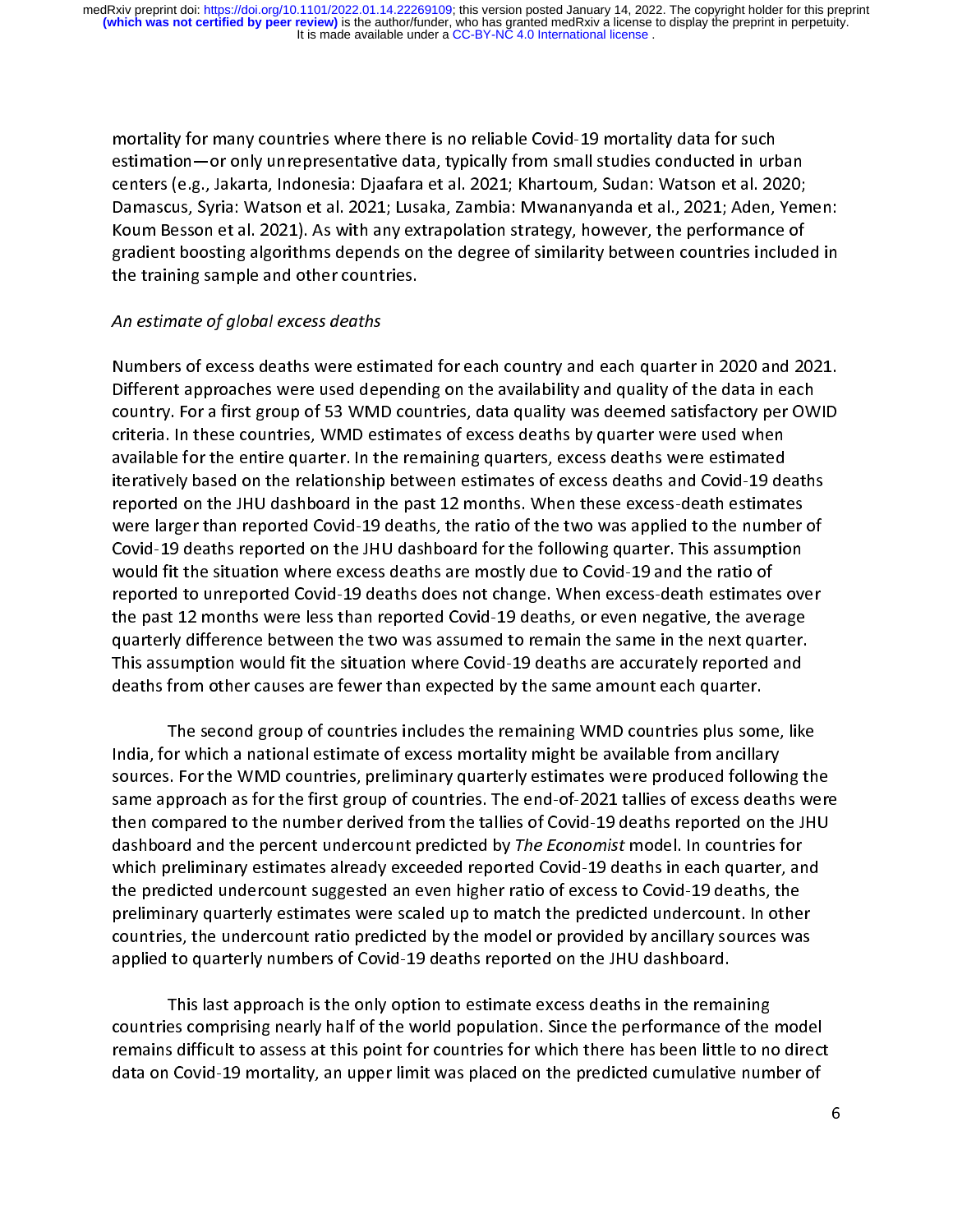estimation—or only unrepresentative data, typically from small studies conducted in urk<br>centers (e.g., Jakarta, Indonesia: Djaafara et al. 2021; Khartoum, Sudan: Watson et al. 20<br>Damascus, Syria: Watson et al. 2021; Lusaka centers (e.g., Jakarta, Indonesia: Djaafara et al. 2021; Khartoum, Sudan: Watson et al. 2020;<br>Damascus, Syria: Watson et al. 2021; Lusaka, Zambia: Mwananyanda et al., 2021; Aden, Yen<br>Koum Besson et al. 2021). As with any e centers (e.g., Jakarta, Indonesia: Jakarta et al. 2021; Indonesia: Original et al., 2021; Aden, Yem<br>Koum Besson et al. 2021). As with any extrapolation strategy, however, the performance of<br>gradient boosting algorithms dep Koum Besson et al. 2021). As with any extrapolation strategy, however, the performance of<br>gradient boosting algorithms depends on the degree of similarity between countries included in<br>the training sample and other countri gradient boosting algorithms depends on the degree of similarity between countries included in<br>the training sample and other countries. gradient bookstraand bookstraan bookstraand of the training sample and other countries.<br>An estimate of global excess deaths

# the training samples of the training samples.<br>Numbers of excess deaths were estimate An estimate of global excess deaths

า<br>.<br>- $\frac{1}{2}$ Numbers of excess deaths were estimated for each country and each quarter in 2020 and 2021.<br>Different approaches were used depending on the availability and quality of the data in each<br>country. For a first group of 53 WMD Country. For a first group of 53 WMD countries, data quality was deemed satisfactory per OW<br>criteria. In these countries, WMD estimates of excess deaths by quarter were used when<br>available for the entire quarter. In the re criteria. In these countries, WMD estimates of excess deaths by quarter were used when<br>available for the entire quarter. In the remaining quarters, excess deaths were estimated<br>iteratively based on the relationship between available for the entire quarter. In the remaining quarters, excess deaths were estimated<br>iteratively based on the relationship between estimates of excess deaths and Covid-19 de<br>reported on the JHU dashboard in the past 1 iteratively based on the relationship between estimates of excess deaths and Covid-19 deaths<br>reported on the JHU dashboard in the past 12 months. When these excess-death estimates<br>were larger than reported Covid-19 deaths, were larger than reported Covid-19 deaths, the ratio of the two was applied to the number of were larger than reported Covid-19 deaths, the ratio of the two was applied to the number<br>Covid-19 deaths reported on the JHU dashboard for the following quarter. This assumption<br>would fit the situation where excess deaths Covid-19 deaths reported on the JHU dashboard for the following quarter. This assumption<br>would fit the situation where excess deaths are mostly due to Covid-19 and the ratio of<br>reported to unreported Covid-19 deaths does n Covid-19 deaths reported on the Covid-19 deaths are mostly due to Covid-19 and the ratio of<br>reported to unreported Covid-19 deaths does not change. When excess-death estimates over<br>the past 12 months were less than reporte reported to unreported Covid-19 deaths does not change. When excess-death estimate:<br>the past 12 months were less than reported Covid-19 deaths, or even negative, the aver<br>quarterly difference between the two was assumed to the past 12 months were less than reported Covid-19 deaths, or even negative, the average<br>quarterly difference between the two was assumed to remain the same in the next quarter.<br>This assumption would fit the situation whe quarterly difference between the two was assumed to remain the same in the next quarter.<br>This assumption would fit the situation where Covid-19 deaths are accurately reported and<br>deaths from other causes are fewer than exp This assumption would fit the situation where Covid-19 deaths are accurately reported and<br>deaths from other causes are fewer than expected by the same amount each quarter.<br>The second group of countries includes the remaini deaths from other causes are fewer than expected by the same amount each quarter.<br>The second group of countries includes the remaining WMD countries plus some, like

The second group of countries includes the remaining WMD countries plus som<br>India, for which a national estimate of excess mortality might be available from ancillar<br>Sources, For the WMD countries, proliminary quarterly es  $\frac{1}{2}$ India, for which a national estimate of excess mortality might be available from ancillary<br>sources. For the WMD countries, preliminary quarterly estimates were produced following th<br>same approach as for the first group of sources. For the WMD countries, preliminary quarterly estimates were produced following the<br>same approach as for the first group of countries. The end-of-2021 tallies of excess deaths were<br>then compared to the number deriv same approach as for the first group of countries. The end-of-2021 tallies of excess deaths were<br>then compared to the number derived from the tallies of Covid-19 deaths reported on the JHU<br>dashboard and the percent underco same approach as for the first group of countries. The countries of countries in the JHU<br>dashboard and the percent undercount predicted by *The Economist* model. In countries for<br>which preliminary estimates already exceede then compared to the number derived from the difference from the derived from the reported to the deaths in countries for<br>which preliminary estimates already exceeded reported Covid-19 deaths in each quarter, and<br>the predi dashboard and the percent undercount predicted by *The Economist* model. In countries for<br>which preliminary estimates already exceeded reported Covid-19 deaths in each quarter, ar<br>the predicted undercount suggested an even the predicted undercount suggested an even higher ratio of excess to Covid-19 deaths, the<br>preliminary quarterly estimates were scaled up to match the predicted undercount. In other<br>countries, the undercount ratio predicted the predicted interesting and the production in the predicted undercount. In othe<br>preliminary quarterly estimates were scaled up to match the predicted undercount. In othe<br>countries, the undercount ratio predicted by the m countries, the undercount ratio predicted by the model or provided by ancillary sources was<br>applied to quarterly numbers of Covid-19 deaths reported on the JHU dashboard.<br>This last approach is the only option to estimate e applied to quarterly numbers of Covid-19 deaths reported on the JHU dashboard.

This last approach is the only option to estimate excess deaths in the rema<br>countries comprising nearly half of the world population. Since the performance o<br>remains difficult to assess at this point for sountries for whic  $\frac{1}{2}$ countries comprising nearly half of the world population. Since the performance of the<br>remains difficult to assess at this point for countries for which there has been little to no<br>data on Covid-19 mortality, an upper limi remains difficult to assess at this point for countries for which there has been little to no direct data on Covid-19 mortality, an upper limit was placed on the predicted cumulative number of data on Covid-19 mortality, and the predicted cumulative number of the predicted cumulative number of the pred<br>The predicted cumulative number of the predicted cumulative number of the predicted cumulative number of the p<br>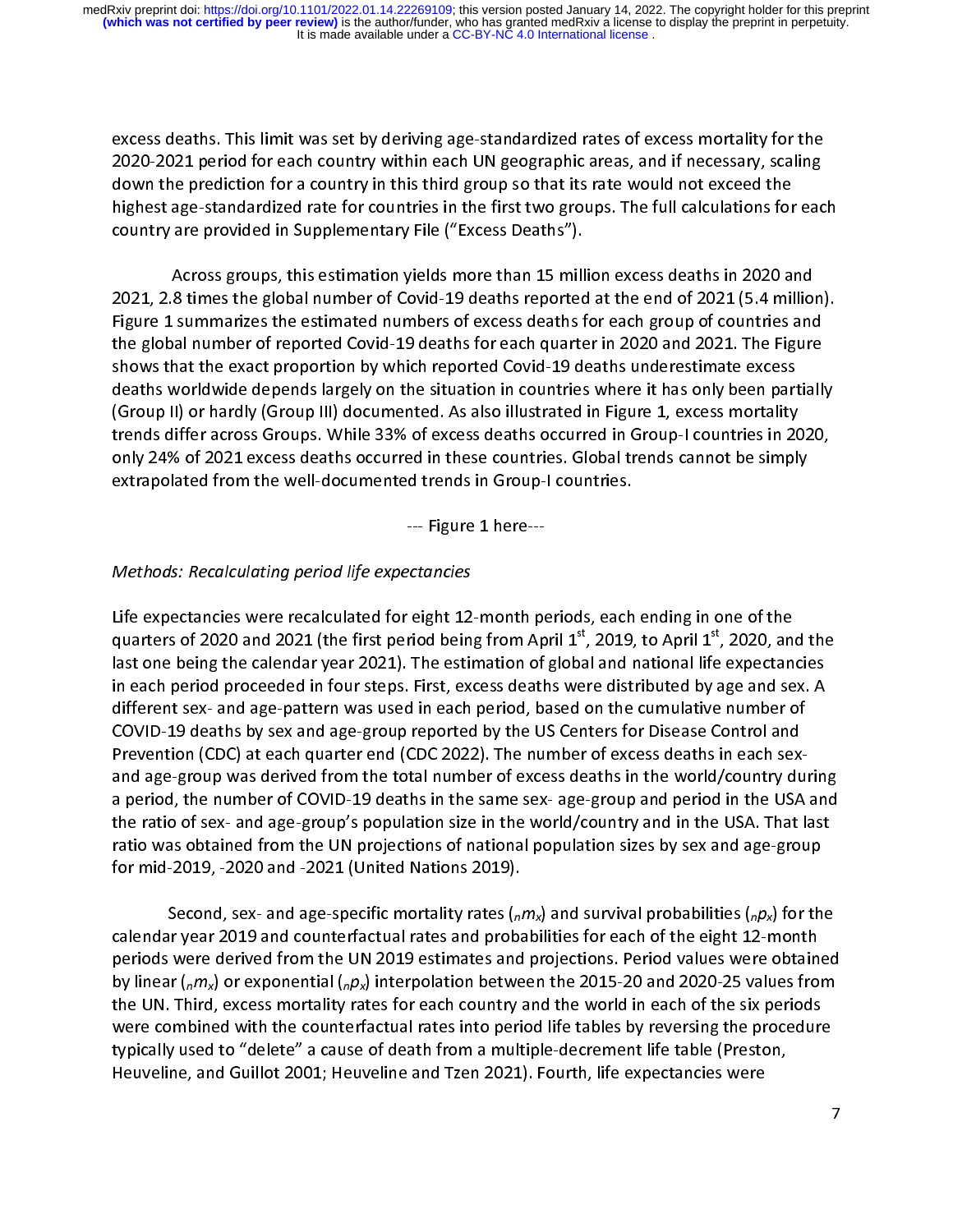2020-2021 period for each country within each UN geographic areas, and if necessary, scaling<br>down the prediction for a country in this third group so that its rate would not exceed the<br>highest age-standardized rate for cou down the prediction for a country in this third group so that its rate would not exceed the<br>highest age-standardized rate for countries in the first two groups. The full calculations for eac<br>country are provided in Supplem down the prediction for a countries in the first two groups. The full calculations for<br>highest age-standardized rate for countries in the first two groups. The full calculations for<br>country are provided in Supplementary Fi country are provided in Supplementary File ("Excess Deaths").<br>Across groups, this estimation yields more than 15 million excess deaths in 2020 and

country are provided in Supplementary and the provided in Across groups, this estimation yields more than 15 mill<br>2021, 2.8 times the global number of Covid-19 deaths reported<br>Figure 1 summarizes the estimated numbers of e 2021, 2.8 times the global number of Covid-19 deaths reported at the end of 2021 (5.4 million<br>Figure 1 summarizes the estimated numbers of excess deaths for each group of countries and<br>the global number of reported Covid-1 Figure 1 summarizes the estimated numbers of excess deaths for each group of countries and<br>the global number of reported Covid-19 deaths for each quarter in 2020 and 2021. The Figure<br>shows that the exact proportion by whic Figure 2 summarizes the economic terms of except the extended the global number of reported Covid-19 deaths for each quarter in 2020 and 2021. The Figure<br>shows that the exact proportion by which reported Covid-19 deaths un shows that the exact proportion by which reported Covid-19 deaths underestimate excess<br>deaths worldwide depends largely on the situation in countries where it has only been partially<br>(Group II) or hardly (Group III) docume deaths worldwide depends largely on the situation in countries where it has only been part<br>(Group II) or hardly (Group III) documented. As also illustrated in Figure 1, excess mortality<br>trends differ across Groups. While 3 death worldwide depends largely on the shakehold is much allegended in the situation, and allegended trends differ across Groups. While 33% of excess deaths occurred in Group-I countries in 2020, only 24% of 2021 excess de (Group II) or hardly (Group III) are inherited in the unit interaction III) or the Unit IIII, then the strength of the strength of 2021 excess deaths occurred in these countries. Global trends cannot be simply extrapolated trends after across tremper across teach contract a crosses to the securities. Global trends cannot be simply<br>extrapolated from the well-documented trends in Group-I countries.<br>Eigure 1 hore extrapolated from the well-documented trends in Group-I countries.<br>--- Figure 1 here---

# extrapolated from the well-documented trends in Group-I countries.<br>--- Figure 1 here---<br>Methods: Pecalculating period life expectancies.  $\overline{1}$ Methods: Recalculating period life expectancies

Life expectancies were recalculated for eight 12-month periods, each ending in one of the  $\frac{1}{2}$  $\begin{array}{c}\n\frac{1}{2} \\
\frac{1}{2} \\
\frac{1}{2}\n\end{array}$ quarters of 2020 and 2021 (the first period being from April  $1^{st}$ , 2019, to April  $1^{st}$ , 2020, and the last one being the calendar year 2021). The estimation of global and national life expectancies in each period proc last one being the calendar year 2021). The estimation of global and national life expectancies<br>in each period proceeded in four steps. First, excess deaths were distributed by age and sex. A<br>different sex- and age-pattern in each period proceeded in four steps. First, excess deaths were distributed by age and sex. A<br>different sex- and age-pattern was used in each period, based on the cumulative number of<br>COVID-19 deaths by sex and age-group different sex- and age-pattern was used in each period, based on the cumulative number of<br>COVID-19 deaths by sex and age-group reported by the US Centers for Disease Control and<br>Prevention (CDC) at each quarter end (CDC 20 and age-group was derived from the total number of excess deaths in the world/country during<br>a period, the number of COVID-19 deaths in the same sex- age-group and period in the USA and Prevention (CDC) at each quarter end (CDC 2022). The number of excess deaths in each sex-Prevents of some and age group o population (CDC) at the number of exception in the USA. The number of the ratio of exceptions of national population sizes by sex and age-group for mid-2019, -2020 and -2021 (United Nations a period, the number of COVID-19 deaths in the same sex- age-group and period in the USA and<br>the ratio of sex- and age-group's population size in the world/country and in the USA. That last<br>ratio was obtained from the UN p a period, the number of COVID-19 deaths in the same set and period in the USA. That last<br>the ratio was obtained from the UN projections of national population sizes by sex and age-group<br>for mid-2019, -2020 and -2021 (Unite

for mid-2019, -2020 and -2021 (United Nations 2019).<br>Second, sex- and age-specific mortality rates (<sub>n</sub>m<sub>x</sub>) and survival probabilities (<sub>n</sub>p<sub>x</sub>) for the calendar year 2019 and counterfactual rates and probabilities for each of the eight 12-month<br>periods were derived from the UN 2019 estimates and projections. Period values were obtained  $\frac{1}{2}$ Second, sex- and age-specific mortality rates ( $nMx$ ) and survival probabilities ( $npx$ ) for the<br>ir year 2019 and counterfactual rates and probabilities for each of the eight 12-month<br>were derived from the UN 2019 estimate periods were derived from the UN 2019 estimates and projections. Period values were obtain-<br>by linear ( $n/m_x$ ) or exponential ( $n/m_x$ ) interpolation between the 2015-20 and 2020-25 values from<br>the UN. Third, excess mortalit by linear ( $n/m_X$ ) or exponential ( $n/m_X$ ) interpolation between the 2015-20 and 2020-25 values from<br>the UN. Third, excess mortality rates for each country and the world in each of the six periods<br>were combined with the cou by linear ( $nMS$ ) or exponential ( $nPS$ ) interpolation between the 2015-20 and 2020-25 values from<br>the UN. Third, excess mortality rates for each country and the world in each of the six periods<br>were combined with the count were combined with the counterfactual rates into period life tables by reversing the procedure<br>typically used to "delete" a cause of death from a multiple-decrement life table (Preston,<br>Heuveline, and Guillot 2001; Heuveli typically used to "delete" a cause of death from a multiple-decrement life table (Preston,<br>Heuveline, and Guillot 2001; Heuveline and Tzen 2021). Fourth, life expectancies were<br>-Heuveline, and Guillot 2001; Heuveline and Tzen 2021). Fourth, life expectancies were Heuveline, and Guillot 2001; Heuveline and Tzen 2021). Fourth, life expectancies were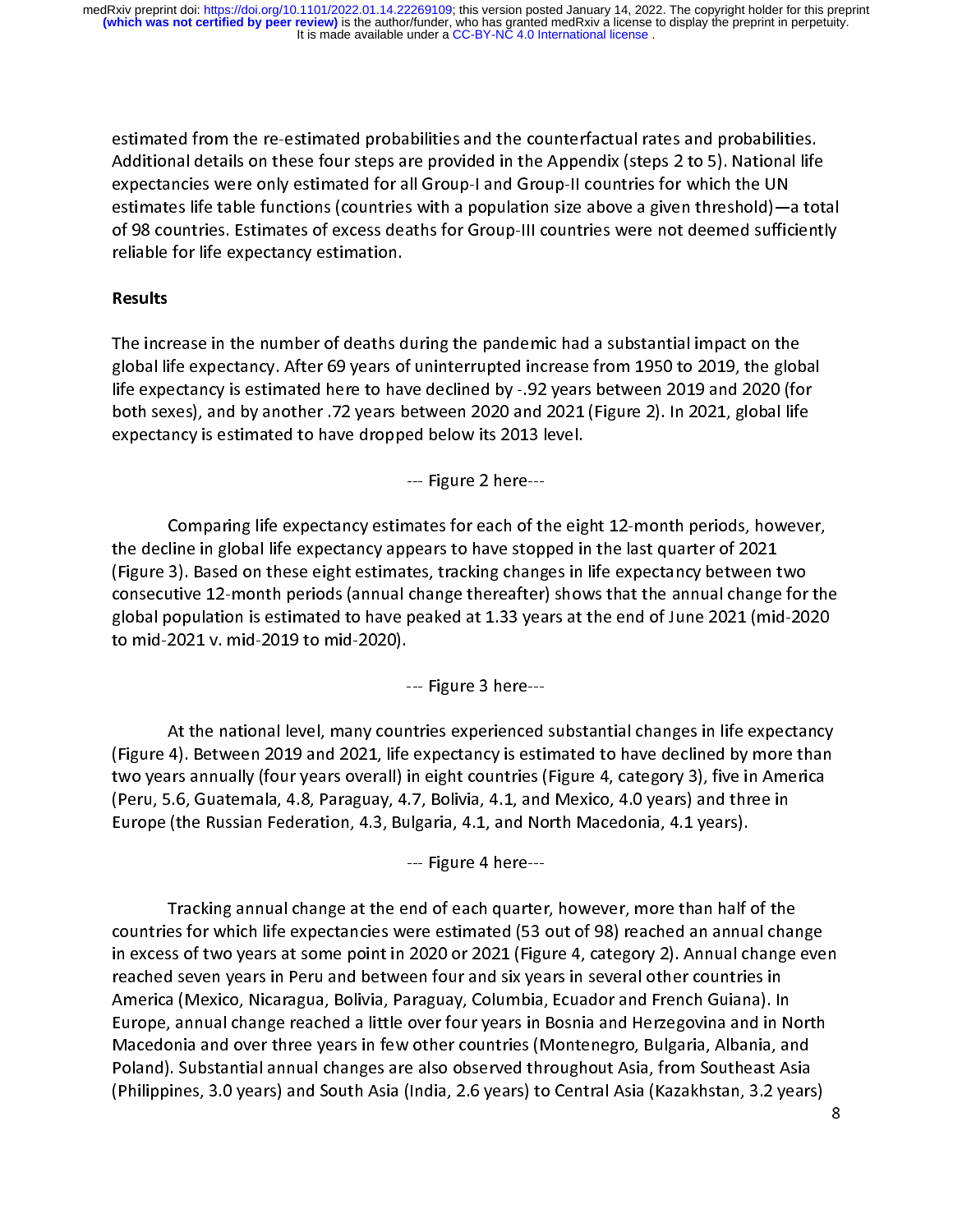estimated from the re-estimated probabilities and the counterfactual rates and probabilities.<br>Additional details on these four steps are provided in the Appendix (steps 2 to 5). National life<br>expectancies were only estimat expectancies were only estimated for all Group-I and Group-II countries for which the UN<br>estimates life table functions (countries with a population size above a given threshold)—a tot:<br>of 98 countries. Estimates of excess estimates life table functions (countries with a population size above a given threshold)—<br>of 98 countries. Estimates of excess deaths for Group-III countries were not deemed suffic<br>reliable for life expectancy estimation. of 98 countries. Estimates of excess deaths for Group-III countries were not deemed sufficiently<br>reliable for life expectancy estimation.<br>Posults of 98 countries. Estimates of expectancy estimation.<br>Results<br>Results reliable for life expectancy estimation.<br>Results<br>The increase in the number of deaths during the pandemic had a substantial impact on the

# Results

|<br>|<br>|  $\begin{array}{c} \n\blacksquare \quad \blacksquare \quad \blacksquare \quad \blacksquare \quad \blacksquare \quad \blacksquare \quad \blacksquare \quad \blacksquare \quad \blacksquare \quad \blacksquare \quad \blacksquare \quad \blacksquare \quad \blacksquare \quad \blacksquare \quad \blacksquare \quad \blacksquare \quad \blacksquare \quad \blacksquare \quad \blacksquare \quad \blacksquare \quad \blacksquare \quad \blacksquare \quad \blacksquare \quad \blacksquare \quad \blacksquare \quad \blacksquare \quad \blacksquare \quad \blacksquare \quad \blacksquare \quad \blacksquare \quad \blacksquare \quad \blacksquare \quad \blacksquare \quad \blacksquare \quad \blacksquare \quad \$ global life expectancy. After 69 years of uninterrupted increase from 1950 to 2019, the global life expectancy is estimated here to have declined by -.92 years between 2019 and 2020 (for both sexes), and by another .72 years between 2020 and 2021 (Figure 2). In 2021, global life<br>expectancy is estimated to have dropped below its 2013 level.<br>--- Figure 2 here--expectancy is estimated to have dropped below its 2013 level.

expectancy is estimated to have dropped below its 2022 level.<br>--- Figure 2 here---<br>Comparing life expectancy estimates for each of the eig  $\ddot{\phantom{0}}$ --- Figure 2 here--- י<br>ה'<br>ה' Frampland are represently remained to train from Fighter meaning the experies, however, included in the eight estimates, tracking changes in life expectancy between two utive 12-month periods (annual change thereafter) sho the decline in global life expectancy appears to have stopped in the last quarter of 2021<br>(Figure 3). Based on these eight estimates, tracking changes in life expectancy between two<br>consecutive 12-month periods (annual cha consecutive 12-month periods (annual change thereafter) shows that the annual change for<br>global population is estimated to have peaked at 1.33 years at the end of June 2021 (mid-20<br>to mid-2021 v. mid-2019 to mid-2020). global population is estimated to have peaked at 1.33 years at the end of June 2021 (mid-2020<br>to mid-2021 v. mid-2019 to mid-2020).<br>--- Figure 3 here--good is estimated to have peaked at 1.33 years at 1.33 years at 1.33 years at 1.33 years at the end of  $\frac{1}{2}$  and  $\frac{1}{2}$  are Figure 2.13 here end of  $\frac{1}{2}$  and  $\frac{1}{2}$  are  $\frac{1}{2}$  and  $\frac{1}{2}$  are  $\frac{1}{2}$ 

to mid-2021 v. mid-2019<br>2021 v. mid-2019 to mid-2019 to mid-2019 to mid-2020.<br>2021 v. mid-2020).  $\frac{1}{2}$ At the national level, many countries experienced substantial changes in life expectancy  $\frac{1}{t}$ (Figure 4). Between 2019 and 2021, life expectancy is estimated to have declined by more than two years annually (four years overall) in eight countries (Figure 4, category 3), five in America (Peru, 5.6, Guatemala, 4.8, Paraguay, 4.7, Bolivia, 4.1, and Mexico, 4.0 years) and three in<br>Europe (the Russian Federation, 4.3, Bulgaria, 4.1, and North Macedonia, 4.1 years).<br>--- Figure 4 here---Europe (the Russian Federation, 4.3, Bulgaria, 4.1, and North Macedonia, 4.1 years).

Europe (the Russian Federation, 1.13, Bulgaria, 4.1, and North Macedonia, 4.1, 2.1. years).<br>--- Figure 4 here---<br>Tracking annual change at the end of each quarter. however, more than half --- Figure 4 here---  $\frac{1}{2}$ countries for which life expectancies were estimated (53 out of 98) reached an annual change<br>in excess of two years at some point in 2020 or 2021 (Figure 4, category 2). Annual change even<br>reached seven years in Peru and b countries for which in the experiment in the term interesting (33 out of 98). Annual change every cached seven years in Peru and between four and six years in several other countries in<br>America (Mexico, Nicaragua, Bolivia, in excess of the years in Peru in 2020 or 2021 (Figure 4, category 2). In the mings of the<br>reached seven years in Peru and between four and six years in several other countries in<br>America (Mexico, Nicaragua, Bolivia, Parag reached seven years in Peru and between four and six years in Peru and French Guiana). In<br>America (Mexico, Nicaragua, Bolivia, Paraguay, Columbia, Ecuador and French Guiana). In<br>Europe, annual change reached a little over Europe, annual change reached a little over four years in Bosnia and Herzegovina and in North<br>Macedonia and over three years in few other countries (Montenegro, Bulgaria, Albania, and<br>Poland). Substantial annual changes ar Macedonia and over three years in few other countries (Montenegro, Bulgaria, Albania, and<br>Poland). Substantial annual changes are also observed throughout Asia, from Southeast Asia<br>(Philippines, 3.0 years) and South Asia ( Macedonia and over three years in terms of antities (Montenegro, Bulgaria, Amannia, and<br>Poland). Substantial annual changes are also observed throughout Asia, from Southeast Asia<br>(Philippines, 3.0 years) and South Asia (In Philippines, 3.0 years) and South Asia (India, 2.6 years) to Central Asia (Kazakhstan, 3.2 years)<br>(Philippines, 3.0 years) and South Asia (India, 2.6 years) to Central Asia<br>(Kazakhstan, 3.2 years) (Philippines, 3.0 years) and South Asia (India, 2.6 years) to Central Asia (Kazakhstan, 3.2 years)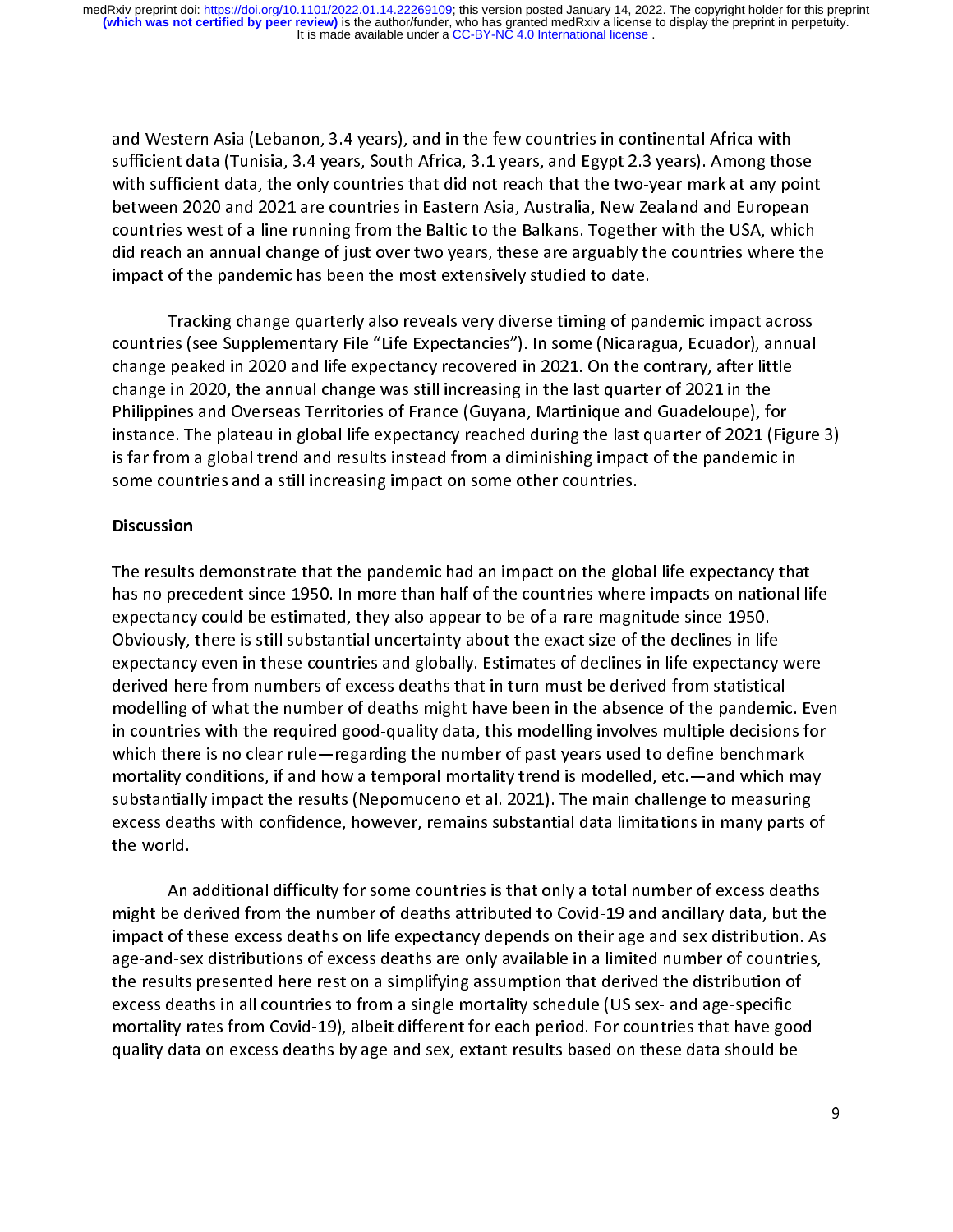and Western Asia (Lebanon, 3.4 years), and in the few countries in continental Africa with<br>sufficient data (Tunisia, 3.4 years, South Africa, 3.1 years, and Egypt 2.3 years). Among those<br>with sufficient data, the only coun with sufficient data, the only countries that did not reach that the two-year mark at any point<br>between 2020 and 2021 are countries in Eastern Asia, Australia, New Zealand and European<br>countries west of a line running from with sufficient data, the sufficient did not reach that the two-year materials, point of the original between 2020 and 2021 are countries in Eastern Asia, Australia, New Zealand and European<br>countries west of a line runnin countries west of a line running from the Baltic to the Balkans. Together with the USA, which<br>did reach an annual change of just over two years, these are arguably the countries where th<br>impact of the pandemic has been the did reach an annual change of just over two years, these are arguably the countries where the impact of the pandemic has been the most extensively studied to date.

impact of the pandemic has been the most extensively studied to date.<br>Tracking change quarterly also reveals very diverse timing of pandemic impact across impacture<br>Tracking change quarterly also reveals very diverse timing of par<br>countries (see Supplementary File "Life Expectancies"). In some (Nicarag<br>change poaked in 2020 and life expectancy recovered in 2021. On the co  $\frac{1}{2}$ countries (see Supplementary File "Life Expectancies"). In some (Nicaragua, Ecuador), annual<br>change peaked in 2020 and life expectancy recovered in 2021. On the contrary, after little<br>change in 2020, the annual change was change peaked in 2020 and life expectancy recovered in 2021. On the contrary, after little change in 2020, the annual change was still increasing in the last quarter of 2021 in the<br>Philippines and Overseas Territories of France (Guyana, Martinique and Guadeloupe), for<br>instance. The plateau in global life expecta Philippines and Overseas Territories of France (Guyana, Martinique and Guadeloupe), for Philippines and Overseas Territories Prevailing (Cuyana, Martinique and Cuadeloppe), for<br>instance. The plateau in global life expectancy reached during the last quarter of 2021 (Fig<br>is far from a global trend and results i is far from a global trend and results instead from a diminishing impact of the pandemic in some countries and a still increasing impact on some other countries.

### **Discussion**

The results demonstrate that the pandemic had an impact on the global life expectancy that i<br>L  $\frac{1}{\epsilon}$ has no precedent since 1950. In more than half of the countries where impacts on national life<br>expectancy could be estimated, they also appear to be of a rare magnitude since 1950.<br>Obviously, there is still substantial unc expectancy could be estimated, they also appear to be of a rare magnitude since 1950.<br>Obviously, there is still substantial uncertainty about the exact size of the declines in life<br>expectancy even in these countries and gl Obviously, there is still substantial uncertainty about the exact size of the declines in life<br>expectancy even in these countries and globally. Estimates of declines in life expectancy<br>derived here from numbers of excess d expectancy even in these countries and globally. Estimates of declines in life expectancy<br>derived here from numbers of excess deaths that in turn must be derived from statistical<br>modelling of what the number of deaths migh derived here from numbers of excess deaths that in turn must be derived from statistical<br>modelling of what the number of deaths might have been in the absence of the pandemic. Eve<br>in countries with the required good-qualit modelling of what the number of deaths might have been in the absence of the pandemic<br>in countries with the required good-quality data, this modelling involves multiple decision<br>which there is no clear rule—regarding the n in countries with the required good-quality data, this modelling involves multiple decisions for<br>which there is no clear rule—regarding the number of past years used to define benchmark<br>mortality conditions, if and how a t which there is no clear rule—regarding the number of past years used to define benchmark<br>mortality conditions, if and how a temporal mortality trend is modelled, etc.—and which may<br>substantially impact the results (Nepomuc mortality conditions, if and how a temporal mortality trend is modelled, etc.—and which masubstantially impact the results (Nepomuceno et al. 2021). The main challenge to measuring excess deaths with confidence, however, r mortally impact the results (Nepomuceno et al. 2021). The main challenge to measuring<br>excess deaths with confidence, however, remains substantial data limitations in many parts of<br>the world. substantially impact the results (Nepomuceno et al. 2021). The main challenge to measuring<br>excess deaths with confidence, however, remains substantial data limitations in many parts of<br>An additional difficulty for some cou

the world.<br>An additional difficulty for some countries is that only a total number of excess deaths the world.<br>An<br>might be d<br>impact of t  $\frac{1}{2}$ The derived from the number of deaths attributed to Covid-19 and ancillary data, but the<br>of these excess deaths on life expectancy depends on their age and sex distribution. As<br>d-sex distributions of excess deaths are only impact of these excess deaths on life expectancy depends on their age and sex distribution. As<br>age-and-sex distributions of excess deaths are only available in a limited number of countries,<br>the results presented here rest excess deaths in all countries to from a single mortality schedule (US sex- and age-specific the results presented here rest on a simplifying assumption that derived the distribution of<br>excess deaths in all countries to from a single mortality schedule (US sex- and age-specific<br>mortality rates from Covid-19), albe excess deaths in all countries to from a single mortality schedule (US sex- and age-specific<br>mortality rates from Covid-19), albeit different for each period. For countries that have good<br>quality data on excess deaths by a mortality rates from Covid-19), albeit different for each period. For countries that have good<br>quality data on excess deaths by age and sex, extant results based on these data should be<br>quality data on excess deaths by age quality data on excess deaths by age and sex, extant results based on these data should be  $q_{\rm max}$ , and contracting by age and sex, extraction results based on the should be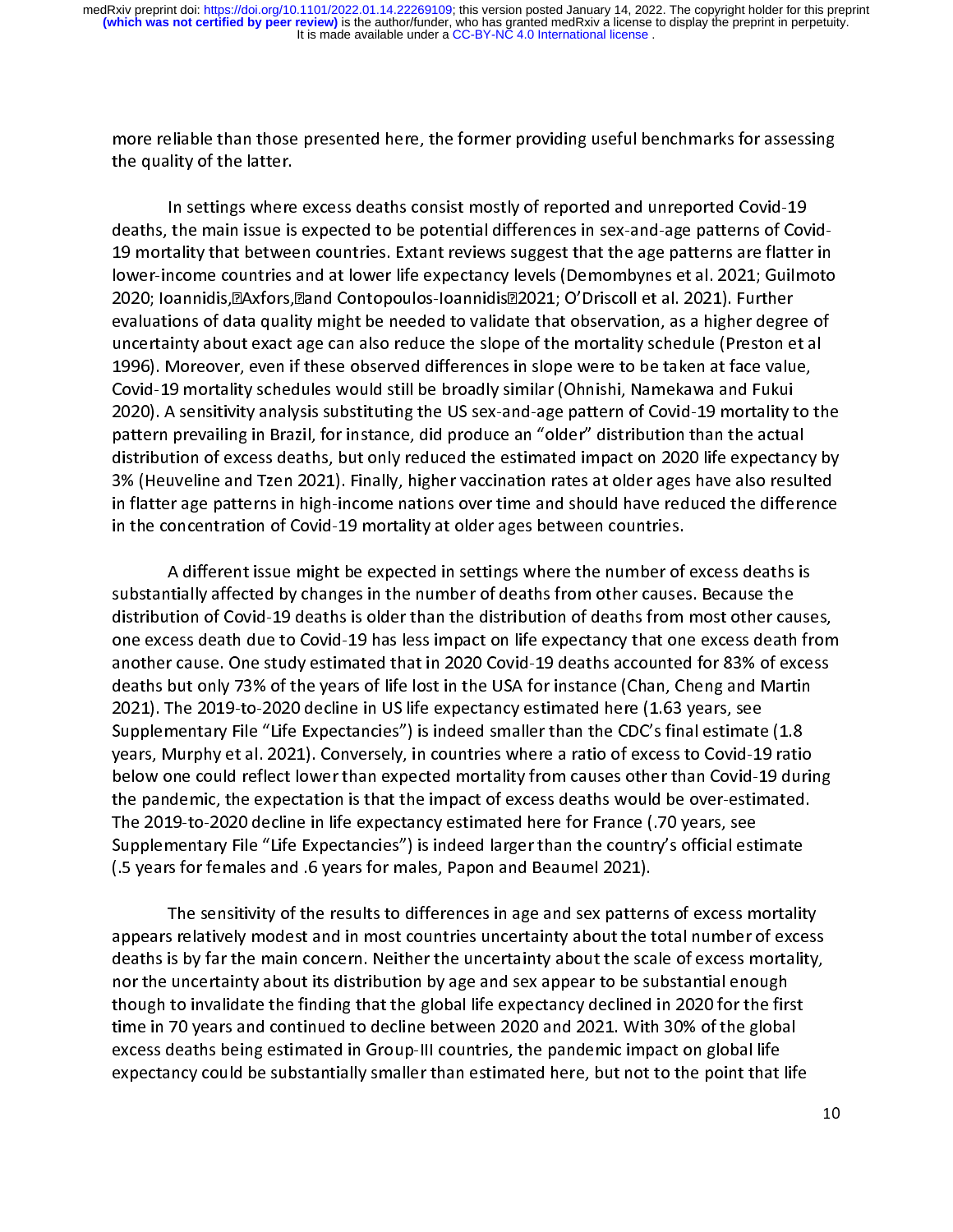more reliable than those presented here, the former providing useful benchmarks for assessing<br>the quality of the latter.<br>In settings where excess deaths consist mostly of reported and unreported Covid-19

the quality of the lattings where<br>In settings where<br>19 mortality that botwee  $\frac{1}{2}$ the main issue is expected to be potential differences in sex-and-age patterns of Cov<br>tality that between countries. Extant reviews suggest that the age patterns are flatter<br>ncome countries and at lower life expectancy le death the main issue is experience is experienced to be processed to an age patterns of Covid-age patterns of  $\alpha$ 19 mortality that between countries. Extant reviews suggest that the age patterns are flatter in<br>lower-income countries and at lower life expectancy levels (Demombynes et al. 2021; Guilmoto<br>2020; loannidis, Axfors, And Con 2020; Ioannidis, a Axfors, and Contopoulos-loannidis 2021; O'Driscoll et al. 2021). Further<br>evaluations of data quality might be needed to validate that observation, as a higher degree of<br>uncertainty about exact age can al evaluations of data quality might be needed to validate that observation, as a higher degre<br>uncertainty about exact age can also reduce the slope of the mortality schedule (Preston e<br>1996). Moreover, even if these observed 1996). Moreover, even if these observed differences in slope were to be taken at face value,<br>Covid-19 mortality schedules would still be broadly similar (Ohnishi, Namekawa and Fukui 2020). A sensitivity analysis substituting the US sex-and-age pattern of Covid-19 mortality to the Covid-19 mortality schedules would still be broadly similar (Ohnishi, Namekawa and Fukui<br>2020). A sensitivity analysis substituting the US sex-and-age pattern of Covid-19 mortality to to be the pattern prevailing in Brazil Covid-19 mortality schedules the broadly still be broadly still be applicantly formulated and the broadling to<br>2020). A sensitivity analysis substituting the US sex-and-age pattern of Covid-19 mortality to<br>2021 pattern pre 2023). A sensitivity analysis substituting the US sensitivity of Covid-19 more in the actual<br>pattern prevailing in Brazil, for instance, did produce an "older" distribution than the actual<br>distribution of excess deaths, bu pattern prevailing in Brazil, for instance, and produce and starting internation in a section distribution of excess deaths, but only reduced the estimated impact on 2020 life expectance 3% (Heuveline and Tzen 2021). Final distribution of exception, particle, the estimated impact on 2021 in 2001, 3% (Heuveline and Tzen 2021). Finally, higher vaccination rates at older ages have also resulted in flatter age patterns in high-income nations ove 33% (Heureline and Tzen 2021). Finally, higher vacantion rates at once and specified rates at our final in flatter age patterns in high-income nations over time and should have reduced the difference<br>in the concentration o in the concentration of Covid-19 mortality at older ages between countries.<br>A different issue might be expected in settings where the number of excess deaths is

substantially affected by changes in the number of deaths from other causes. Because the  $\frac{1}{1}$ distribution of Covid-19 deaths is older than the distribution of deaths from most other causes,<br>one excess death due to Covid-19 has less impact on life expectancy that one excess death from distribution of Covid-19 deaths is older than the distribution of deaths from most other cau<br>one excess death due to Covid-19 has less impact on life expectancy that one excess death<br>another cause. One study estimated that one excess death due to Covid-19 has less impact on life expectancy that one excess death from<br>another cause. One study estimated that in 2020 Covid-19 deaths accounted for 83% of excess<br>deaths but only 73% of the years of another cause. One study estimated that in 2020 Covid-19 deaths accounted for 83% of excess<br>deaths but only 73% of the years of life lost in the USA for instance (Chan, Cheng and Martin<br>2021). The 2019-to-2020 decline in U deaths but only 73% of the years of life lost in the USA for instance (Chan, Cheng and Martin<br>2021). The 2019-to-2020 decline in US life expectancy estimated here (1.63 years, see death. The 2019-to-2020 decline in US life expectancy estimated here (1.63 years, see<br>Supplementary File "Life Expectancies") is indeed smaller than the CDC's final estimate (1.8<br>years, Murphy et al. 2021). Conversely, in Supplementary File "Life Expectancies") is indeed smaller than the CDC's final estimate (1.8<br>years, Murphy et al. 2021). Conversely, in countries where a ratio of excess to Covid-19 ratio<br>below one could reflect lower than years, Murphy et al. 2021). Conversely, in countries where a ratio of excess to Covid-19 ratio<br>below one could reflect lower than expected mortality from causes other than Covid-19 dur<br>the pandemic, the expectation is that below one could reflect lower than expected mortality from causes other than Covid-19 during<br>the pandemic, the expectation is that the impact of excess deaths would be over-estimated.<br>The 2019-to-2020 decline in life expec the pandemic, the expectation is that the impact of excess deaths would be over-estimated.<br>The 2019-to-2020 decline in life expectancy estimated here for France (.70 years, see<br>Supplementary File "Life Expectancies") is in The 2019-to-2020 decline in life expectancy estimated here for France (.70 years, see<br>Supplementary File "Life Expectancies") is indeed larger than the country's official estimate<br>(.5 years for females and .6 years for mal Supplementary File "Life Expectancies") is indeed larger than the country's official est<br>(.5 years for females and .6 years for males, Papon and Beaumel 2021).<br>The sensitivity of the results to differences in 200.20d sex p Supplementary Filte Supplementary File Supplementary File Supplementary (15 years for females and sexpectancie<br>The sensitivity of the results to differences in age and sex patterns of excess mortality

appears relatively modest and in most countries uncertainty about the total number of excess<br>deaths is by far the main concern. Neither the uncertainty about the scale of excess mortality, =<br>?<br>? The sensitivity of the results to anti-termine in age and sex patterns of excess is by far the main concern. Neither the uncertainty about the scale of excess mortality, uncertainty about its distribution by age and sex ap deaths is by far the main concern. Neither the uncertainty about the scale of excess mortality,<br>nor the uncertainty about its distribution by age and sex appear to be substantial enough<br>though to invalidate the finding tha nor the uncertainty about its distribution by age and sex appear to be substantial enough<br>though to invalidate the finding that the global life expectancy declined in 2020 for the first<br>time in 70 years and continued to de though to invalidate the finding that the global life expectancy declined in 2020 for the first<br>time in 70 years and continued to decline between 2020 and 2021. With 30% of the globa<br>excess deaths being estimated in Grouptime in 70 years and continued to decline between 2020 and 2021. With 30% of the global<br>excess deaths being estimated in Group-III countries, the pandemic impact on global life<br>expectancy could be substantially smaller tha excess deaths being estimated in Group-III countries, the pandemic impact on global life<br>expectancy could be substantially smaller than estimated here, but not to the point that life<br>whethan 30% of the substantially smalle expectancy could be substantially smaller than estimated here, but not to the point that life expectancy could be substantially smaller than estimated here, but not to the point that life is the point tha<br>The point that life is the point that life is the point that life is the point that life is the point that lif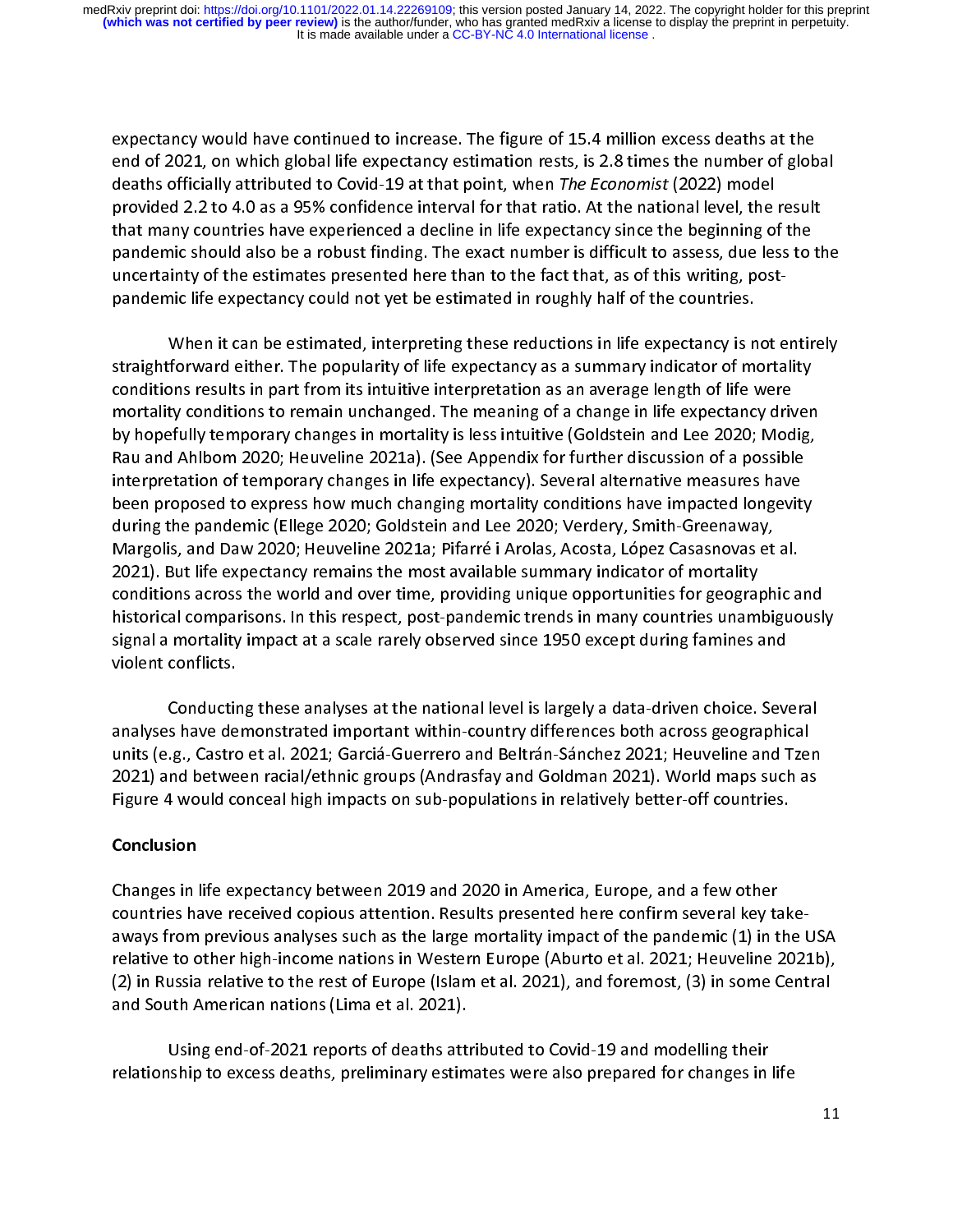expectancy would have continued to increase. The figure of 15.4 million excess deaths at the<br>end of 2021, on which global life expectancy estimation rests, is 2.8 times the number of global<br>deaths officially attributed to deaths officially attributed to Covid-19 at that point, when *The Economist* (2022) model<br>provided 2.2 to 4.0 as a 95% confidence interval for that ratio. At the national level, the result<br>that many countries have experien provided 2.2 to 4.0 as a 95% confidence interval for that ratio. At the national level, the<br>that many countries have experienced a decline in life expectancy since the beginning of<br>pandemic should also be a robust finding. provided that many countries have experienced a decline in life expectancy since the beginning of the<br>pandemic should also be a robust finding. The exact number is difficult to assess, due less to the<br>uncertainty of the es pandemic should also be a robust finding. The exact number is difficult to assess, due less to the<br>uncertainty of the estimates presented here than to the fact that, as of this writing, post-<br>pandemic life expectancy could uncertainty of the estimates presented here than to the fact that, as of this writing, post-<br>pandemic life expectancy could not yet be estimated in roughly half of the countries.<br>When it can be estimated, interpreting thes

uncertainty of the estimates, meaplemy areas researched in the expectation proves partic life the could not be the could not be estimated interpreting these reductions in life expectancy is not interpreting the could straightforward either. The popularity of life expectancy as a summary indicator of mea  $rac{5}{3}$ Moreover the estimated, interpreting interpretient in the experiency is not entirely.<br>
Shows results in part from its intuitive interpretation as an average length of life were<br>
ty conditions to remain unchanged. The meani conditions results in part from its intuitive interpretation as an average length of life were<br>mortality conditions to remain unchanged. The meaning of a change in life expectancy driven<br>by hopefully temporary changes in m mortality conditions to remain unchanged. The meaning of a change in life expectancy drived by hopefully temporary changes in mortality is less intuitive (Goldstein and Lee 2020; Mod<br>Rau and Ahlbom 2020; Heuveline 2021a). mortally temporary changes in mortality is less intuitive (Goldstein and Lee 2020; Modig,<br>Rau and Ahlbom 2020; Heuveline 2021a). (See Appendix for further discussion of a possible<br>interpretation of temporary changes in lif By the persity temporary changes in mortgan temporations (Controller and and Ahlbom 2020; Heuveline 2021a). (See Appendix for further discussion of a possible interpretation of temporary changes in life expectancy). Severa Interpretation of temporary changes in life expectancy). Several alternative measures have<br>been proposed to express how much changing mortality conditions have impacted longevity<br>during the pandemic (Ellege 2020; Goldstein interpretation of temperary changes in the expectation, the changing measure instance in the band on the pandemic (Ellege 2020; Goldstein and Lee 2020; Verdery, Smith-Greenaway,<br>Margolis, and Daw 2020; Heuveline 2021a; Pif during the pandemic (Ellege 2020; Goldstein and Lee 2020; Verdery, Smith-Greenaway,<br>Margolis, and Daw 2020; Heuveline 2021a; Pifarré i Arolas, Acosta, López Casasnovas et al.<br>2021). But life expectancy remains the most ava Margolis, and Daw 2020; Heuveline 2021a; Pifarré i Arolas, Acosta, López Casasnovas et<br>2021). But life expectancy remains the most available summary indicator of mortality<br>conditions across the world and over time, providi Margolis, and Daw 2021), Heliseman 2021, But life expectancy remains the most available summary indicator of mortality<br>conditions across the world and over time, providing unique opportunities for geographic a<br>historical c conditions across the world and over time, providing unique opportunities for geographistorical comparisons. In this respect, post-pandemic trends in many countries unam<br>signal a mortality impact at a scale rarely observed historical comparisons. In this respect, post-pandemic trends in many countries unambiguously<br>signal a mortality impact at a scale rarely observed since 1950 except during famines and<br>violent conflicts. signal a mortality impact at a scale rarely observed since 1950 except during famines and<br>violent conflicts.<br>Conducting these analyses at the national level is largely a data-driven choice. Several violent conflicts.<br>Conducting these analyses at the national level is largely a data-driven choice. Several

analyses have demonstrated important within-country differences both across geographical  $\frac{1}{2}$ units (e.g., Castro et al. 2021; Garciá-Guerrero and Beltrán-Sánchez 2021; Heuveline and Tzen<br>2021) and between racial/ethnic groups (Andrasfay and Goldman 2021). World maps such as units (e.g., Castro et al. 2021; Garciá-Guerrero and Beltrán-Sánchez 2021; Heuveline and Tzer<br>2021) and between racial/ethnic groups (Andrasfay and Goldman 2021). World maps such as<br>Figure 4 would conceal high impacts on s unit (e.g.) castro et al. 2021) and between racial/ethnic groups (Andrasfay and Goldman 2021). World maps such as<br>Figure 4 would conceal high impacts on sub-populations in relatively better-off countries.<br>Conclusion 2022) and between rating entity groups (Collection, and Goldman 2022). We have maps such as<br>Figure 4 would conceal high impacts on sub-populations in relatively better-off countries.<br>Conclusion

### Conclusion

Changes in life expectancy between 2019 and 2020 in America, Europe, and a few other  $\frac{1}{2}$ くくこ countries have received copious attention. Results presented here confirm several key take-<br>aways from previous analyses such as the large mortality impact of the pandemic (1) in the USA<br>relative to other high-income natio and South American nations (Lima et al. 2021). relative to other high-income nations in Western Europe (Aburto et al. 2021; Heuveline 2021b),<br>(2) in Russia relative to the rest of Europe (Islam et al. 2021), and foremost, (3) in some Central<br>and South American nations (2) in Russia relative to the rest of Europe (Islam et al. 2021), and foremost, (3) in some Central<br>and South American nations (Lima et al. 2021).<br>I lsing and of 2021 reports of doaths attributed to Covid 19 and modelling

Using end-of-2021 reports of deaths attributed to Covid-19 and modelling their م<br>Using end-of-2021 reports of deaths att<br>relationship to excess deaths, preliminary estim  $\mathbf{r}$ Using the OF-2021 reports of deaths attributed to Covid-19 and modelling their<br>ship to excess deaths, preliminary estimates were also prepared for changes in relationship to excess deaths, preliminary estimates were also prepared for changes in life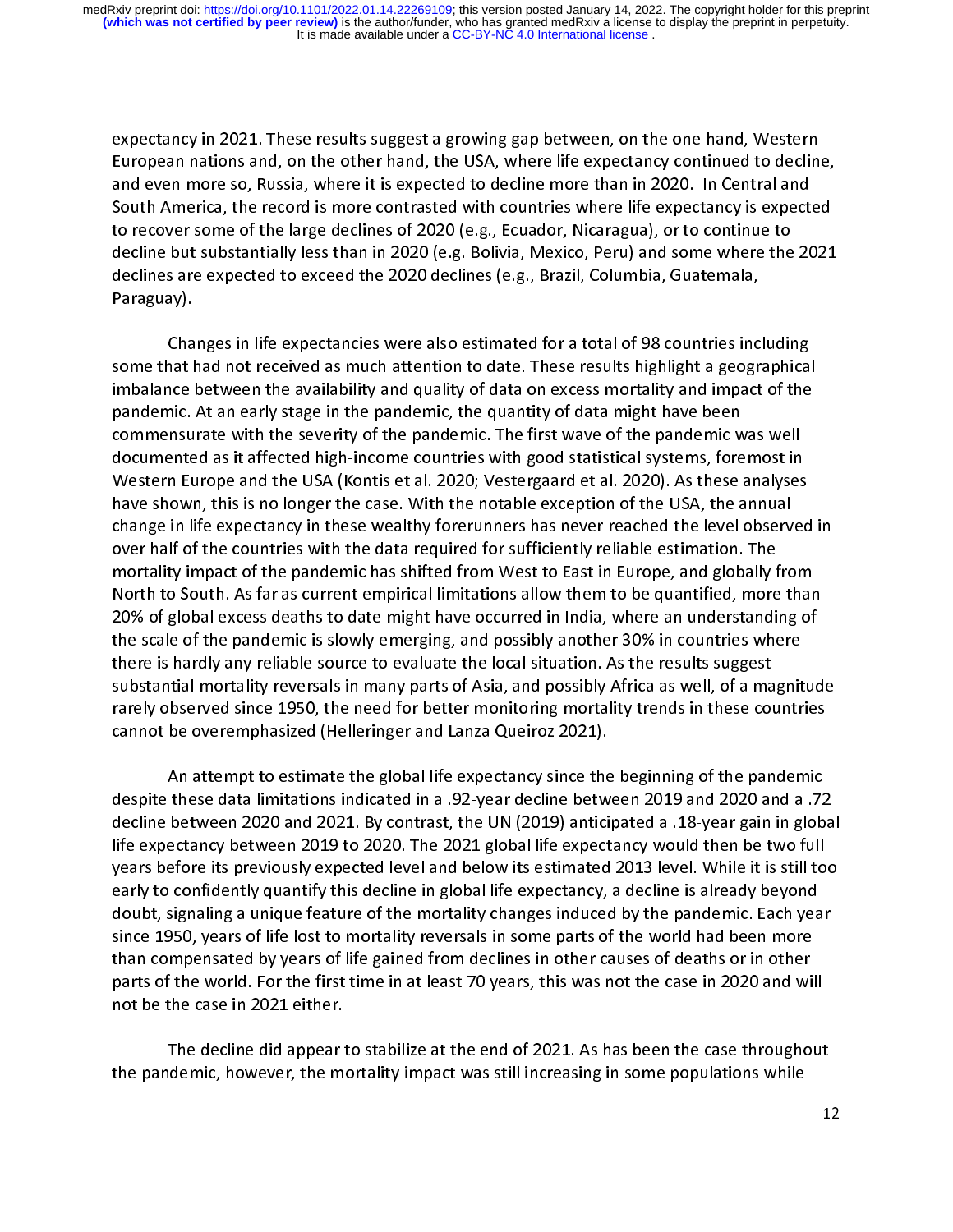expectancy in 2021. These results suggest a growing gap between, on the one hand, Western<br>European nations and, on the other hand, the USA, where life expectancy continued to decline,<br>and even more so, Russia, where it is and even more so, Russia, where it is expected to decline more than in 2020. In Central and<br>South America, the record is more contrasted with countries where life expectancy is expected<br>to recover some of the large decline and even more so, massis, and the supersor of a series more than in 2020. The south America, the record is more contrasted with countries where life expectancy is expected to recover some of the large declines of 2020 (e.g to recover some of the large declines of 2020 (e.g., Ecuador, Nicaragua), or to continue to<br>decline but substantially less than in 2020 (e.g. Bolivia, Mexico, Peru) and some where the 2021<br>declines are expected to exceed t decline but substantially less than in 2020 (e.g. Bolivia, Mexico, Peru) and some where the 2021<br>declines are expected to exceed the 2020 declines (e.g., Brazil, Columbia, Guatemala,<br>Paraguay). declines are expected to exceed the 2020 declines (e.g., Brazil, Columbia, Guatemala,

Changes in life expectancies were also estimated for a total of 98 countries including ر<br>Cha<br>| some that<br>| imbalance (<br>า<br>ี Thing the interactive were also experience in the total of the including that had not received as much attention to date. These results highlight a geographicance between the availability and quality of data on excess mort imbalance between the availability and quality of data on excess mortality and impact of the<br>pandemic. At an early stage in the pandemic, the quantity of data might have been<br>commensurate with the severity of the pandemic. information between the availability and quality of the availability and impact of the pandemic. At an early stage in the pandemic, the quantity of data might have been<br>commensurate with the severity of the pandemic. The f pandemic of the pandemic. The first wave of the pandemic wommensurate with the severity of the pandemic. The first wave of the pandemic word documented as it affected high-income countries with good statistical systems, fo commented as it affected high-income countries with good statistical systems, foremost in<br>Western Europe and the USA (Kontis et al. 2020; Vestergaard et al. 2020). As these analyses<br>have shown, this is no longer the case. Western Europe and the USA (Kontis et al. 2020; Vestergaard et al. 2020). As these analyses<br>have shown, this is no longer the case. With the notable exception of the USA, the annual<br>change in life expectancy in these wealt change in life expectancy in these wealthy forerunners has never reached the level observed in change in life expectancy in these wealthy forerunners has never reached the level observ<br>over half of the countries with the data required for sufficiently reliable estimation. The<br>mortality impact of the pandemic has shi over half of the countries with the data required for sufficiently reliable estimation. The<br>mortality impact of the pandemic has shifted from West to East in Europe, and globally from<br>North to South. As far as current empi over the countries with the countries with such the countries with the mortality impact of the pandemic has shifted from West to East in Europe, and globally f<br>North to South. As far as current empirical limitations allow North to South. As far as current empirical limitations allow them to be quantified, more than 20% of global excess deaths to date might have occurred in India, where an understanding of the scale of the pandemic is slowly 20% of global excess deaths to date might have occurred in India, where an understanding of substantial mortality reversals in many parts of Asia, and possibly Africa as well, of a magnitude there is hardly any reliable source to evaluate the local situation. As the results suggest<br>substantial mortality reversals in many parts of Asia, and possibly Africa as well, of a magnit<br>rarely observed since 1950, the ne substantial mortality reversals in many parts of Asia, and possibly Africa as well, of a ma<br>rarely observed since 1950, the need for better monitoring mortality trends in these cou<br>cannot be overemphasized (Helleringer and substantial mortality, procession mortality parts of Asia, processing parts in many processions rately observed since 1950, the need for better monitoring mortality trends in these countries<br>cannot be overemphasized (Helle cannot be overemphasized (Helleringer and Lanza Queiroz 2021).<br>An attempt to estimate the global life expectancy since the beginning of the pandemic

despite these data limitations indicated in a .92-year decline between 2019 and 2020 and a .72 י<br>ס<br>ו these data limitations indicated in a .92-year decline between 2019 and 2020 and a .72<br>between 2020 and 2021. By contrast, the UN (2019) anticipated a .18-year gain in glob<br>ectancy between 2019 to 2020. The 2021 global lif decline between 2020 and 2021. By contrast, the UN (2019) anticipated a .18-year gain in globa<br>life expectancy between 2019 to 2020. The 2021 global life expectancy would then be two full<br>years before its previously expect life expectancy between 2019 to 2020. The 2021 global life expectancy would then be two full<br>years before its previously expected level and below its estimated 2013 level. While it is still too<br>early to confidently quantif life experiency between 2019 to 2019 to 2019 to 2019 to 2019 to 2019 to 2019 to 2019 to 2019 to confidently quantify this decline in global life expectancy, a decline is already beyond<br>doubt, signaling a unique feature of early to confidently quantify this decline in global life expectancy, a decline is already beyond<br>doubt, signaling a unique feature of the mortality changes induced by the pandemic. Each year<br>since 1950, years of life lost early to confidently quantify the accuration in graditic energy and the particle in early a system doubt, signaling a unique feature of the mortality changes induced by the pandemic. Each years since 1950, years of life lo doubt, since 1950, years of life lost to mortality reversals in some parts of the world had been more<br>than compensated by years of life gained from declines in other causes of deaths or in other<br>parts of the world. For the than compensated by years of life gained from declines in other causes of deaths or in other<br>parts of the world. For the first time in at least 70 years, this was not the case in 2020 and wil<br>not be the case in 2021 either parts of the world. For the first time in at least 70 years, this was not the case in 2020 and wi<br>not be the case in 2021 either.<br>The decline did appear to stabilize at the end of 2021. As has been the sase througher not be the case in 2021 either.<br>The decline did appear to stabilize at the end of 2021. As has been the case throughout

1 The decline did appear<br>•the pandemic, however, the m  $\frac{1}{10}$ The decline and appear to stabilize at the end of 2021. As he can also at the case in some populations while<br>demic, however, the mortality impact was still increasing in some populations while<br>1. the pandemic, however, the mortality impact was still increasing in some populations while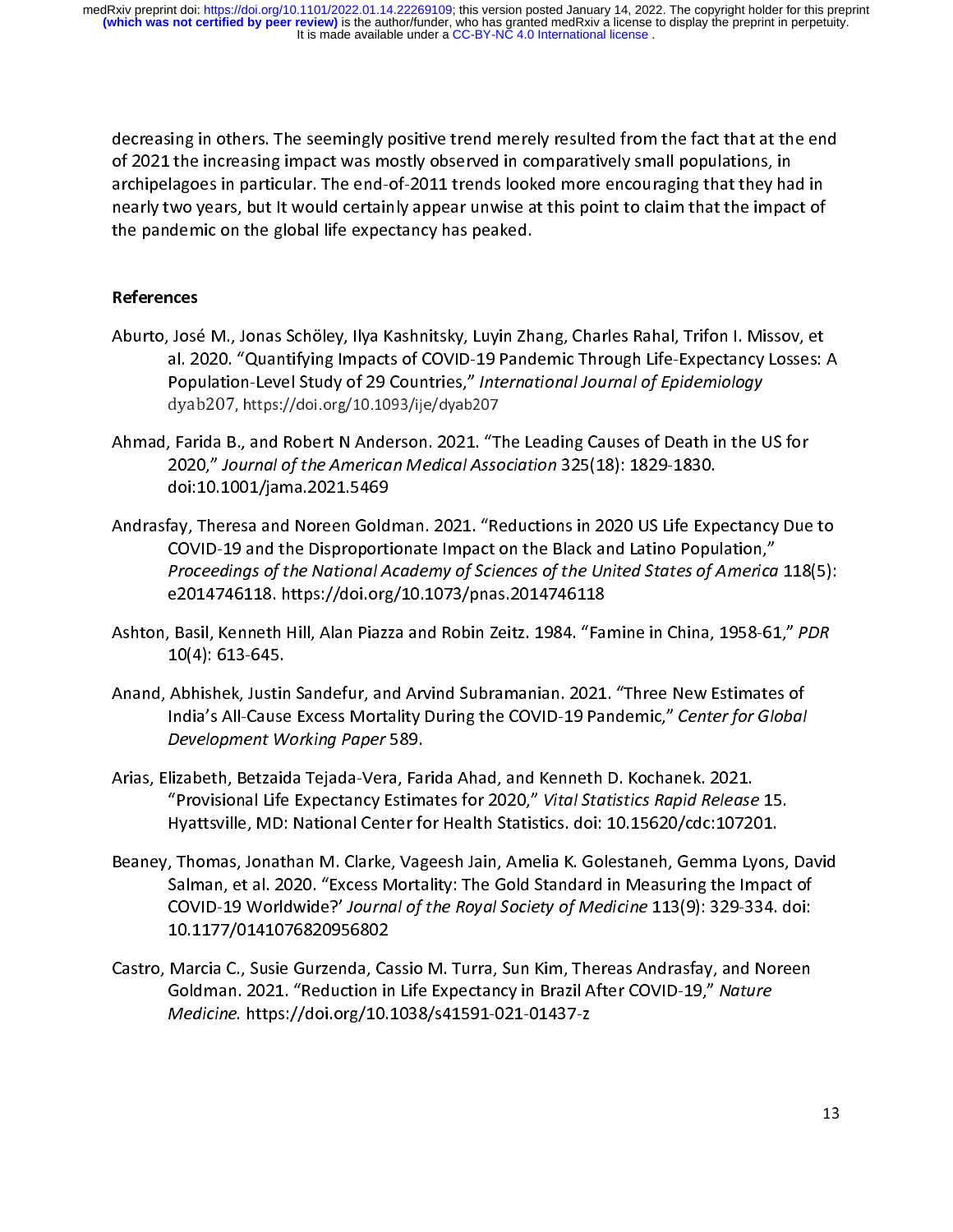of 2021 the increasing impact was mostly observed in comparatively small populations, in<br>archipelagoes in particular. The end-of-2011 trends looked more encouraging that they had in<br>nearly two years, but It would certainly of 2021 the increasing impact was mostly observed in comparatively small populations, in<br>archipelagoes in particular. The end-of-2011 trends looked more encouraging that they had in archipelagoes in particular. The end-of-2011 trends looked more energing matter, that in<br>nearly two years, but it would certainly appear unwise at this point to claim that the impact of<br>the pandemic on the global life expe the pandemic on the global life expectancy has peaked. the participant of the global life expectance of the global life expectance of the global life expectance of the global life expectance of the global life expectance of the global life expectance of the global life expecta

# $\begin{array}{c}\n\cdot \\
\cdot \\
\cdot\n\end{array}$ **References**

- Aburto, José M., Jonas Schöley, Ilya Kashnitsky, Luyin Zhang, Charles Rahal, Trifon I. Missov, et<br>al. 2020. "Quantifying Impacts of COVID-19 Pandemic Through Life-Expectancy Losses: A<br>Population-Level Study of 29 Countries Population-Level Study of 29 Countries," International Journal of Epidemiology
- Population-Level Study of 25 Countries," *International Sournal of Epidemiology*<br>dyab207, https://doi.org/10.1093/ije/dyab207<br>Farida B., and Robert N Anderson. 2021. "The Leading Causes of Death in the l,<br>2020 " Journal of dyab207, https://doi.org/10.1093/ije/dyab207<br>, Farida B., and Robert N Anderson. 2021. "T<br>2020," Journal of the American Medical Asso 2020," Journal of the American Medical Association 325(18): 1829-1830.<br>doi:10.1001/jama.2021.5469
- 2020, "Journal of the American Medical Association 323(18): 1829-1830.<br>doi:10.1001/jama.2021.5469<br>fay, Theresa and Noreen Goldman. 2021. "Reductions in 2020 US Life Exp<br>COVID-19 and the Disproportionate Impact on the Black doi:<br>Fay, Theresa and Noreen Gold<br>COVID-19 and the Disproporti COVID-19 and the Disproportionate Impact on the Black and Latino Population,"<br>Proceedings of the National Academy of Sciences of the United States of America 118(5):<br>e2014746118. https://doi.org/10.1073/pnas.2014746118 Proceedings of the National Academy of Sciences of the United States of America<br>e2014746118. https://doi.org/10.1073/pnas.2014746118<br>Basil, Kenneth Hill, Alan Biazza and Bobin Zeitz, 1984. "Eamine in China, 1958-61
- Proceedings of the National Academy of Sciences of the Office States of America 118(5):<br>e2014746118. https://doi.org/10.1073/pnas.2014746118<br>, Basil, Kenneth Hill, Alan Piazza and Robin Zeitz. 1984. "Famine in China, 1958eader of the 2014 of the Carlos Conductor Products.<br>Basil, Kenneth Hill, Alan Piazza and Robin Zeitz. 1984. "Far<br>10(4): 613-645. Ashton, Basil, Basil, Basil, Basil, Basil, Basil, Basil, Basil, Basil, 2011<br>Anand, Abhishek, Justin Sandefur, and Arvind Subramanian. 2021. "Three New Estimates of
- 10)<br>Abhishek, Justir<br>India's All-Cause<br>Development M India's All-Cause Excess Mortality During the COVID-19 Pandemic," Center for Global<br>Development Working Paper 589.<br>Arias Elizabeth Betzaida Tejada Vera Earida Abad and Kenneth D. Kechanek, 2021.
- India's All-Cause Excess Mortality During the COVID-19 Pandemic, "Center for Global"<br>Development Working Paper 589.<br>Iizabeth, Betzaida Tejada-Vera, Farida Ahad, and Kenneth D. Kochanek. 2021.<br>"Provisional Life Expectancy E Development Working Paper 589.<br>Iizabeth, Betzaida Tejada-Vera, Fai<br>"Provisional Life Expectancy Estim "Provisional Life Expectancy Estimates for 2020," *Vital Statistics Rapid Release* 15.<br>Hyattsville, MD: National Center for Health Statistics. doi: 10.15620/cdc:107201.
- Trovisional Life Expectancy Estimates for 2020, "Vital Statistics Rapid Release 15.<br>Hyattsville, MD: National Center for Health Statistics. doi: 10.15620/cdc:107201.<br>Thomas, Jonathan M. Clarke, Vageesh Jain, Amelia K. Gole Hyatterma, Machimian Pancel Center for Health Statistics. 2017, 1992, 2013.<br>Thomas, Jonathan M. Clarke, Vageesh Jain, Amelia K. Golestaneh, Gemma Lyon.<br>Salman, et al. 2020. "Excess Mortality: The Gold Standard in Measuring Salman, et al. 2020. "Excess Mortality: The Gold Standard in Measuring the Impact of<br>COVID-19 Worldwide?' Journal of the Royal Society of Medicine 113(9): 329-334. doi:<br>10.1177/0141076820956802 COVID-19 Worldwide?' Journal of the Royal Society of Medicine 113(9): 329-334. doi:<br>10.1177/0141076820956802<br>Marcia C. Susie Gurzenda, Cassio M. Turra, Sun Kim, Thereas Andrasfay, and Noreen
- COVID-19 Worldwide?' Journal of the Royal Society of Medicine 113(9): 329-334. doi:<br>10.1177/0141076820956802<br>Marcia C., Susie Gurzenda, Cassio M. Turra, Sun Kim, Thereas Andrasfay, and Noreen<br>Goldman, 2021. "Reduction in L 10.1177/0141076820956802 Goldman. 2021. "Reduction in Life Expectancy in Brazil After COVID-19," Nature Medicine. https://doi.org/10.1038/s41591-021-01437-z  $m$ edicine. https://doi.org/10.1030/341591-021-01437-z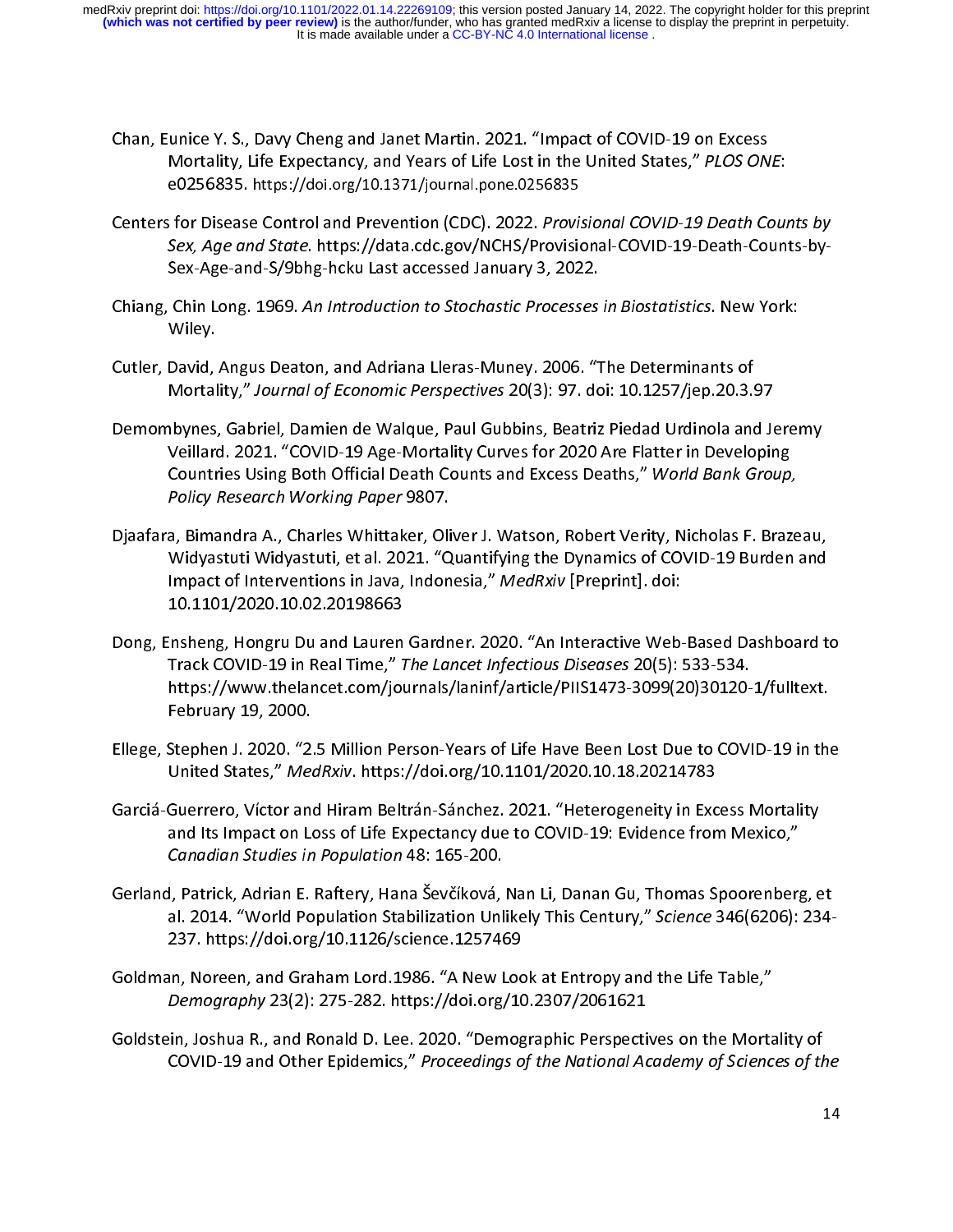- Chan, Eunice Y. S., Davy Cheng and Janet Martin. 2021. "Impact of COVID-19 on Excess<br>Mortality, Life Expectancy, and Years of Life Lost in the United States," PLOS ONE:<br>e0256835. https://doi.org/10.1371/journal.pone.025683
- Mortanty, Life Expectancy, and Years of Life Lost in the United States," PLOS ONE:<br>e0256835. https://doi.org/10.1371/journal.pone.0256835<br>for Disease Control and Prevention (CDC). 2022. Provisional.COVID-19 Death-County e0256835. https://doi.org/10.1371/journal.pone.0256835<br>i for Disease Control and Prevention (CDC). 2022. Provisit<br>Sex. Age and State. https://data.cdc.gov/NCHS/Provisit Sex, Age and State. https://data.cdc.gov/NCHS/Provisional-COVID-19-Death-Counts-by-<br>Sex-Age-and-S/9bhg-hcku Last accessed January 3, 2022.
- Sex, Age and State. https://data.cdc.gov/NCHS/Provisional-COVID-19-Death-Counts-by-<br>Sex-Age-and-S/9bhg-hcku Last accessed January 3, 2022.<br>Chin Long. 1969. An Introduction to Stochastic Processes in Biostatistics. New York Sex-Age-and-S/9b<br>Chin Long. 1969. An Introduction to Stochastic Processes<br>Wiley.
- Chiang, Chin Long. 1969. An Introduction to Stochastic Processes in Biostatistics. New York:<br>Wiley.<br>Cutler, David, Angus Deaton, and Adriana Lleras-Muney. 2006. "The Determinants of<br>Mortality." Journal of Economic Perspect ,<br>David,<br>Mortal
- Cut Mortality," Journal of Economic Perspectives 20(3): 97. doi: 10.1257/jep.20.3.<br>Demombynes, Gabriel, Damien de Walque, Paul Gubbins, Beatriz Piedad Urdinola and<br>Veillard, 2021, "COVID-19 Age-Mortality Curves for 2020 Ar Mortanty, "Journal of Economic Perspectives 20(3): 97. doi: 10.12377jep.20.3.97<br>hbynes, Gabriel, Damien de Walque, Paul Gubbins, Beatriz Piedad Urdinola and Je<br>Veillard. 2021. "COVID-19 Age-Mortality Curves for 2020 Are Fl Veillard. 2021. "COVID-19 Age-Mortality Curves for 2020 Are Flatter in Developing<br>Countries Using Both Official Death Counts and Excess Deaths," World Bank Group,<br>Policy Research Working Paper 9807. Countries Using Both Official Death Counts and Excess Deaths," World Bank Group,<br>Policy Research Working Paper 9807.<br>2. Bimandra A. Charles Whittaker, Oliver J. Watson, Bobert Verity, Nicholas E. Braz
- Countries Osing Both Official Death Counts and Excess Deaths, "World Bank Group,"<br>Policy Research Working Paper 9807.<br>3. Bimandra A., Charles Whittaker, Oliver J. Watson, Robert Verity, Nicholas F. Braze Policy Research Working Paper 5807.<br>a, Bimandra A., Charles Whittaker, Oli<br>Widyastuti Widyastuti, et al. 2021. "Q Widyastuti Widyastuti, et al. 2021. "Quantifying the Dynamics of COVID-19 Burden and<br>Impact of Interventions in Java, Indonesia," *MedRxiv* [Preprint]. doi:<br>10.1101/2020.10.02.20198663 Impact of Interventions in Java, Indonesia," MedRxiv [Preprint]. doi:
- Dong, Ensheng, Hongru Du and Lauren Gardner. 2020. "An Interactive Web-Based Dashboard to -------,------------------<br>insheng, Hongru Du and Lauren<br>Track COVID-19 in Real Time," 1 Track COVID-19 in Real Time," The Lancet Infectious Diseases 20(5): 533-534.<br>https://www.thelancet.com/journals/laninf/article/PIIS1473-3099(20)30120-1/fulltext.<br>February 19, 2000. https://www.thelancet.com/journals/laninf/article/PIIS1473-3099(20)30120-1/fulltext.<br>February 19, 2000.
- https://www.thelancet.com/journals/landary.https://www.thelancet.com/journals/landary<br>February 19, 2000.<br>United States " *MedBxiu, https://doi.org/1*0, 1101/2020, 10, 18, 2021/1783. February 29, 2020.<br>Stephen J. 2020. "2.<br>United States," Med United States," *MedRxiv*. https://doi.org/10.1101/2020.10.18.20214783<br>Garciá-Guerrero, Víctor and Hiram Beltrán-Sánchez. 2021. "Heterogeneity in Excess Mortality
- United States," *Medhan*: https://doi.org/10.1101/2020.10.10.20214783<br>Guerrero, Víctor and Hiram Beltrán-Sánchez. 2021. "Heterogeneity in Exc<br>and Its Impact on Loss of Life Expectancy due to COVID-19: Evidence fron Farcia-Guerrero, Víctor and Historián Beltrán, Pantorez. 2021. November, pensa, pantorez. Mortality and Its Impact on Loss of Life Expectancy due to COVID-19: Evidence from Mexico,"<br>Canadian Studies in Population 48: 165-2
- and Its Impact on Loss of Life Engels.<br>2014 Canadian Studies in Population 48: 165-200.<br>1. Patrick, Adrian E. Raftery, Hana Ševčíková, Nan Li, Danan Gu, Thomas Spoorenberg Canadian Stadies in Population 48: 165-200.<br>I, Patrick, Adrian E. Raftery, Hana Ševčíková,<br>al. 2014. "World Population Stabilization Unl al. 2014. "World Population Stabilization Unlikely This Century," Science 346(6206): 234-<br>237. https://doi.org/10.1126/science.1257469
- Goldman, Noreen, and Graham Lord. 1986. "A New Look at Entropy and the Life Table," Demography 23(2): 275-282. https://doi.org/10.2307/2061621
- Goldstein, Joshua R., and Ronald D. Lee. 2020. "Demographic Perspectives on the Mortality of Demography 23(2): 275-202. https://doi.org/10.2307/2001021<br>in, Joshua R., and Ronald D. Lee. 2020. "Demographic Perspecti<br>COVID-19 and Other Epidemics," Proceedings of the National Ad COVID-19 and Other Epidemics," Proceedings of the National Academy of Sciences of the<br>1 COVID-19 and Other Epidemics," Proceedings of the National Academy of Sciences of the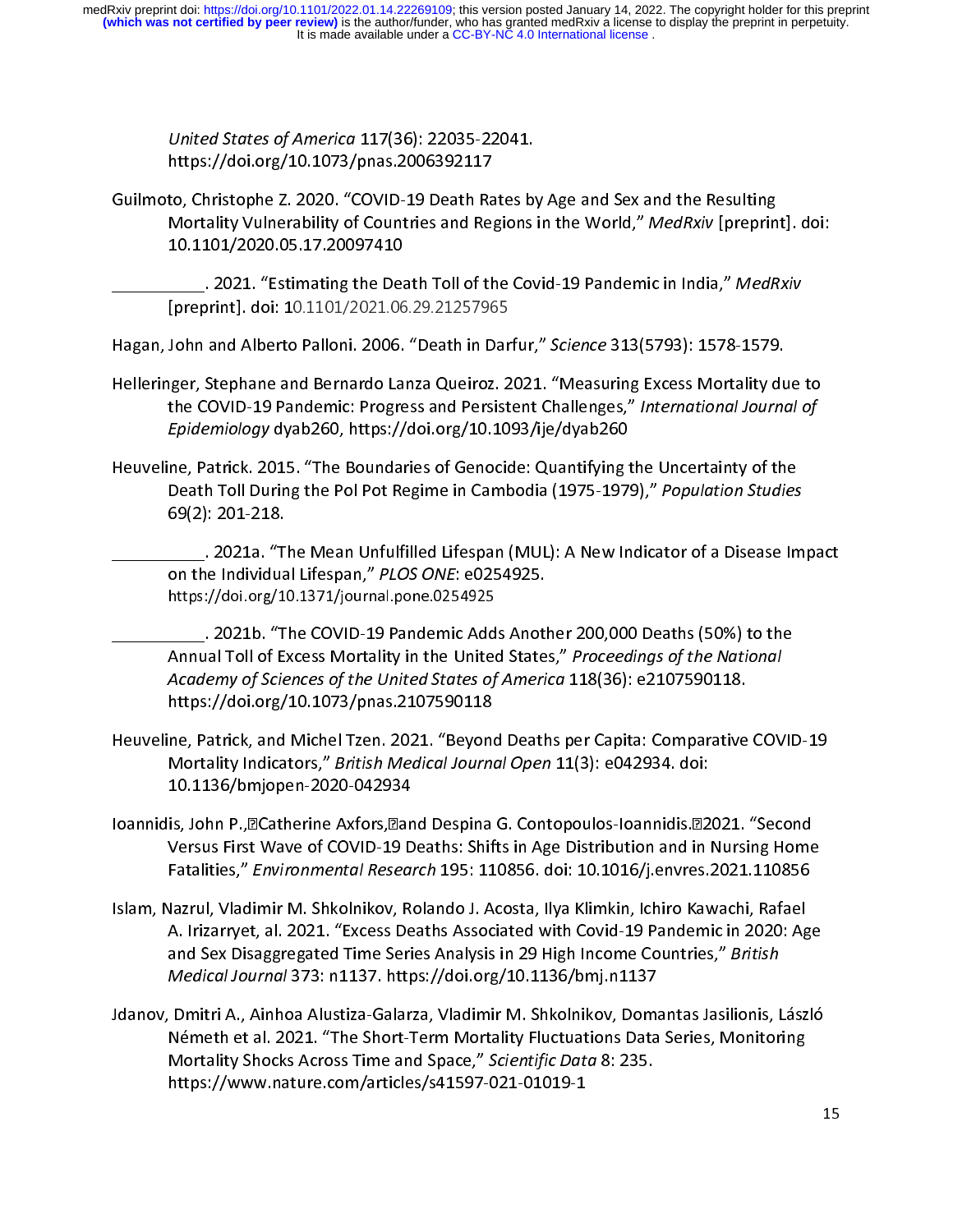United States of America 117(36): 22035-22041.<br>https://doi.org/10.1073/pnas.2006392117<br>Guilmoto, Christophe Z. 2020. "COVID-19 Death Rates by Age and Sex and the Resulting

https://doi.org/2012/process-2020<br>to, Christophe Z. 2020. "COVID-19 Death Ra<br>Mortality Vulnerability of Countries and Reg Mortality Vulnerability of Countries and Regions in the World," MedRxiv [preprin<br>10.1101/2020.05.17.20097410<br>2021. "Estimating the Death Fell of the Covid 19 Bandemis in India." MedP 10.1101/2020.05.17.20097410<br>2021. "Estimating the Death Toll of the Covid-19 Pandemic in India," MedRxiv .

[preprint]. doi: 10.1101/2021.06.29.21257965 Latter Lead Toll of the Covid-19 Pandemic in India, Meditary<br>[preprint]. doi: 10.1101/2021.06.29.21257965<br>Hagan, John and Alberto Palloni. 2006. "Death in Darfur," Science 313(5793): 1578-1579.

preprint<sub>1</sub>. doi: 10.1101/2021.00.25.21257965<br>John and Alberto Palloni. 2006. "Death in Dar<br>Iger, Stephane and Bernardo Lanza Queiroz. 2

- Helleringer, Stephane and Bernardo Lanza Queiroz. 2021. "Measuring Excess Mortality due to<br>the COVID-19 Pandemic: Progress and Persistent Challenges," International Journal of<br>Epidemiology dyab260, https://doi.org/10.1093/ the COVID-19 Pandemic: Progress and Persistent Challenges," International Journal of
- Heuveline, Patrick. 2015. "The Boundaries of Genocide: Quantifying the Uncertainty of the Epidemiology dyab260, https://doi.org/10.1093/ije/dyab260<br>ne, Patrick. 2015. "The Boundaries of Genocide: Quantifying 1<br>Death Toll During the Pol Pot Regime in Cambodia (1975-197! Death Toll During the Pol Pot Regime in Cambodia (1975-1979)," Population Studies<br>69(2): 201-218.<br>2021a "The Mean Unfulfilled Lifesnan (MULL): A New Indicator of a Disease Im 69(2): 201-218.<br>During the Meath Unfulfilled Lifespan (MUL): A New Indicator of a Disease Impact .

on the Individual Lifespan," PLOS ONE: e0254925.<br>https://doi.org/10.1371/journal.pone.0254925 on the Individual Lifespan," PLOS ONE: e0254925.<br>https://doi.org/10.1371/journal.pone.0254925<br>2021b. "The COVID-19 Pandemic Adds Another 200,000 Deaths (50%) to the

on the Individual Lifespan, 17200 ONE: e0254925.<br>https://doi.org/10.1371/journal.pone.0254925.<br>\_\_\_\_\_\_. 2021b. "The COVID-19 Pandemic Adds Anot!<br>Annual Toll of Excess Mortality in the United State. https://doi.org/10.1371/journal.pone.0234923<br>\_\_\_\_\_\_. 2021b. "The COVID-19 Pandemic Add<br>Annual Toll of Excess Mortality in the United Annual Toll of Excess Mortality in the United States," Proceedings of the National<br>Academy of Sciences of the United States of America 118(36): e2107590118.<br>https://doi.org/10.1073/pnas.2107590118 Academy of Sciences of the United States of America 118(36): e2107590118.<br>https://doi.org/10.1073/pnas.2107590118

- Heuveline, Patrick, and Michel Tzen. 2021. "Beyond Deaths per Capita: Comparative COVID-19 https://doi.org/10.1079<br>https://doi.org/10.1073/pag.pdf/<br>10.1136/hmionen-2020-042934 Mortality Indicators," *British Medical Journal Open* 11(3): e042934. doi:<br>10.1136/bmjopen-2020-042934<br>Joannidis: John B. BCatherine Axfors Pand Desnina G. Contonoulos-Joannidis P2021. "Second
- 10.1136/bmjopen-2020-042934<br>Ioannidis, John P.,⊠Catherine Axfors,⊠and Despina G. Contopoulos-Ioannidis.⊠2021. "Second 10.11376.11399.11377.11377.<br>is, John P., acatherine Axfors, and<br>Versus First Wave of COVID-19 D Versus First Wave of COVID-19 Deaths: Shifts in Age Distribution and in Nursing Home<br>Fatalities," Environmental Research 195: 110856. doi: 10.1016/j.envres.2021.110856<br>Islam Nazrul Vladimir M. Shkolnikov, Bolando L. Acosta Fatalities," Environmental Research 195: 110856. doi: 10.1016/j.envres. 2021.110856<br>Islam, Nazrul, Vladimir M. Shkolnikov, Rolando J. Acosta, Ilya Klimkin, Ichiro Kawachi, Rafael
- Fatanties," *Environmental Research 1991*. 110890. doi: 10.1010/j.envres.2021.110896<br>Vazrul, Vladimir M. Shkolnikov, Rolando J. Acosta, Ilya Klimkin, Ichiro Kawachi, Rafael<br>A. Irizarryet, al. 2021. "Excess Deaths Associate A. Irizarryet, al. 2021. "Excess Deaths Associated with Covid-19 Pandemic in 2020: Ag<br>and Sex Disaggregated Time Series Analysis in 29 High Income Countries," *British*<br>Medical Journal 373: n1137. https://doi.org/10.1136/b and Sex Disaggregated Time Series Analysis in 29 High Income Countries," British<br>Medical Journal 373: n1137. https://doi.org/10.1136/bmj.n1137
- Jdanov, Dmitri A., Ainhoa Alustiza-Galarza, Vladimir M. Shkolnikov, Domantas Jasilionis, László Medical Journal 373: n1137: https://doi.org/10.1136/bmj.n1137<br>Dmitri A., Ainhoa Alustiza-Galarza, Vladimir M. Shkolnikov, Doma<br>Németh et al. 2021. "The Short-Term Mortality Fluctuations Data Németh et al. 2021. "The Short-Term Mortality Fluctuations Data Series, Monitoring<br>Mortality Shocks Across Time and Space," *Scientific Data* 8: 235.<br>https://www.nature.com/articles/s41597-021-01019-1 Mortality Shocks Across Time and Space," Scientific Data 8: 235. https://www.nature.com/articles/s41597-021-01019-1 https://www.nature.com/articles/s41597-021-01019-1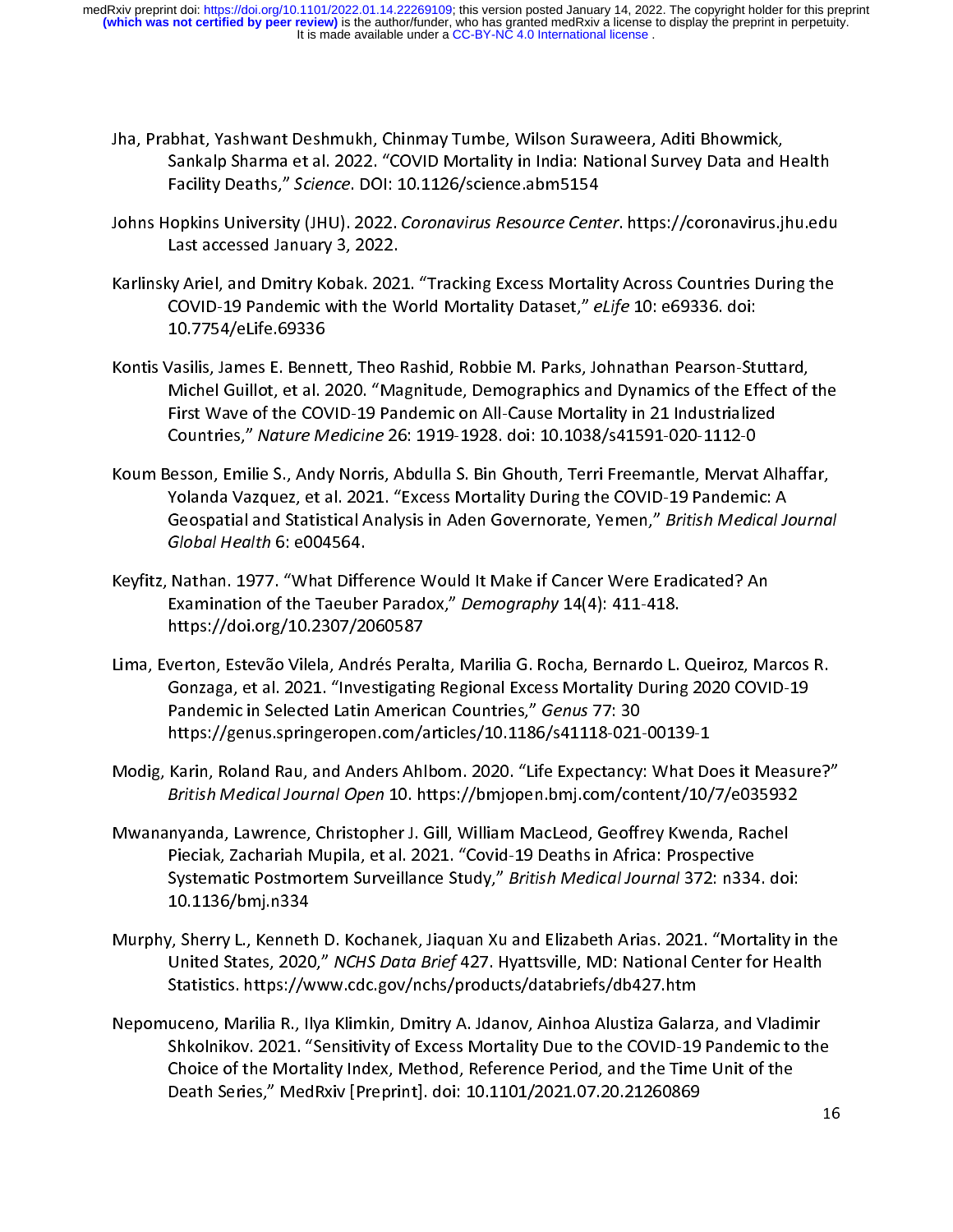- Jha, Prabhat, Yashwant Deshmukh, Chinmay Tumbe, Wilson Suraweera, Aditi Bhowmick,<br>Sankalp Sharma et al. 2022. "COVID Mortality in India: National Survey Data and Health<br>Facility Deaths," *Science*. DOI: 10.1126/science.abm
- Facility Deaths," *Science*. DOI: 10.1126/science.abm5154<br>lopkins University (JHU). 2022. *Coronavirus Resource Center*. https://coronavirus.jhu.edu<br>Last accessed January 3, 2022 Facility Deaths, Science. DOI: 10.1120/science.abm5154<br>lopkins University (JHU). 2022. Coronavirus Resource Cent<br>Last accessed January 3, 2022.
- Johns Hopkins University (JHU). 2022. Coronavirus Resource Center. https://coronavirus.jhu.edu<br>Last accessed January 3, 2022.<br>Karlinsky Ariel, and Dmitry Kobak. 2021. "Tracking Excess Mortality Across Countries During the Last accessed Manuary 3, 2022.<br>Ky Ariel, and Dmitry Kobak. 202.<br>COVID-19 Pandemic with the W COVID-19 Pandemic with the World Mortality Dataset," eLife 10: e69336. doi:<br>10.7754/eLife.69336
- COVID-19 Pandemic with the World Wortanty Dataset," eLife 10: e69336. doi:<br>10.7754/eLife.69336<br>/asilis, James E. Bennett, Theo Rashid, Robbie M. Parks, Johnathan Pearson-Sti<br>Michel Guillet, et al. 2020. "Magnitude, Demogra ر<br>| asilis, James E. Benn<br>| Michel Guillot, et al. 2<br>| First Waye of the CO Michel Guillot, et al. 2020. "Magnitude, Demographics and Dynamics of the Effect of the<br>First Wave of the COVID-19 Pandemic on All-Cause Mortality in 21 Industrialized First Wave of the COVID-19 Pandemic on All-Cause Mortality in 21 Industrialized<br>Countries," Nature Medicine 26: 1919-1928. doi: 10.1038/s41591-020-1112-0<br>Jesson, Emilie S., Andy Norris, Abdulla S. Bin Ghouth, Terri Freeman
- First Lines," Nature Medicine 26: 1919-1928. doi: 10.1038/s41591-020-1112-0<br>Resson, Emilie S., Andy Norris, Abdulla S. Bin Ghouth, Terri Freemantle, Mervat Al<br>Yolanda Vazquez, et al. 2021. "Excess Mortality During the COVI Koum Besson, Emilie S., Andy Norris, Abdulla S. Bin Ghouth, Terri Freemantle, Mervat Alhaffar,<br>Yolanda Vazquez, et al. 2021. "Excess Mortality During the COVID-19 Pandemic: A Yolanda Vazquez, et al. 2021. "Excess Mortality During the COVID-19 Pandemic: A<br>Geospatial and Statistical Analysis in Aden Governorate, Yemen," *British Medical Journa*<br>*Global Health* 6: e004564. Yolanda Vazquez, et al. 2021. "Excess Movement," 2021. "Excess Mortal Information of Geospatial and Statistical Analysis in Aden Governorate, Yemen," British Medical Ju<br>Global Health 6: e004564.<br>Nathan 1977. "What Differen
- Geospatial and Statistical Analysis in Aden Governorate, Temen, "*British Medical Journal*"<br>Global Health 6: e004564.<br>Nathan. 1977. "What Difference Would It Make if Cancer Were Eradicated? An Global Health 6: e004564.<br>Nathan. 1977. "What Diffe<br>Examination of the Taeube Examination of the Taeuber Paradox," Demography 14(4): 411-418.<br>https://doi.org/10.2307/2060587
- Lima, Everton, Estevão Vilela, Andrés Peralta, Marilia G. Rocha, Bernardo L. Queiroz, Marcos R. mapay, manang, 2002 ay, 2002 ay<br>verton, Estevão Vilela, Andrés Pera<br>Gonzaga, et al. 2021. "Investigatin Gonzaga, et al. 2021. "Investigating Regional Excess Mortality During 2020 COVID-19<br>Pandemic in Selected Latin American Countries," *Genus* 77: 30<br>https://genus.springeropen.com/articles/10.1186/s41118-021-00139-1 For any Constant Construction of the Countries, and the Countries, and the Pandemic in Selected Latin American Countries," Genus 77: 30<br>https://genus.springeropen.com/articles/10.1186/s41118-021-00139-1<br>Karin, Boland Bau,
- randemic in Selected Latin American Countries, "Genus 77: 30<br>https://genus.springeropen.com/articles/10.1186/s41118-021<br>Karin, Roland Rau, and Anders Ahlbom. 2020. "Life Expectancy https://genus.pringeropen.com/articles/2012-2017-1228-2022-2022-2022-2023-2<br>Karin, Roland Rau, and Anders Ahlbom. 2020. "Life Expectancy: What Do<br>British Medical Journal Open 10. https://bmjopen.bmj.com/content/10/
- British Medical Journal Open 10. https://bmjopen.bmj.com/content/10/7/e035932<br>Mwananyanda, Lawrence, Christopher J. Gill, William MacLeod, Geoffrey Kwenda, Rachel<br>Pieciak, Zachariah Munila, et al. 2021. "Covid-19 Deaths in Mwananyanda, Lawrence, Christopher J. Gill, William MacLeod, Geoffrey Kwenda, Rachel<br>Pieciak, Zachariah Mupila, et al. 2021. "Covid-19 Deaths in Africa: Prospective Martin, James, Lawrence, Christopher Dram, Martin MacLeody, Cornell, Michael, Medical, Theorist, 2013, 2021. "Covid-19 Deaths in Africa: Prospective<br>Systematic Postmortem Surveillance Study," British Medical Journal 372: n Piecia, Zacharian Mupila, 2021. 2022. Prima Belgian, Music Propositions.<br>Systematic Postmortem Surveillance Study," British Medical Journal 372: n334<br>Covid-19 Deannach D. Kochanek. Jiaquan Xu and Elizabeth Arias. 2021. "Mo
- Systematic Fostmortem Surveillance Study, "*British Medical Sournal 37*2: n334. doi:<br>10.1136/bmj.n334<br>Inited States, 2020 " *NCHS Dets Brief 427*, Hyattsville, MD: National Center for Hea -------------------<br>, Sherry L., Kenneth<br>United States, 2020<br>Statistics, https://w United States, 2020," NCHS Data Brief 427. Hyattsville, MD: National Center for Health<br>Statistics. https://www.cdc.gov/nchs/products/databriefs/db427.htm
- United States, 2020, "*NCHS Dutu BREF* 427. Hyattsville, MD: National Center for Health<br>Statistics. https://www.cdc.gov/nchs/products/databriefs/db427.htm<br>uceno, Marilia R., Ilya Klimkin, Dmitry A. Jdanov, Ainhoa Alustiza Some of the statistics. The statistics. https://www.ceno.<br>Shkolnikov. 2021. "Sensitivity of Excess Mortality Due to the COVID-19<br>Choice of the Mertality Index, Method, Peference Period, and the Time Shkolnikov. 2021. "Sensitivity of Excess Mortality Due to the COVID-19 Pandemic to the<br>Choice of the Mortality Index, Method, Reference Period, and the Time Unit of the<br>Death Series," MedRxiv [Preprint]. doi: 10.1101/2021. Shift was considered to the Mortality Index, Method, Reference Period, and the Time Unit of the<br>Death Series," MedRxiv [Preprint]. doi: 10.1101/2021.07.20.21260869 Death Series," Med Rxiv [Preprint]. doi: 10.1101/2021.07.20.21260869 Death Series," MedRxiv [Preprint]. doi: 10.1101/2021.07.20.21260869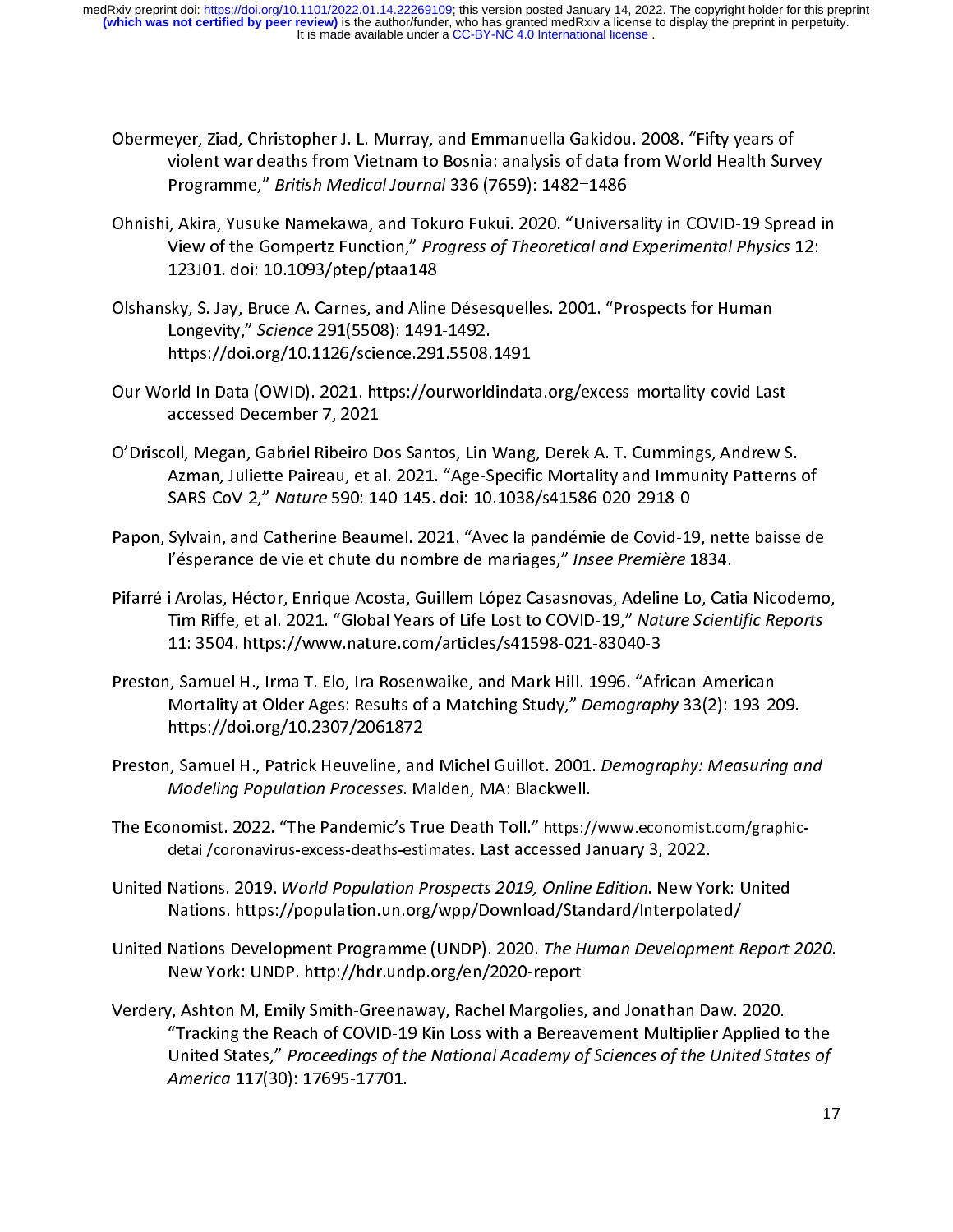- Obermeyer, Ziad, Christopher J. L. Murray, and Emmanuella Gakidou. 2008. "Fifty years of<br>violent war deaths from Vietnam to Bosnia: analysis of data from World Health Survey<br>Programme," British Medical Journal 336 (7659):
- Ohnishi, Akira, Yusuke Namekawa, and Tokuro Fukui. 2020. "Universality in COVID-19 Spread in Programme, "British Medical Journal 336 (7633): 1462–1466<br>Ohnishi, Akira, Yusuke Namekawa, and Tokuro Fukui. 2020. "Universality in COVID-19 Spread in<br>View of the Gompertz Function," Progress of Theoretical and Experimenta
- 123J01. doi: 10.1093/ptep/ptaa148<br>Olshansky, S. Jay, Bruce A. Carnes, and Aline Désesquelles. 2001. "Prospects for Human Longevity," Science 291(5508): 1491-1492.<br>https://doi.org/10.1126/science.291.5508.1491 Congevity," Science 291(5508): 1491-1492.<br>https://doi.org/10.1126/science.291.5508.1491<br>Qur World in Data (QWID), 2021. https://ourworldindata.org/excess-mortality-covid.las
- Longevity, Science 291(5500): 1491-1492.<br>https://doi.org/10.1126/science.291.5508.<br>Ind In Data (OWID). 2021. https://ourworld https://doi.org/2012229/00000022222.https://ourworldindat<br>accessed December 7, 2021
- accessed December 7, 2021.<br>O'Driscoll, Megan, Gabriel Ribeiro Dos Santos, Lin Wang, Derek A. T. Cummings, Andrew S<br>Azman, Juliette Paireau, et al. 2021. "Age-Specific Mortality and Immunity Pattern , ,<br>all, Megan, Gabriel Ribeiro D<br>Azman, Juliette Paireau, et a<br>SABS-CoV-2 " Nature 590: 14 Azman, Juliette Paireau, et al. 2021. "Age-Specific Mortality and Immunity Patterns of<br>SARS-CoV-2," Nature 590: 140-145. doi: 10.1038/s41586-020-2918-0
- Papon, Sylvain, and Catherine Beaumel. 2021. "Avec la pandémie de Covid-19, nette baisse de l'ésperance de vie et chute du nombre de mariages," Insee Première 1834.
- Papon, Sylvan, and Catherine Beaumon Board, Moore prince and Covid-1834.<br>Pifarré i Arolas, Héctor, Enrique Acosta, Guillem López Casasnovas, Adeline Lo, Catia Nicodemo<br>Tim Biffe, et al. 2021. "Global Years of Life Lost to l'ésperance de vie et chute du nombre de mariages, "*Insee Première* 1834.<br>I Arolas, Héctor, Enrique Acosta, Guillem López Casasnovas, Adeline Lo, Cat<br>Tim Riffe, et al. 2021. "Global Years of Life Lost to COVID-19," Nature Tim Riffe, et al. 2021. "Global Years of Life Lost to COVID-19," Nature Scientific Reports<br>11: 3504. https://www.nature.com/articles/s41598-021-83040-3
- Preston, Samuel H., Irma T. Elo, Ira Rosenwaike, and Mark Hill. 1996. "African-American 11: 3504. https://www.nature.com/articles/s41598-021-83040-3 Mortality at Older Ages: Results of a Matching Study," Demography 33(2): 193-20<br>https://doi.org/10.2307/2061872<br>Preston, Samuel H., Patrick Heuveline, and Michel Guillet, 2001, Demography: Megsurin https://doi.org/10.2307/2061872<br>Preston, Samuel H., Patrick Heuveline, and Michel Guillot. 2001. Demography: Measuring and
- Modeling Population Processes. Malden, MA: Blackwell.
- Preston, Samuel H., Patrick Heuveline, and Michel Guildot. 2001. Demography: Measuring and<br>Modeling Population Processes. Malden, MA: Blackwell.<br>The Economist. 2022. "The Pandemic's True Death Toll." https://www.economist. Modeling Population Processes. Malden, MA: Blackwell.<br>Momist. 2022. "The Pandemic's True Death Toll." https://<br>detail/coronavirus-excess-deaths-estimates. Last accessed Ja
- The Economist. 2022. The Pandemic's True Death Toll. Thtps://www.economist.com/graphic-<br>detail/coronavirus-excess-deaths-estimates. Last accessed January 3, 2022.<br>United Nations. 2019. *World Population Prospects 2019, Onl* detail/coronavirus-excess-deaths-estimates. Last accessed January 3, 2022.<br>Nations. 2019. *World Population Prospects 2019, Online Edition*. New Yo<br>Nations. https://population.un.org/wpp/Download/Standard/Interpolat
- United Nations. 2019. World Population Prospects 2019, Online Edition. New York: Onlied<br>Nations. https://population.un.org/wpp/Download/Standard/Interpolated/<br>United Nations Development Programme (UNDP). 2020. The Human De المستقل المستقل المستقل المستقل المستقل المستقلة المستقلة المستقلة المستقلة المستقلة المستقلة المستقلة المستقل<br>New York: UNDP. http://hdr.undp.org/en/2020-report
- United Nations Development Programme (UNDP). 2020. The Human Development Report 2020.<br>New York: UNDP. http://hdr.undp.org/en/2020-report<br>Verdery, Ashton M, Emily Smith-Greenaway, Rachel Margolies, and Jonathan Daw. 2020.<br>" New York: UNDROID TO A<br>Initial Margolies (Ashton M, Emily Smith-Greenaway, Rachel Margolies)<br>Inited States " Proceedings of the National Academy of Tracking the Reach of COVID-19 Kin Loss with a Bereavement Multiplier Applied to United States," Proceedings of the National Academy of Sciences of the United States, America 117(30): 17695-17701. United States," Proceedings of the National Academy of Sciences of the United States of<br>America 117(30): 17695-17701.<br>1 United States," Proceedings of the National Academy of Sciences of the United States of<br>America 117(30): 17695-17701.<br>1 America 117(30): 17695-17701.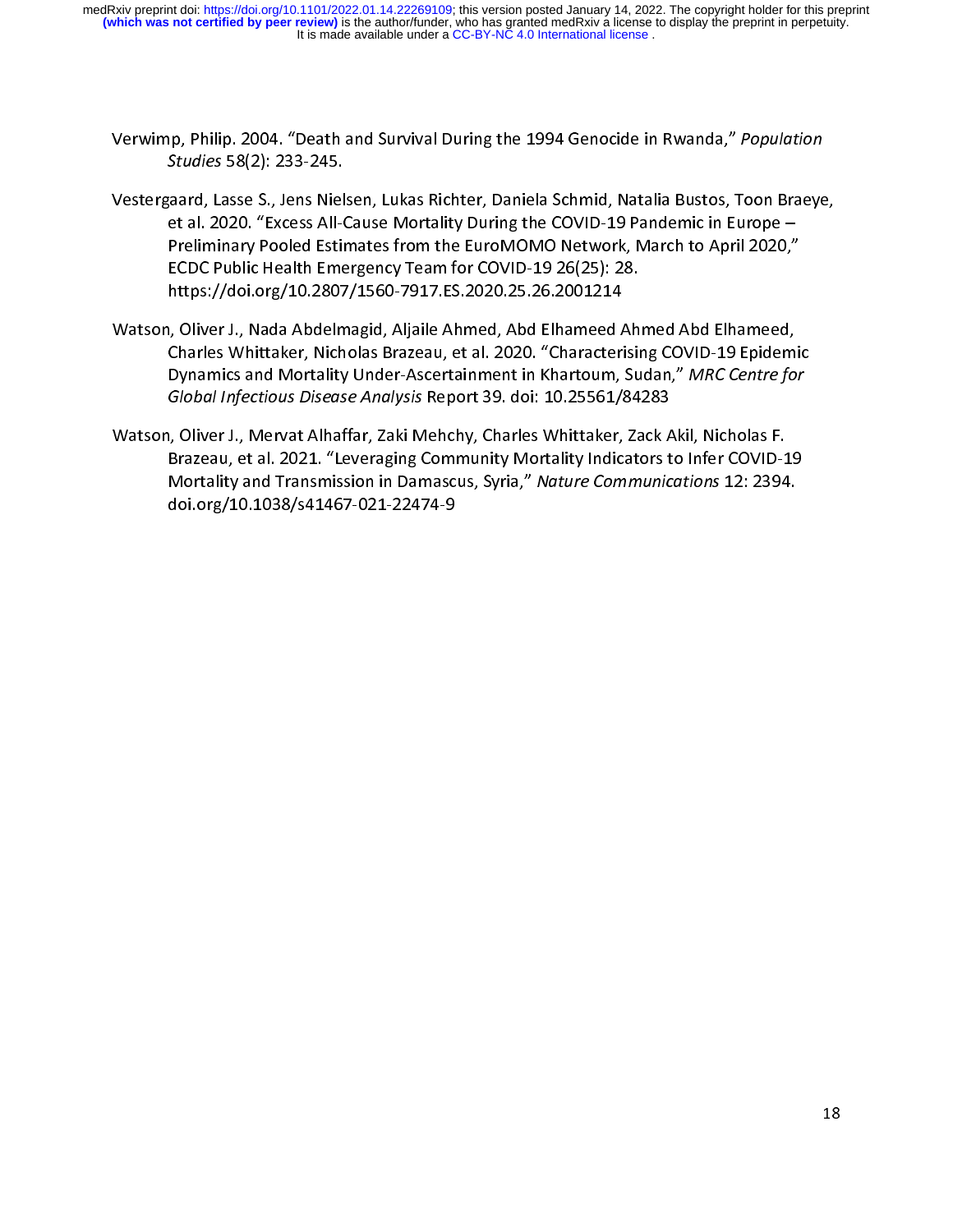- Verwimp, Philip. 2004. "Death and Survival During the 1994 Genocide in Rwanda," Population<br>Studies 58(2): 233-245.<br>Vestergaard, Lasse S., Jens Nielsen, Lukas Richter, Daniela Schmid, Natalia Bustos, Toon Braeve.
- Studies 58(2): 233-245.<br>|aard, Lasse S., Jens Niel<br>|et al. 2020. "Excess All-C Franch School (School School School School School School School School School School Schwing School Schmidt Bustos, Natalisation Bustos, The Preliminary Pooled Estimates from the EuroMOMO Network, March to April 2020,"<br>ECD Preliminary Pooled Estimates from the EuroMOMO Network, March to April 2020,"<br>ECDC Public Health Emergency Team for COVID-19 26(25): 28. ECDC Public Health Emergency Team for COVID-19 26(25): 28.<br>https://doi.org/10.2807/1560-7917.ES.2020.25.26.2001214<br>Diver L. Nada Abdelmagid, Aliaile Abmed, Abd Elbameed Abmed, Abd Elbameed
- ECDC://doi.org/10.2807/1560-7917.ES.2020.25.26.2001214<br>https://doi.org/10.2807/1560-7917.ES.2020.25.26.2001214<br>Charles Whittaker, Nicholas Brazeau, et al. 2020. "Characterisis المدينية المسينية المسينية , Oliver J., Nada Abdelmagid, Aljaile Ahmed, Abd Elhameed<br>10.2020. "Charles Whittaker, Nicholas Brazeau, et al. 2020. "Characteri<br>10.2000. "Characteri Mortality Under Assertainment in Kharteum Charles Whittaker, Nicholas Brazeau, et al. 2020. "Characterising COVID-19 Epidem<br>Dynamics and Mortality Under-Ascertainment in Khartoum, Sudan," MRC Centre fo.<br>Global Infectious Disease Analysis Report 39. doi: 10.25561/8 Dynamics and Mortality Under-Ascertainment in Khartoum, Sudan," MRC Centre for<br>Global Infectious Disease Analysis Report 39. doi: 10.25561/84283
- Bynamics and Mortallty Onder-Ascertamment in Khartoum, Sudan, 1999.<br>Global Infectious Disease Analysis Report 39. doi: 10.25561/84283<br>In Oliver J., Mervat Alhaffar, Zaki Mehchy, Charles Whittaker, Zack Akil, Nicholas F.<br>Br Global Infectious Disease Analysis Report 55. doi: 10.25561/84283<br>I, Oliver J., Mervat Alhaffar, Zaki Mehchy, Charles Whittaker, Zack A<br>Brazeau, et al. 2021. "Leveraging Community Mortality Indicators t<br>Mortality and Trans Strazeau, et al. 2021. "Leveraging Community Mortality Indicators to Infer COVID-1<br>Mortality and Transmission in Damascus, Syria," *Nature Communications* 12: 2394<br>doi.org/10.1038/s41467-021-22474-9 Brazeau, Community Community, Mortani, Mortality Community Indicators<br>Mortality and Transmission in Damascus, Syria," Nature Communications 12: 2394.<br>doi.org/10.1038/s41467-021-22474-9 Mortality and Transmission in Damascus, Syria, Watare Communications 12: 2334.<br>doi.org/10.1038/s41467-021-22474-9  $\frac{d}{d\theta}$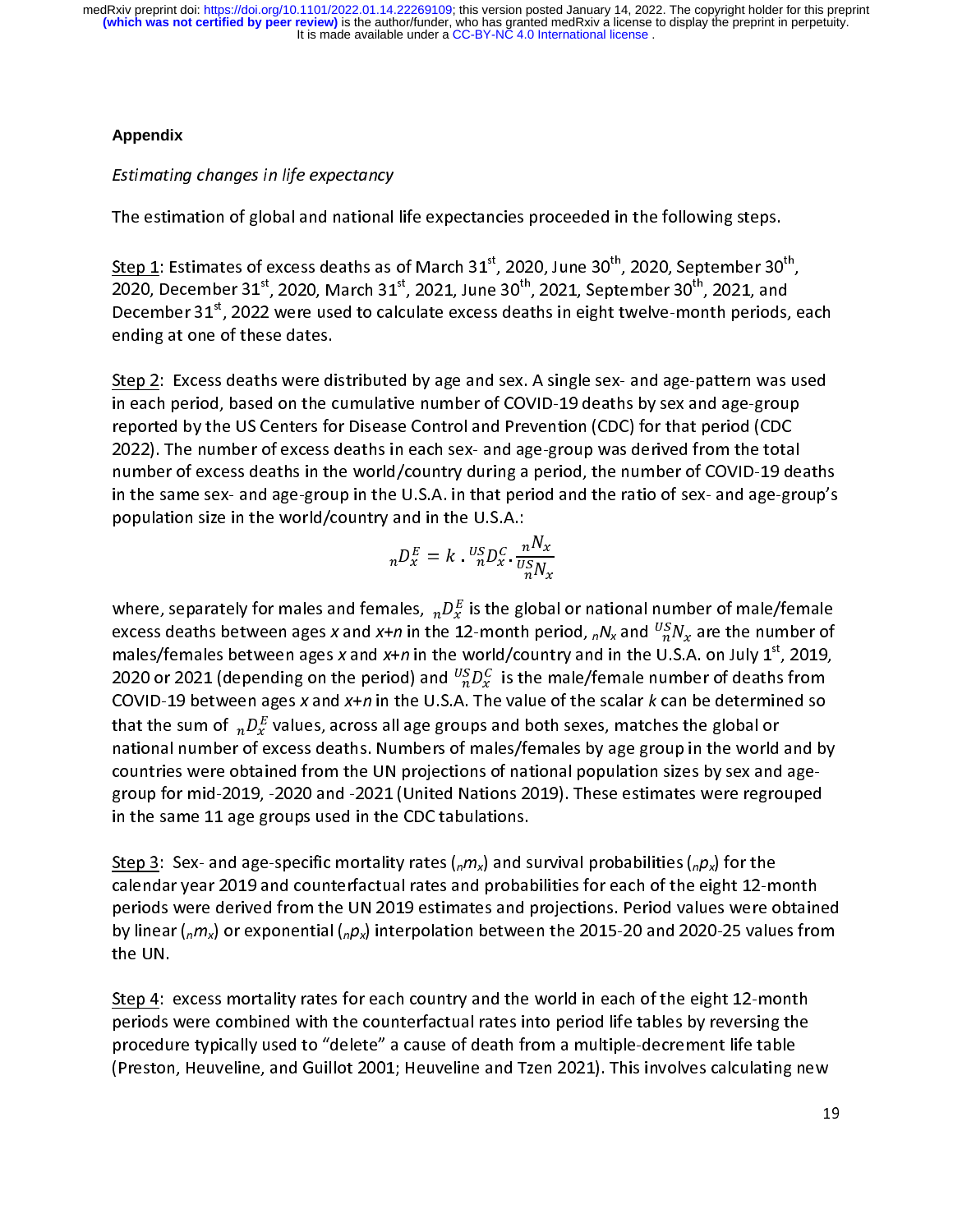# **Appendix**

# Estimating changes in life expectancy

The estimation of global and national life expectancies proceeded in the following steps.<br>
<u>Step 1</u>: Estimates of excess deaths as of March 31<sup>st</sup>, 2020, June 30<sup>th</sup>, 2020, September 30<sup>th</sup>, 2020, December 31<sup>st</sup>, 2020, M  $rac{1}{2}$ , Step 1: Estimates of excess deaths as of March 31, 2020, June 30, 2020, September 30, 2020, December 31<sup>st</sup>, 2020, March 31<sup>st</sup>, 2021, June 30<sup>th</sup>, 2021, September 30th, 2021, and<br>December 31<sup>st</sup>, 2022 were used to calcu 2020, December 31, 2020, March 31, 2021, June 30, 2021, September 30, 2021, and<br>December 31<sup>st</sup>, 2022 were used to calculate excess deaths in eight twelve-month periods,<br>ending at one of these dates. December 31", 2022 were used to calculate excess deaths in eight twelve-month periods, each<br>ending at one of these dates.<br><u>Step 2</u>: Excess deaths were distributed by age and sex. A single sex- and age-pattern was used

ی<br><u>Step 2</u>: Excess deaths were di<br>in each period, based on the c  $rac{c}{\cdot}$  in in each period, based on the cumulative number of COVID-19 deaths by sex and age-group<br>reported by the US Centers for Disease Control and Prevention (CDC) for that period (CDC reported by the US Centers for Disease Control and Prevention (CDC) for that period (CDC<br>2022). The number of excess deaths in each sex- and age-group was derived from the total<br>number of excess deaths in the world/country 2022). The number of excess deaths in each sex- and age-group was derived from the total number of excess deaths in the world/country during a period, the number of COVID-19 de<br>in the same sex- and age-group in the U.S.A. in that period and the ratio of sex- and age-gro<br>population size in the world/country and in the same sex- and age-group in the U.S.A. in that period and the ratio of sex- and age-group's population size in the world/country and in the U.S.A.:

$$
{}_{n}D_{x}^{E} = k \cdot {}_{n}^{US}D_{x}^{C} \cdot \frac{nN_{x}}{{}_{n}^{US}N_{x}}
$$

where, separately for males and females,  $nD_x^E$  is the global or national number of male/female where, separately for males and females,  ${}_{n}D_{x}$  is the global or national number of male/female<br>excess deaths between ages x and x+n in the 12-month period,  ${}_{n}N_{x}$  and  ${}^{US}_{n}N_{x}$  are the number of<br>males/females excess deaths between ages x and x+n in the 12-month period,  $nN_x$  and  $\frac{1}{n}N_x$  are the number of<br>males/females between ages x and x+n in the world/country and in the U.S.A. on July 1<sup>st</sup>, 2019,<br>2020 or 2021 (depending males/remales between ages x and x+n in the world/country and in the U.S.A. on July 1, 2019,<br>2020 or 2021 (depending on the period) and  ${}^{U_S}_{n}D^C_x$  is the male/female number of deaths from<br>COVID-19 between ages x and x+ 2020 or 2021 (depending on the period) and  $\frac{1}{n}D_x^x$  is the male/female number of deaths from<br>COVID-19 between ages x and x+n in the U.S.A. The value of the scalar k can be determined so<br>that the sum of  $nD_x^E$  values COVID-19 between ages x and x+n in the O.S.A. The value of the scalar k can be determined so<br>that the sum of  $nD_x^E$  values, across all age groups and both sexes, matches the global or<br>national number of excess deaths. Nu that the sum of  ${}_{n}D_{x}$  values, across an age groups and both sexes, matches the global or<br>national number of excess deaths. Numbers of males/females by age group in the world<br>countries were obtained from the UN projec countries were obtained from the UN projections of national population sizes by sex and age-<br>group for mid-2019, -2020 and -2021 (United Nations 2019). These estimates were regrouped<br>in the same 11 age groups used in the C

countries were obtained from the UN projections of national population sizes by sex and agein the same 11 age groups used in the CDC tabulations.<br><u>Step 3</u>: Sex- and age-specific mortality rates (<sub>n</sub>m<sub>x</sub>) and survival probabilities (<sub>n</sub>p<sub>x</sub>) for the in the same 11 age groups used in the CDC tabulations.<br><u>Step 3</u>: Sex- and age-specific mortality rates ( $_{n}m_{x}$ ) and s<br>calendar year 2019 and counterfactual rates and probal S<br>S<br>F calendar year 2019 and counterfactual rates and probabilities for each of the eight 12-month<br>periods were derived from the UN 2019 estimates and projections. Period values were obtained<br>by linear (<sub>n</sub>m<sub>x</sub>) or exponential periods were derived from the UN 2019 estimates and projections. Period values were obtain-<br>by linear ( $n/m_x$ ) or exponential ( $n/m_x$ ) interpolation between the 2015-20 and 2020-25 values from<br>the UN. by linear ( $n/m_x$ ) or exponential ( $n/m_x$ ) interpolation between the 2015-20 and 2020-25 values from<br>the UN. by linear ( $nmy$  or exponential ( $npx$ ) interpolation between the 2015-20 and 2020-25 values from<br>the UN.<br>Step 4: excess mortality rates for each country and the world in each of the eight 12-month

step 4:<br><u>Step 4</u>:<br>periods  $\frac{c}{r}$ Step 4: except 4: except 4: except periods were combined with the counterfactual rates into period life tables<br>Strocedure typically used to "delete" a cause of death from a multiple-decrement life table<br>(Preston, Heuveline procedure typically used to "delete" a cause of death from a multiple-decrement life table<br>(Preston, Heuveline, and Guillot 2001; Heuveline and Tzen 2021). This involves calculating ne procedure typical controllet the "death" (Preston, Heuveline and Tzen 2021). This involves calculating relation<br>(Preston, Heuveline, and Guillot 2001; Heuveline and Tzen 2021). This involves calculating relations.  $\mathcal{P}(\mathcal{P})$  and  $\mathcal{P}(\mathcal{P})$  and  $\mathcal{P}(\mathcal{P})$  and Tzen 2021; Heuveline and Tzen 2021; Heuveline and Tzen 2021; Heuveline and Tzen 2021; Heuveline and Tzen 2021; Heuveline and Tzen 2021; Heuveline and Tzen 2021; Heu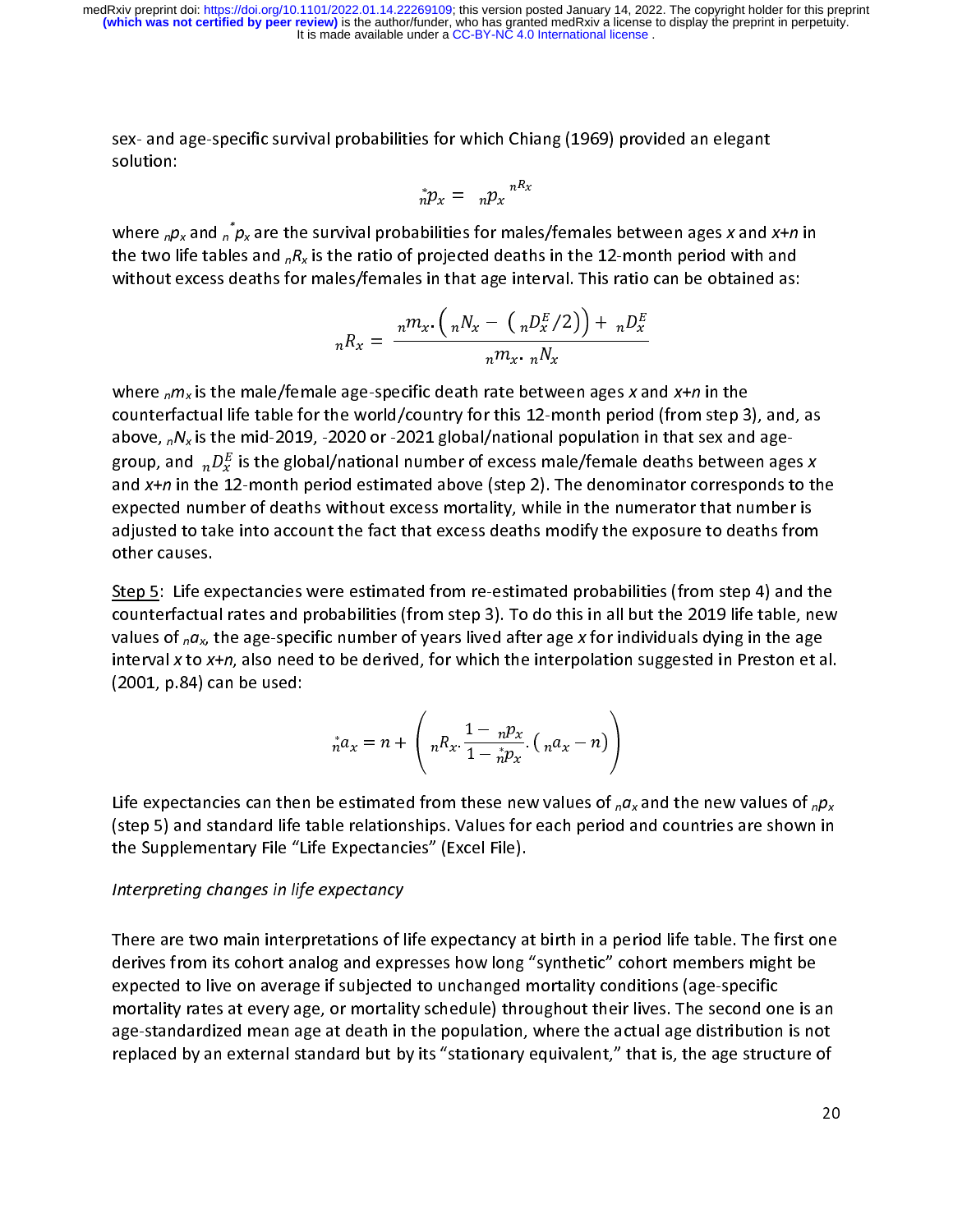solution:  $\oint_{n}^{*} p_x = n p_x \int_{n}^{nR_x}$ 

$$
{}_{n}^{*}p_{x} = n p_{x} {}^{n R_{x}}
$$

where  $_{n}p_{y}$ بر<br>ale<br>ath<br>nte where  $nP_X$  and  $nP_X$  are the survival probabilities for males/females between ages x and x+n in<br>the two life tables and  $nR_X$  is the ratio of projected deaths in the 12-month period with and<br>without excess deaths for mal without excess deaths for males/females in that age interval. This ratio can be obtained as:

$$
{}_{n}R_{x} = \frac{n m_{x} \cdot \left(n N_{x} - \left(n D_{x}^{E}/2\right)\right) + n D_{x}^{E}}{n m_{x} \cdot n N_{x}}
$$

 $\frac{1}{2}$ where  $nHx$  is the male/female age-specific death rate between ages x and x+n in the<br>counterfactual life table for the world/country for this 12-month period (from step 3<br>above,  $nN_x$  is the mid-2019, -2020 or -2021 globa above,  ${}_{n}N_{x}$  is the mid-2019, -2020 or -2021 global/national population in that sex and age-<br>group, and  ${}_{n}D_{x}^{E}$  is the global/national number of excess male/female deaths between ages x<br>and x+n in the 12-month above,  $n_x$ ,  $n_y$  is the mid-2019, -2020 or -2021 global/inational population in that sex and age-<br>group, and  $n_xD_x^E$  is the global/national number of excess male/female deaths between age-<br>and x+n in the 12-month period group, and  $nD_x$  is the global/hational number of excess male/female deaths between ages x<br>and x+n in the 12-month period estimated above (step 2). The denominator corresponds to th<br>expected number of deaths without exces and x+n in the 12-month period estimated above (step 2). The denominator corresponds to the<br>expected number of deaths without excess mortality, while in the numerator that number is<br>adjusted to take into account the fact t adjusted to take into account the fact that excess deaths modify the exposure to deaths from<br>other causes.<br>Step 5: Life expectancies were estimated from re-estimated probabilities (from step 4) and th

adjusted to take into account that the fact that the fact the any the exposure to deaths from<br>Step 5: Life expectancies were estimated from re-estimated probabilities (from step 4) and the<br>counterfactual rates and probabil <u>Step 5</u>: Life ex<br>counterfactua<br>values of .c Step 5: Life 1 and promove 5: Life 5: Life outlies (from step 3). To do this in all but the 2019 life table, new<br>Values of <sub>n</sub>a<sub>x</sub>, the age-specific number of years lived after age x for individuals dying in the age<br>interv values of  $_n\alpha_x$ , the age-specific number of years lived after age x for individuals dying in the age<br>interval x to x+n, also need to be derived, for which the interpolation suggested in Preston et al.<br>(2001, p.84) can be interval x to  $x+n$ , also need to be derived, for which the interpolation suggested in Preston et al.<br>(2001, p.84) can be used: interval x to x+n, also need to be derived, for which the interpolation suggested in Preston et al.<br>(2001, p.84) can be used:<br> ${}^{*}a = n + \left(R - \frac{1 - n p_x}{R} \left(1 - \frac{1}{n} \right)\right)$  $\frac{200}{200}$  can be used:

$$
{}_{n}^{*}a_{x}=n+\left(nR_{x}\cdot\frac{1-nP_{x}}{1-nP_{x}}\cdot\left(na_{x}-n\right)\right)
$$

Life expectancies can then be estimated from these new values of  $_n a_x$  and the new values of  $_n p_x$  (step 5) and standard life table relationships. Values for each period and countries are shown in the Supplementary File "Life Expectancies" (Excel File).

# $\frac{1}{\sqrt{2}}$  interpreting changes in life expectancy. Interpreting changes in life expectancy

ך<br>C<br>e There are two main interpretations of life expectancy at birth in a period life table. The first one derives from its cohort analog and expresses how long "synthetic" cohort members might be expected to live on average if derives from interesting and experience including to produce the inductions (age-specific<br>mortality rates at every age, or mortality schedule) throughout their lives. The second one is a<br>age-standardized mean age at death expected to the conditions of the live of the mortality substitute in the second or<br>age-standardized mean age at death in the population, where the actual age distribution<br>replaced by an external standard but by its "stati age-standardized mean age at death in the population, where the actual age distribution is not<br>replaced by an external standard but by its "stationary equivalent," that is, the age structure of age-standardized mean age at death in the population, there are actual age at the actual check<br>replaced by an external standard but by its "stationary equivalent," that is, the age structure of<br>20 replaced by an external stationard but by its "stationary equivalent," that is, the age structure of  $20$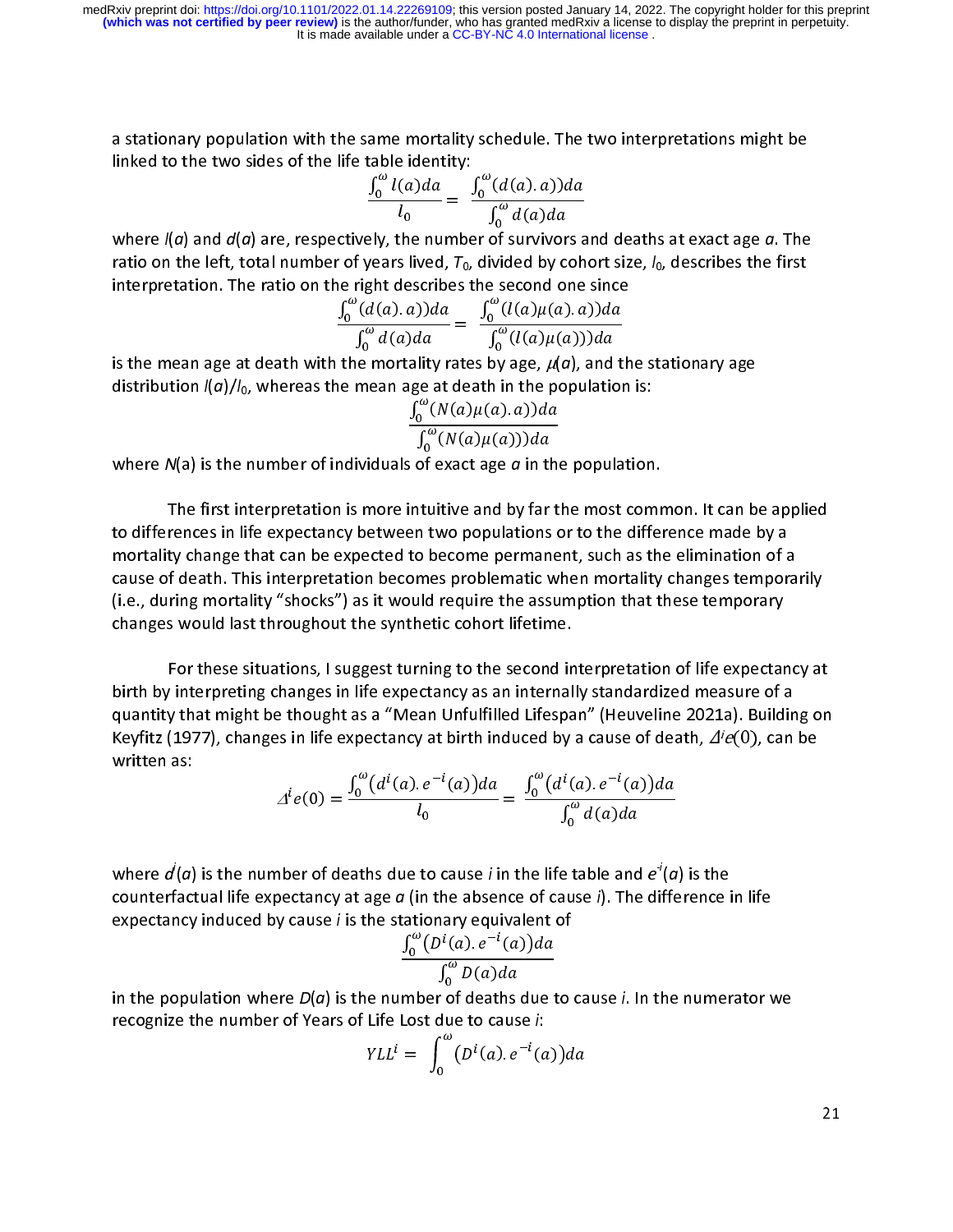a stationary population with the same mortality schedule. The two interpretations might be linked to the two sides of the life table identity:

$$
\frac{\int_0^{\omega} l(a)da}{l_0} = \frac{\int_0^{\omega} (d(a), a))da}{\int_0^{\omega} d(a)da}
$$

 $\frac{\int_0^{\omega} l(a)da}{l_0} = \frac{1}{\omega}$  where  $l(a)$  and  $d(a)$  are, respectively, the numbe )<br>)<br>. ratio on the left, total number of years lived,  $T_0$ , divided by cohort size,  $I_0$ , describes the first interpretation. The ratio on the right describes the second one since

$$
\frac{\int_0^{\omega} (d(a).a)) da}{\int_0^{\omega} d(a) da} = \frac{\int_0^{\omega} (l(a)\mu(a).a)) da}{\int_0^{\omega} (l(a)\mu(a))) da}
$$
  
is the mean age at death with the mortality rates by age,  $\mu(a)$ , and th

 $\frac{1}{r}$ distribution  $I(a)/I_0$ , whereas the mean age at death in the population is:

$$
\frac{\int_0^{\omega}(N(a)\mu(a).a))da}{\int_0^{\omega}(N(a)\mu(a)))da}
$$

distribution  $l(a)/l(0)$ , whereas the mean age at death in the population is:<br> $\frac{\int_0^{\omega}(N(a)\mu(a).a))da}{\int_0^{\omega}(N(a)\mu(a)))da}$ <br>where  $N(a)$  is the number of individuals of exact age *a* in the population

The first interpretation is more intuitive and by far the most common. It can be applied<br>to differences in life expectancy between two populations or to the difference made by a  $\frac{1}{r}$ rences in life expectancy between two populations or to the difference made by a<br>ty change that can be expected to become permanent, such as the elimination of a<br>f death. This interpretation becomes problematic when mortal mortality change that can be expected to become permanent, such as the elimination of a<br>cause of death. This interpretation becomes problematic when mortality changes tempor<br>(i.e., during mortality "shocks") as it would re cause of death. This interpretation becomes problematic when mortality changes temporarily<br>(i.e., during mortality "shocks") as it would require the assumption that these temporary<br>changes would last throughout the synthet  $(i.e., during mortality "shocks")$  as it would require the assumption that these temporary

For these situations, I suggest turning to the second interpretation of life expectancy at birth by interpreting changes in life expectancy as an internally standardized measure of a  $\frac{1}{2}$ r interpreting changes in life expectancy as an internally standardized measure of a<br>y that might be thought as a "Mean Unfulfilled Lifespan" (Heuveline 2021a). Building on<br>(1977), changes in life expectancy at birth indu quantity that might be thought as a "Mean Unfulfilled Lifespan" (Heuveline 2021a). Buildin<br>Keyfitz (1977), changes in life expectancy at birth induced by a cause of death,  $\Delta^i e(0)$ , can<br>written as: Keyfitz (1977), changes in life expectancy at birth induced by a cause of death,  $\Delta^i e(0)$ , can be written as:  $e(0)$ , can be

$$
\Delta^i e(0) = \frac{\int_0^{\omega} (d^i(a) \cdot e^{-i}(a)) da}{l_0} = \frac{\int_0^{\omega} (d^i(a) \cdot e^{-i}(a)) da}{\int_0^{\omega} d(a) da}
$$

where  $a(a)$  is the number of deaths due to cause *i* in the life table and *e* (*a*) is the counterfactual life expectancy at age *a* (in the absence of cause *i*). The difference if expectancy induced by cause *i* is the expectancy induced by cause  $i$  is the stationary equivalent of

expectancy induced by cause i is the stationary equivalent of . 

 $\mathbf{t}$ recognize the number of Years of Life Lost due to cause  $i$ .

reregimize the number of reas of the loss due to cause *i*.  
\n
$$
YLL^{i} = \int_{0}^{\omega} (D^{i}(a).e^{-i}(a)) da
$$

21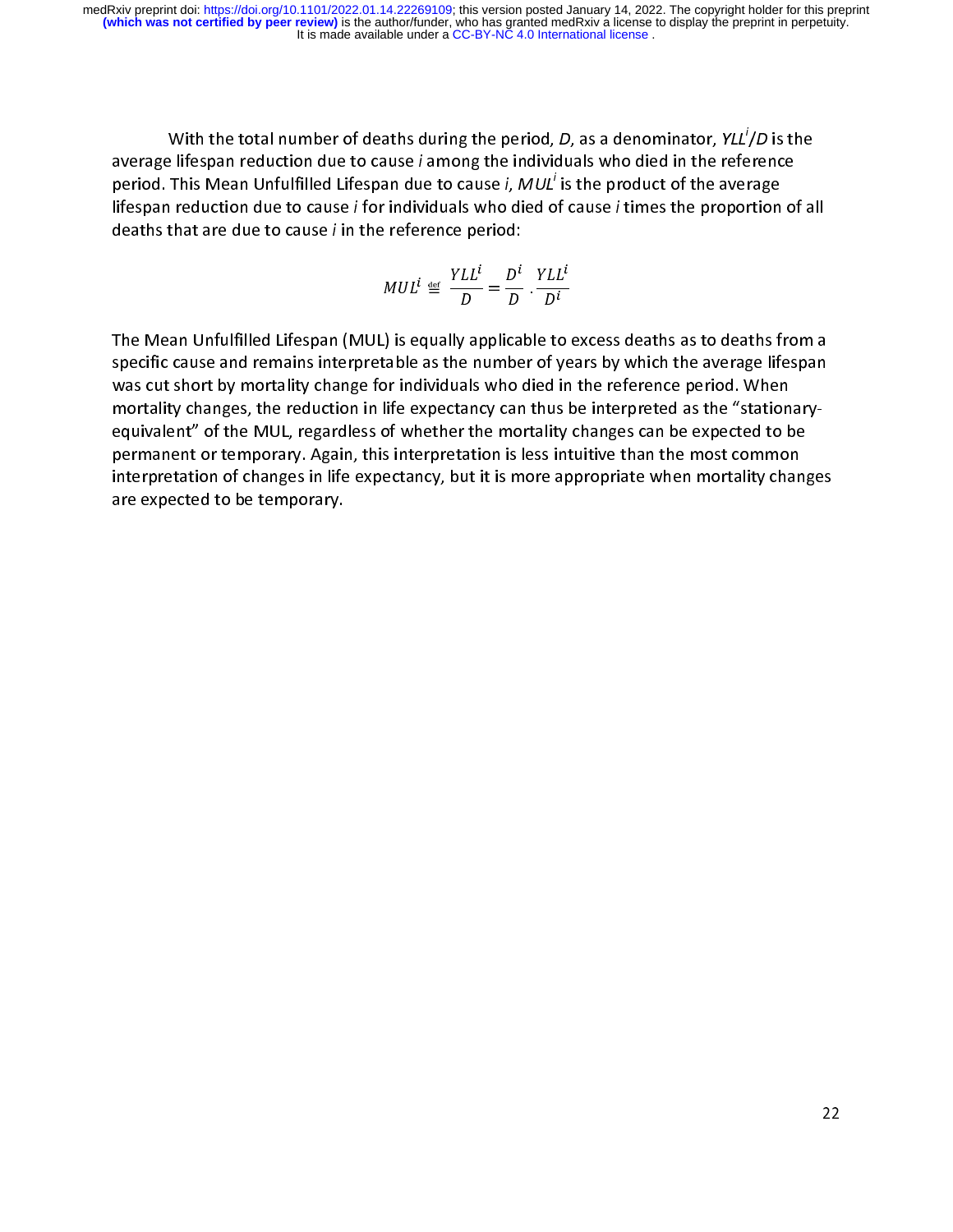With the total number of deaths during the period, *D*, as a denominator, *YLL<sup>I</sup>/D* is the average lifespan reduction due to cause *i* among the individuals who died in the reference period. This Mean Unfulfilled Lifespa /*D* is the<br>rence<br>rage<br>tion of a average mespan reduction due to cause *i* among the mutioduals who died in the reference<br>period. This Mean Unfulfilled Lifespan due to cause *i*, MUL<sup>i</sup> is the product of the average<br>lifespan reduction due to cause *i* for period. This Mean Unfulfilled Lifespan due to cause *I, MUL Is* the product of the average<br>lifespan reduction due to cause *i* for individuals who died of cause *i* times the proportion<br>deaths that are due to cause *i* in deaths that are due to cause  $i$  in the reference period:

$$
MUL^{i} \triangleq \frac{YLL^{i}}{D} = \frac{D^{i}}{D} \cdot \frac{YLL^{i}}{D^{i}}
$$

 D'<br>: to (<br>of ye  $\begin{array}{c} \square \\ \square \end{array}$ specific cause and remains interpretable as the number of years by which the average lifespan<br>was cut short by mortality change for individuals who died in the reference period. When<br>mortality changes, the reduction in lif was cut short by mortality change for individuals who died in the reference period. When<br>mortality changes, the reduction in life expectancy can thus be interpreted as the "stationary-<br>equivalent" of the MUL, regardless of was cultive changes, the reduction in life expectancy can thus be interpreted as the "station<br>equivalent" of the MUL, regardless of whether the mortality changes can be expected to b<br>permanent or temporary. Again, this int interpretation of changes in life expectancy, but it is more appropriate when mortality change  $\,$ permanent or temporary. Again, this interpretation is less intuitive than the most common<br>interpretation of changes in life expectancy, but it is more appropriate when mortality chang<br>are expected to be temporary. permanent or temporary. Again, this interpretation is less interpretation of changes in life expectancy, but it is more appropriate when mortality changes are expected to be temporary. interpretation of changes in life expected to be temporary.<br>are expected to be temporary. are expected to be temporary.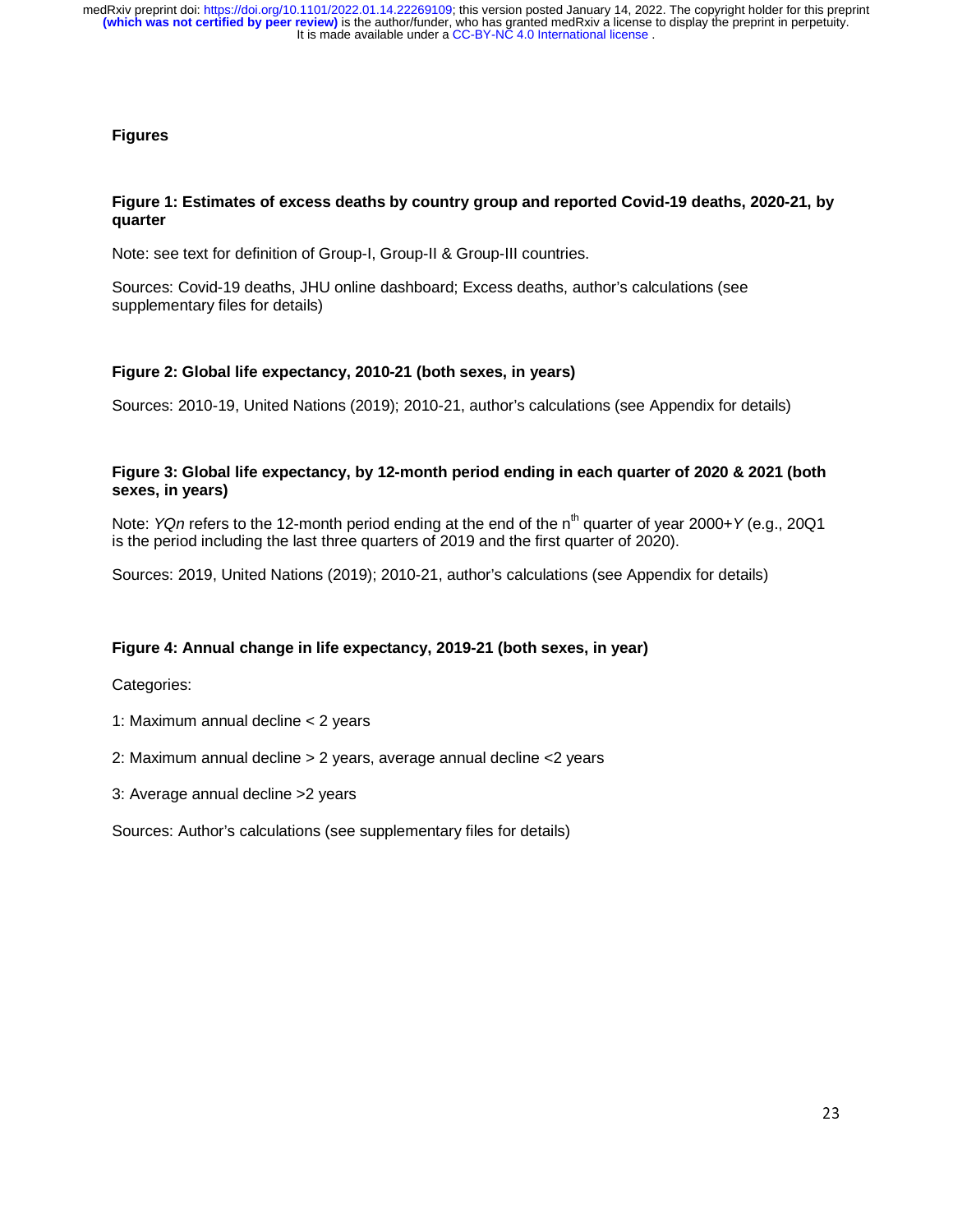#### **Figures**

#### **Figure 1: Estimates of excess deaths by country group and reported Covid-19 deaths, 2020-21, by quarter**

Note: see text for definition of Group-I, Group-II & Group-III countries.

Sources: Covid-19 deaths, JHU online dashboard; Excess deaths, author's calculations (see supplementary files for details)

#### **Figure 2: Global life expectancy, 2010-21 (both sexes, in years)**

Sources: 2010-19, United Nations (2019); 2010-21, author's calculations (see Appendix for details)

#### **Figure 3: Global life expectancy, by 12-month period ending in each quarter of 2020 & 2021 (both sexes, in years)**

Note: *YQn* refers to the 12-month period ending at the end of the n<sup>th</sup> quarter of year 2000+*Y* (e.g., 20Q1 is the period including the last three quarters of 2019 and the first quarter of 2020).

Sources: 2019, United Nations (2019); 2010-21, author's calculations (see Appendix for details)

#### **Figure 4: Annual change in life expectancy, 2019-21 (both sexes, in year)**

Categories:

- 1: Maximum annual decline < 2 years
- 2: Maximum annual decline > 2 years, average annual decline <2 years
- 3: Average annual decline >2 years

Sources: Author's calculations (see supplementary files for details)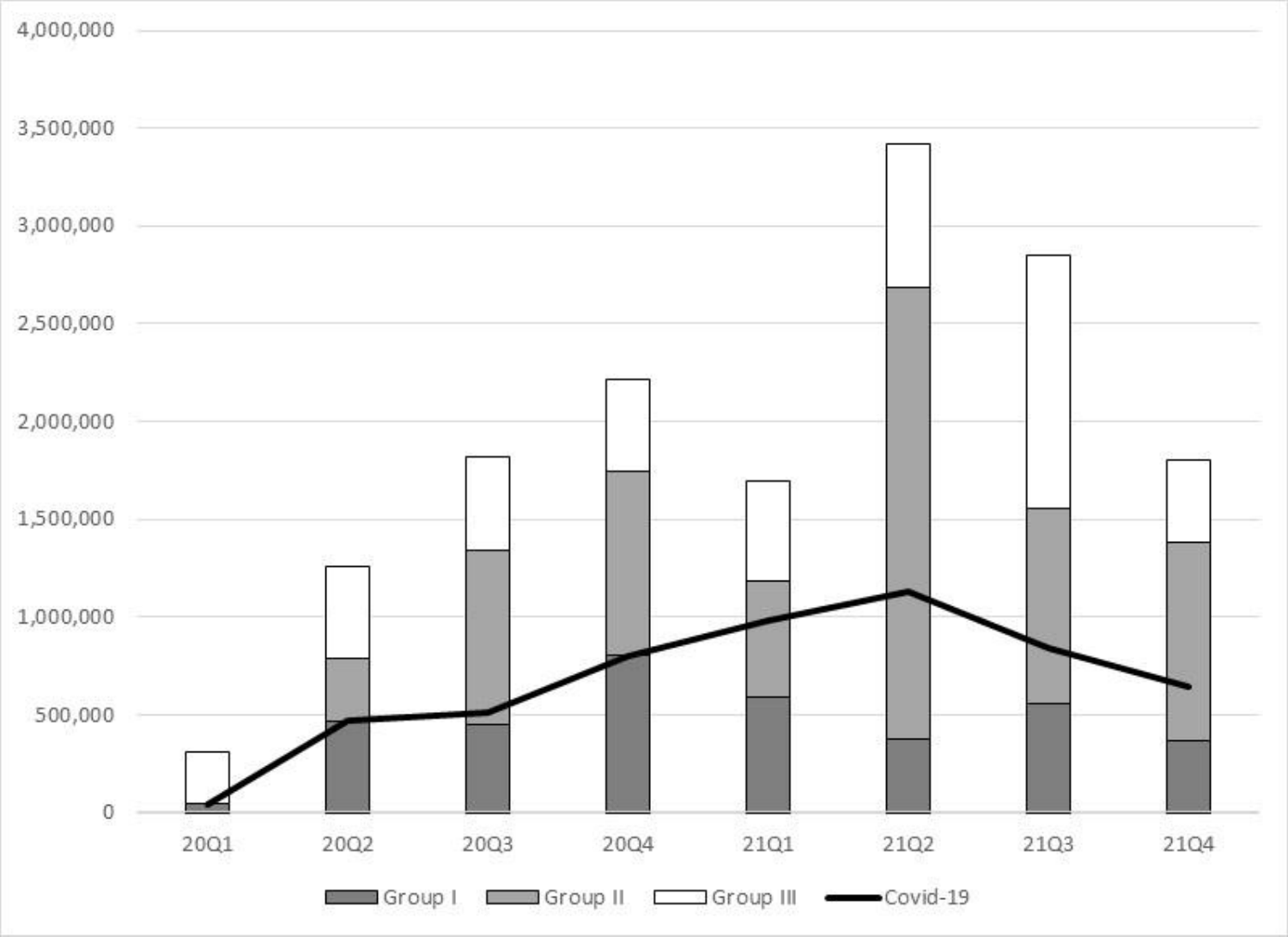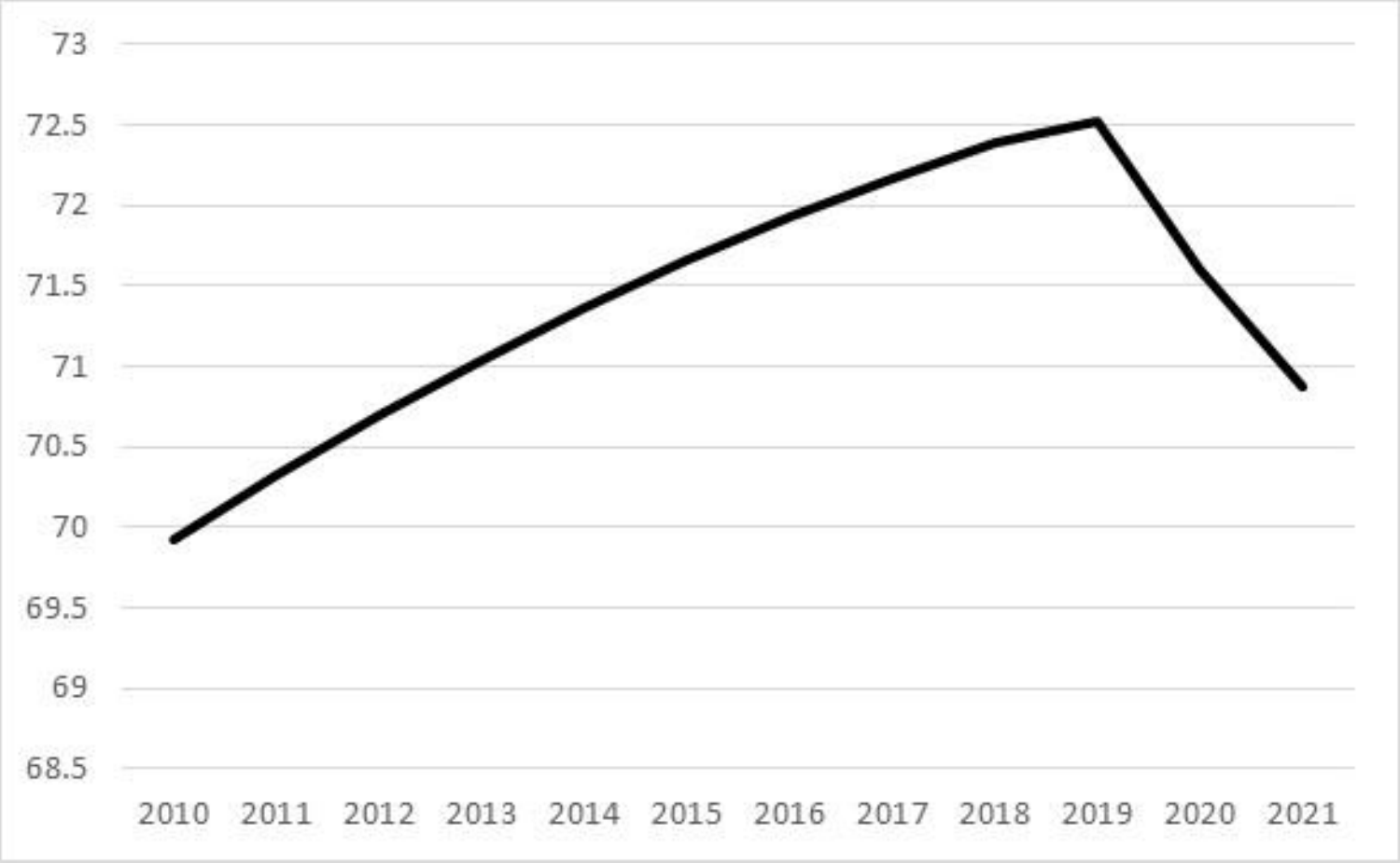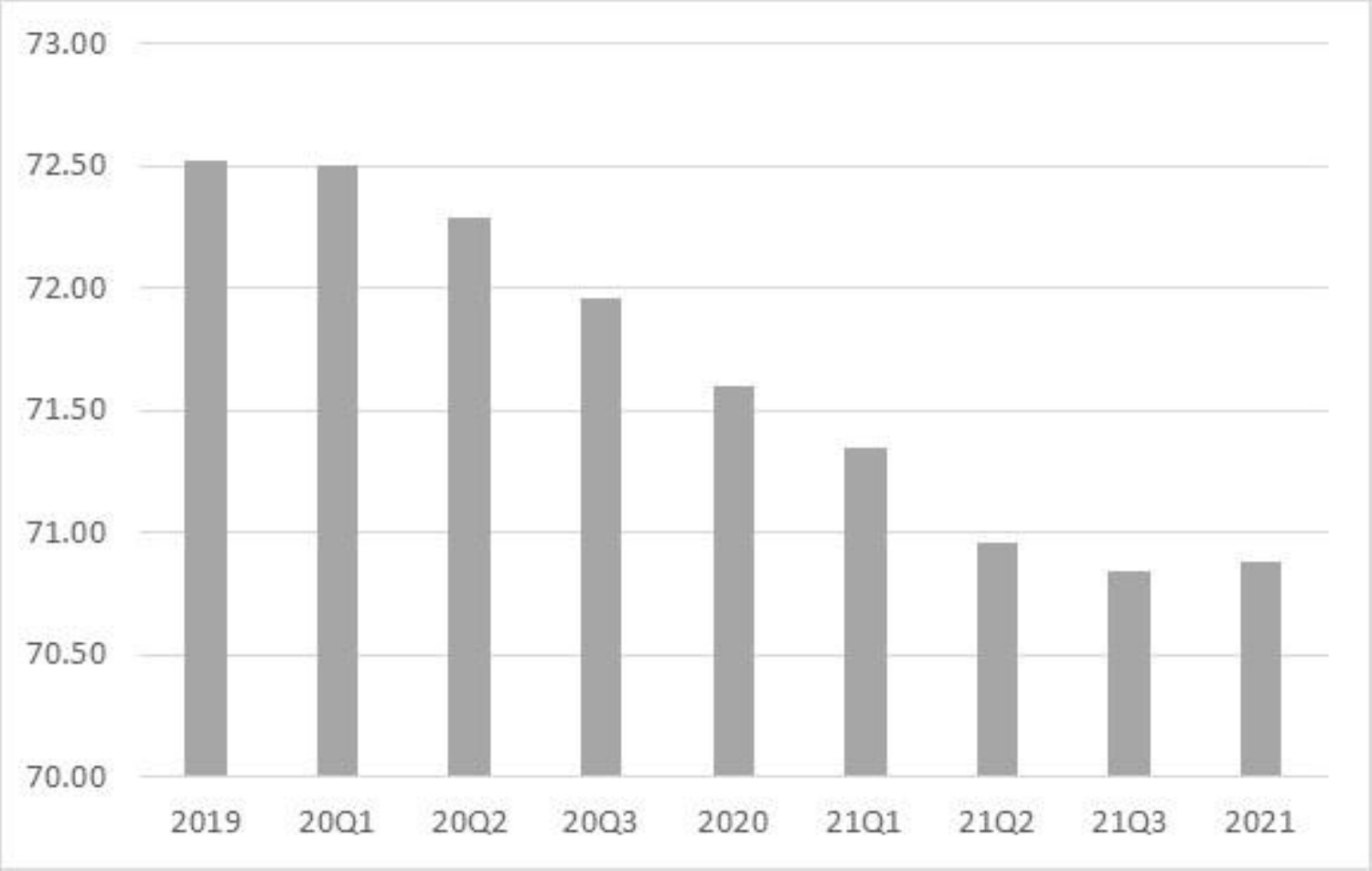